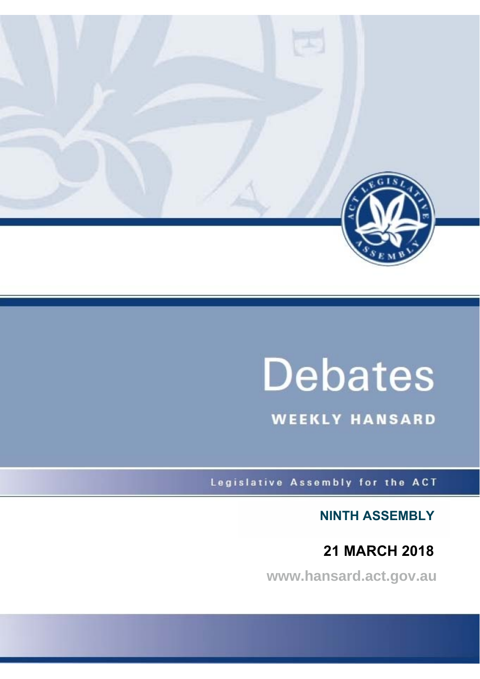

# **Debates**

**WEEKLY HANSARD** 

Legislative Assembly for the ACT

**NINTH ASSEMBLY**

## **21 MARCH 2018**

**www.hansard.act.gov.au**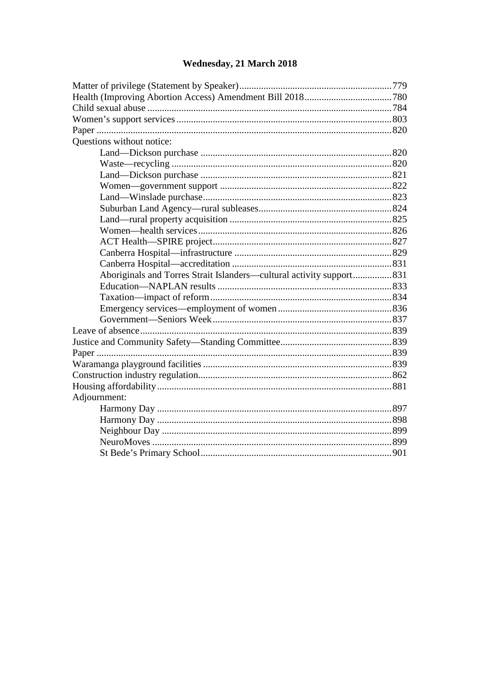## Wednesday, 21 March 2018

| Questions without notice:                                            |  |
|----------------------------------------------------------------------|--|
|                                                                      |  |
|                                                                      |  |
|                                                                      |  |
|                                                                      |  |
|                                                                      |  |
|                                                                      |  |
|                                                                      |  |
|                                                                      |  |
|                                                                      |  |
|                                                                      |  |
|                                                                      |  |
| Aboriginals and Torres Strait Islanders—cultural activity support831 |  |
|                                                                      |  |
|                                                                      |  |
|                                                                      |  |
|                                                                      |  |
|                                                                      |  |
|                                                                      |  |
|                                                                      |  |
|                                                                      |  |
|                                                                      |  |
|                                                                      |  |
| Adjournment:                                                         |  |
|                                                                      |  |
|                                                                      |  |
|                                                                      |  |
|                                                                      |  |
|                                                                      |  |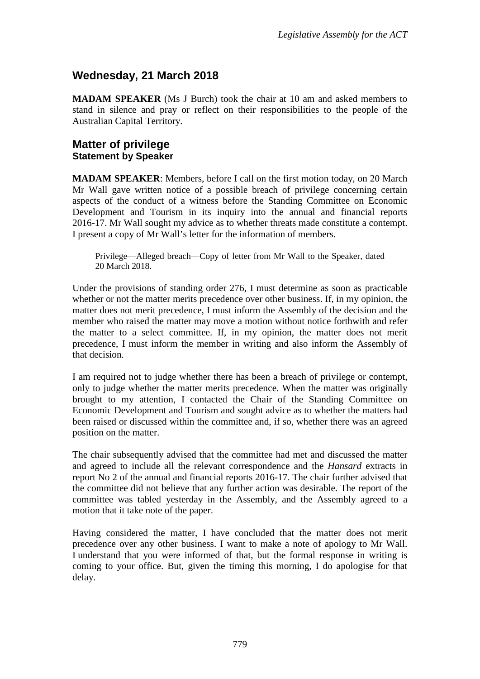## <span id="page-2-0"></span>**Wednesday, 21 March 2018**

**MADAM SPEAKER** (Ms J Burch) took the chair at 10 am and asked members to stand in silence and pray or reflect on their responsibilities to the people of the Australian Capital Territory.

#### <span id="page-2-2"></span><span id="page-2-1"></span>**Matter of privilege Statement by Speaker**

**MADAM SPEAKER**: Members, before I call on the first motion today, on 20 March Mr Wall gave written notice of a possible breach of privilege concerning certain aspects of the conduct of a witness before the Standing Committee on Economic Development and Tourism in its inquiry into the annual and financial reports 2016-17. Mr Wall sought my advice as to whether threats made constitute a contempt. I present a copy of Mr Wall's letter for the information of members.

Privilege—Alleged breach—Copy of letter from Mr Wall to the Speaker, dated 20 March 2018.

Under the provisions of standing order 276, I must determine as soon as practicable whether or not the matter merits precedence over other business. If, in my opinion, the matter does not merit precedence, I must inform the Assembly of the decision and the member who raised the matter may move a motion without notice forthwith and refer the matter to a select committee. If, in my opinion, the matter does not merit precedence, I must inform the member in writing and also inform the Assembly of that decision.

I am required not to judge whether there has been a breach of privilege or contempt, only to judge whether the matter merits precedence. When the matter was originally brought to my attention, I contacted the Chair of the Standing Committee on Economic Development and Tourism and sought advice as to whether the matters had been raised or discussed within the committee and, if so, whether there was an agreed position on the matter.

The chair subsequently advised that the committee had met and discussed the matter and agreed to include all the relevant correspondence and the *Hansard* extracts in report No 2 of the annual and financial reports 2016-17. The chair further advised that the committee did not believe that any further action was desirable. The report of the committee was tabled yesterday in the Assembly, and the Assembly agreed to a motion that it take note of the paper.

Having considered the matter, I have concluded that the matter does not merit precedence over any other business. I want to make a note of apology to Mr Wall. I understand that you were informed of that, but the formal response in writing is coming to your office. But, given the timing this morning, I do apologise for that delay.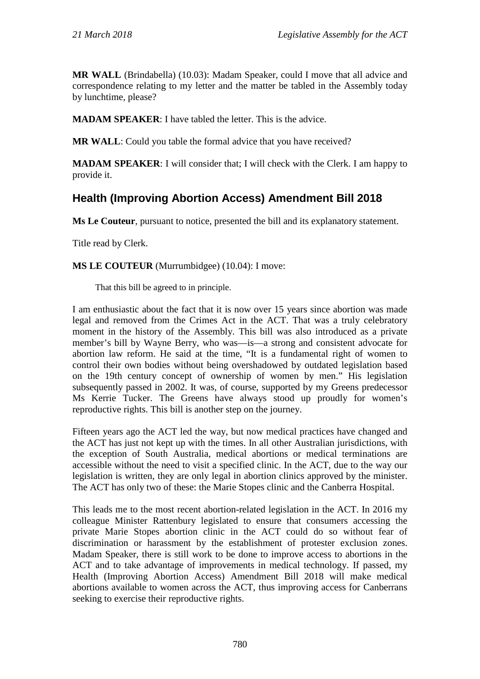**MR WALL** (Brindabella) (10.03): Madam Speaker, could I move that all advice and correspondence relating to my letter and the matter be tabled in the Assembly today by lunchtime, please?

**MADAM SPEAKER**: I have tabled the letter. This is the advice.

**MR WALL**: Could you table the formal advice that you have received?

**MADAM SPEAKER:** I will consider that; I will check with the Clerk. I am happy to provide it.

## <span id="page-3-0"></span>**Health (Improving Abortion Access) Amendment Bill 2018**

**Ms Le Couteur**, pursuant to notice, presented the bill and its explanatory statement.

Title read by Clerk.

#### **MS LE COUTEUR** (Murrumbidgee) (10.04): I move:

That this bill be agreed to in principle.

I am enthusiastic about the fact that it is now over 15 years since abortion was made legal and removed from the Crimes Act in the ACT. That was a truly celebratory moment in the history of the Assembly. This bill was also introduced as a private member's bill by Wayne Berry, who was—is—a strong and consistent advocate for abortion law reform. He said at the time, "It is a fundamental right of women to control their own bodies without being overshadowed by outdated legislation based on the 19th century concept of ownership of women by men." His legislation subsequently passed in 2002. It was, of course, supported by my Greens predecessor Ms Kerrie Tucker. The Greens have always stood up proudly for women's reproductive rights. This bill is another step on the journey.

Fifteen years ago the ACT led the way, but now medical practices have changed and the ACT has just not kept up with the times. In all other Australian jurisdictions, with the exception of South Australia, medical abortions or medical terminations are accessible without the need to visit a specified clinic. In the ACT, due to the way our legislation is written, they are only legal in abortion clinics approved by the minister. The ACT has only two of these: the Marie Stopes clinic and the Canberra Hospital.

This leads me to the most recent abortion-related legislation in the ACT. In 2016 my colleague Minister Rattenbury legislated to ensure that consumers accessing the private Marie Stopes abortion clinic in the ACT could do so without fear of discrimination or harassment by the establishment of protester exclusion zones. Madam Speaker, there is still work to be done to improve access to abortions in the ACT and to take advantage of improvements in medical technology. If passed, my Health (Improving Abortion Access) Amendment Bill 2018 will make medical abortions available to women across the ACT, thus improving access for Canberrans seeking to exercise their reproductive rights.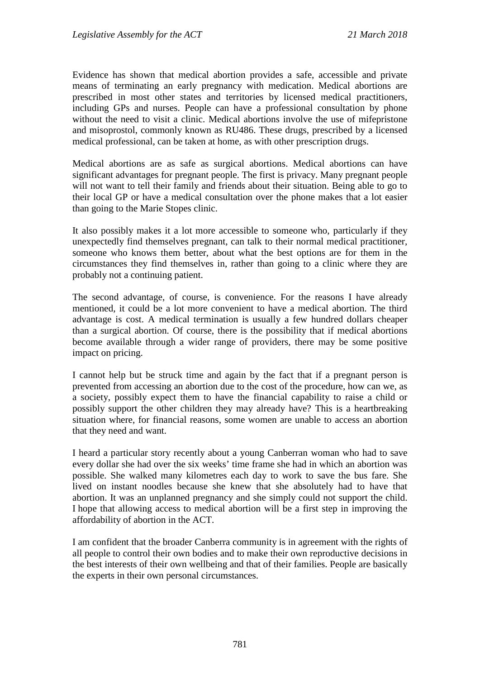Evidence has shown that medical abortion provides a safe, accessible and private means of terminating an early pregnancy with medication. Medical abortions are prescribed in most other states and territories by licensed medical practitioners, including GPs and nurses. People can have a professional consultation by phone without the need to visit a clinic. Medical abortions involve the use of mifepristone and misoprostol, commonly known as RU486. These drugs, prescribed by a licensed medical professional, can be taken at home, as with other prescription drugs.

Medical abortions are as safe as surgical abortions. Medical abortions can have significant advantages for pregnant people. The first is privacy. Many pregnant people will not want to tell their family and friends about their situation. Being able to go to their local GP or have a medical consultation over the phone makes that a lot easier than going to the Marie Stopes clinic.

It also possibly makes it a lot more accessible to someone who, particularly if they unexpectedly find themselves pregnant, can talk to their normal medical practitioner, someone who knows them better, about what the best options are for them in the circumstances they find themselves in, rather than going to a clinic where they are probably not a continuing patient.

The second advantage, of course, is convenience. For the reasons I have already mentioned, it could be a lot more convenient to have a medical abortion. The third advantage is cost. A medical termination is usually a few hundred dollars cheaper than a surgical abortion. Of course, there is the possibility that if medical abortions become available through a wider range of providers, there may be some positive impact on pricing.

I cannot help but be struck time and again by the fact that if a pregnant person is prevented from accessing an abortion due to the cost of the procedure, how can we, as a society, possibly expect them to have the financial capability to raise a child or possibly support the other children they may already have? This is a heartbreaking situation where, for financial reasons, some women are unable to access an abortion that they need and want.

I heard a particular story recently about a young Canberran woman who had to save every dollar she had over the six weeks' time frame she had in which an abortion was possible. She walked many kilometres each day to work to save the bus fare. She lived on instant noodles because she knew that she absolutely had to have that abortion. It was an unplanned pregnancy and she simply could not support the child. I hope that allowing access to medical abortion will be a first step in improving the affordability of abortion in the ACT.

I am confident that the broader Canberra community is in agreement with the rights of all people to control their own bodies and to make their own reproductive decisions in the best interests of their own wellbeing and that of their families. People are basically the experts in their own personal circumstances.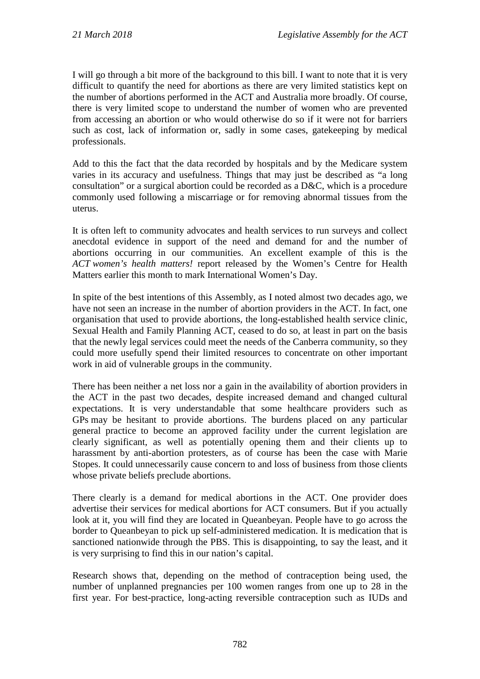I will go through a bit more of the background to this bill. I want to note that it is very difficult to quantify the need for abortions as there are very limited statistics kept on the number of abortions performed in the ACT and Australia more broadly. Of course, there is very limited scope to understand the number of women who are prevented from accessing an abortion or who would otherwise do so if it were not for barriers such as cost, lack of information or, sadly in some cases, gatekeeping by medical professionals.

Add to this the fact that the data recorded by hospitals and by the Medicare system varies in its accuracy and usefulness. Things that may just be described as "a long consultation" or a surgical abortion could be recorded as a D&C, which is a procedure commonly used following a miscarriage or for removing abnormal tissues from the uterus.

It is often left to community advocates and health services to run surveys and collect anecdotal evidence in support of the need and demand for and the number of abortions occurring in our communities. An excellent example of this is the *ACT women's health matters!* report released by the Women's Centre for Health Matters earlier this month to mark International Women's Day.

In spite of the best intentions of this Assembly, as I noted almost two decades ago, we have not seen an increase in the number of abortion providers in the ACT. In fact, one organisation that used to provide abortions, the long-established health service clinic, Sexual Health and Family Planning ACT, ceased to do so, at least in part on the basis that the newly legal services could meet the needs of the Canberra community, so they could more usefully spend their limited resources to concentrate on other important work in aid of vulnerable groups in the community.

There has been neither a net loss nor a gain in the availability of abortion providers in the ACT in the past two decades, despite increased demand and changed cultural expectations. It is very understandable that some healthcare providers such as GPs may be hesitant to provide abortions. The burdens placed on any particular general practice to become an approved facility under the current legislation are clearly significant, as well as potentially opening them and their clients up to harassment by anti-abortion protesters, as of course has been the case with Marie Stopes. It could unnecessarily cause concern to and loss of business from those clients whose private beliefs preclude abortions.

There clearly is a demand for medical abortions in the ACT. One provider does advertise their services for medical abortions for ACT consumers. But if you actually look at it, you will find they are located in Queanbeyan. People have to go across the border to Queanbeyan to pick up self-administered medication. It is medication that is sanctioned nationwide through the PBS. This is disappointing, to say the least, and it is very surprising to find this in our nation's capital.

Research shows that, depending on the method of contraception being used, the number of unplanned pregnancies per 100 women ranges from one up to 28 in the first year. For best-practice, long-acting reversible contraception such as IUDs and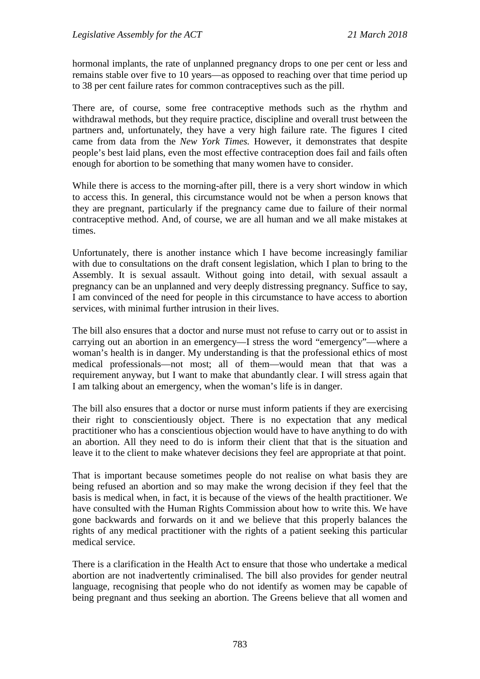hormonal implants, the rate of unplanned pregnancy drops to one per cent or less and remains stable over five to 10 years—as opposed to reaching over that time period up to 38 per cent failure rates for common contraceptives such as the pill.

There are, of course, some free contraceptive methods such as the rhythm and withdrawal methods, but they require practice, discipline and overall trust between the partners and, unfortunately, they have a very high failure rate. The figures I cited came from data from the *New York Times.* However, it demonstrates that despite people's best laid plans, even the most effective contraception does fail and fails often enough for abortion to be something that many women have to consider.

While there is access to the morning-after pill, there is a very short window in which to access this. In general, this circumstance would not be when a person knows that they are pregnant, particularly if the pregnancy came due to failure of their normal contraceptive method. And, of course, we are all human and we all make mistakes at times.

Unfortunately, there is another instance which I have become increasingly familiar with due to consultations on the draft consent legislation, which I plan to bring to the Assembly. It is sexual assault. Without going into detail, with sexual assault a pregnancy can be an unplanned and very deeply distressing pregnancy. Suffice to say, I am convinced of the need for people in this circumstance to have access to abortion services, with minimal further intrusion in their lives.

The bill also ensures that a doctor and nurse must not refuse to carry out or to assist in carrying out an abortion in an emergency—I stress the word "emergency"—where a woman's health is in danger. My understanding is that the professional ethics of most medical professionals—not most; all of them—would mean that that was a requirement anyway, but I want to make that abundantly clear. I will stress again that I am talking about an emergency, when the woman's life is in danger.

The bill also ensures that a doctor or nurse must inform patients if they are exercising their right to conscientiously object. There is no expectation that any medical practitioner who has a conscientious objection would have to have anything to do with an abortion. All they need to do is inform their client that that is the situation and leave it to the client to make whatever decisions they feel are appropriate at that point.

That is important because sometimes people do not realise on what basis they are being refused an abortion and so may make the wrong decision if they feel that the basis is medical when, in fact, it is because of the views of the health practitioner. We have consulted with the Human Rights Commission about how to write this. We have gone backwards and forwards on it and we believe that this properly balances the rights of any medical practitioner with the rights of a patient seeking this particular medical service.

There is a clarification in the Health Act to ensure that those who undertake a medical abortion are not inadvertently criminalised. The bill also provides for gender neutral language, recognising that people who do not identify as women may be capable of being pregnant and thus seeking an abortion. The Greens believe that all women and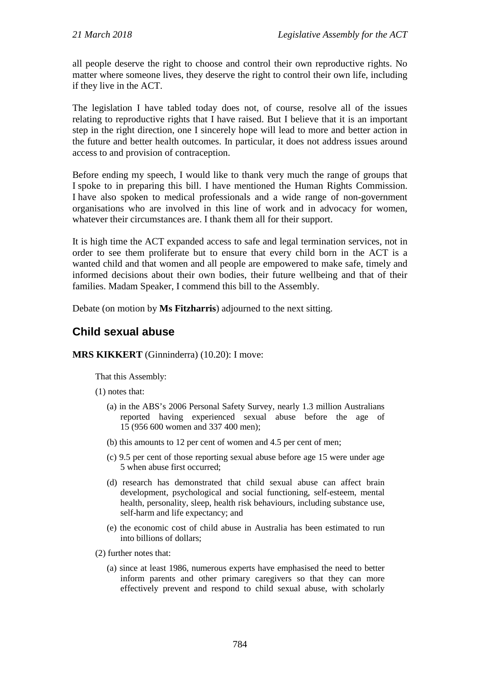all people deserve the right to choose and control their own reproductive rights. No matter where someone lives, they deserve the right to control their own life, including if they live in the ACT.

The legislation I have tabled today does not, of course, resolve all of the issues relating to reproductive rights that I have raised. But I believe that it is an important step in the right direction, one I sincerely hope will lead to more and better action in the future and better health outcomes. In particular, it does not address issues around access to and provision of contraception.

Before ending my speech, I would like to thank very much the range of groups that I spoke to in preparing this bill. I have mentioned the Human Rights Commission. I have also spoken to medical professionals and a wide range of non-government organisations who are involved in this line of work and in advocacy for women, whatever their circumstances are. I thank them all for their support.

It is high time the ACT expanded access to safe and legal termination services, not in order to see them proliferate but to ensure that every child born in the ACT is a wanted child and that women and all people are empowered to make safe, timely and informed decisions about their own bodies, their future wellbeing and that of their families. Madam Speaker, I commend this bill to the Assembly.

Debate (on motion by **Ms Fitzharris**) adjourned to the next sitting.

## <span id="page-7-0"></span>**Child sexual abuse**

#### **MRS KIKKERT** (Ginninderra) (10.20): I move:

That this Assembly:

- (1) notes that:
	- (a) in the ABS's 2006 Personal Safety Survey, nearly 1.3 million Australians reported having experienced sexual abuse before the age of 15 (956 600 women and 337 400 men);
	- (b) this amounts to 12 per cent of women and 4.5 per cent of men;
	- (c) 9.5 per cent of those reporting sexual abuse before age 15 were under age 5 when abuse first occurred;
	- (d) research has demonstrated that child sexual abuse can affect brain development, psychological and social functioning, self-esteem, mental health, personality, sleep, health risk behaviours, including substance use, self-harm and life expectancy; and
	- (e) the economic cost of child abuse in Australia has been estimated to run into billions of dollars;
- (2) further notes that:
	- (a) since at least 1986, numerous experts have emphasised the need to better inform parents and other primary caregivers so that they can more effectively prevent and respond to child sexual abuse, with scholarly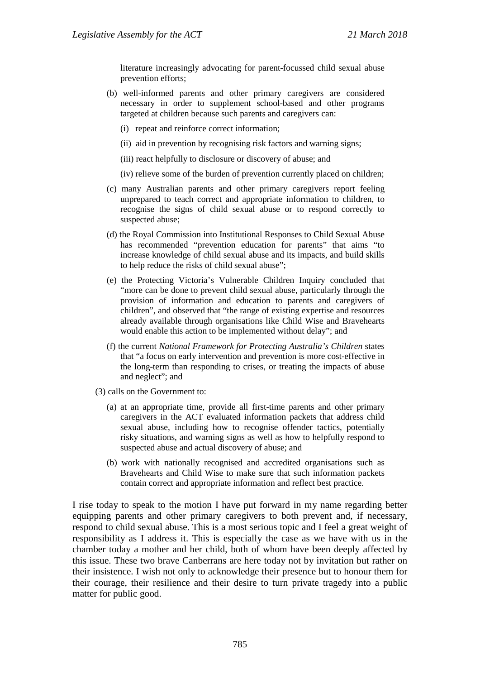literature increasingly advocating for parent-focussed child sexual abuse prevention efforts;

- (b) well-informed parents and other primary caregivers are considered necessary in order to supplement school-based and other programs targeted at children because such parents and caregivers can:
	- (i) repeat and reinforce correct information;
	- (ii) aid in prevention by recognising risk factors and warning signs;
	- (iii) react helpfully to disclosure or discovery of abuse; and
	- (iv) relieve some of the burden of prevention currently placed on children;
- (c) many Australian parents and other primary caregivers report feeling unprepared to teach correct and appropriate information to children, to recognise the signs of child sexual abuse or to respond correctly to suspected abuse;
- (d) the Royal Commission into Institutional Responses to Child Sexual Abuse has recommended "prevention education for parents" that aims "to increase knowledge of child sexual abuse and its impacts, and build skills to help reduce the risks of child sexual abuse";
- (e) the Protecting Victoria's Vulnerable Children Inquiry concluded that "more can be done to prevent child sexual abuse, particularly through the provision of information and education to parents and caregivers of children", and observed that "the range of existing expertise and resources already available through organisations like Child Wise and Bravehearts would enable this action to be implemented without delay"; and
- (f) the current *National Framework for Protecting Australia's Children* states that "a focus on early intervention and prevention is more cost-effective in the long-term than responding to crises, or treating the impacts of abuse and neglect"; and
- (3) calls on the Government to:
	- (a) at an appropriate time, provide all first-time parents and other primary caregivers in the ACT evaluated information packets that address child sexual abuse, including how to recognise offender tactics, potentially risky situations, and warning signs as well as how to helpfully respond to suspected abuse and actual discovery of abuse; and
	- (b) work with nationally recognised and accredited organisations such as Bravehearts and Child Wise to make sure that such information packets contain correct and appropriate information and reflect best practice.

I rise today to speak to the motion I have put forward in my name regarding better equipping parents and other primary caregivers to both prevent and, if necessary, respond to child sexual abuse. This is a most serious topic and I feel a great weight of responsibility as I address it. This is especially the case as we have with us in the chamber today a mother and her child, both of whom have been deeply affected by this issue. These two brave Canberrans are here today not by invitation but rather on their insistence. I wish not only to acknowledge their presence but to honour them for their courage, their resilience and their desire to turn private tragedy into a public matter for public good.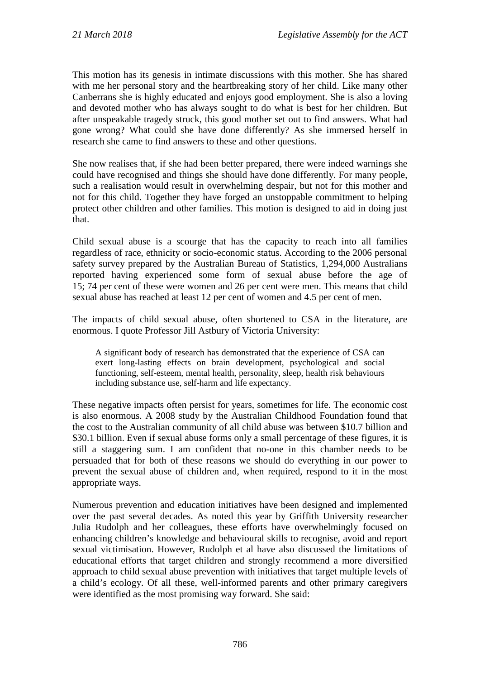This motion has its genesis in intimate discussions with this mother. She has shared with me her personal story and the heartbreaking story of her child. Like many other Canberrans she is highly educated and enjoys good employment. She is also a loving and devoted mother who has always sought to do what is best for her children. But after unspeakable tragedy struck, this good mother set out to find answers. What had gone wrong? What could she have done differently? As she immersed herself in research she came to find answers to these and other questions.

She now realises that, if she had been better prepared, there were indeed warnings she could have recognised and things she should have done differently. For many people, such a realisation would result in overwhelming despair, but not for this mother and not for this child. Together they have forged an unstoppable commitment to helping protect other children and other families. This motion is designed to aid in doing just that.

Child sexual abuse is a scourge that has the capacity to reach into all families regardless of race, ethnicity or socio-economic status. According to the 2006 personal safety survey prepared by the Australian Bureau of Statistics, 1,294,000 Australians reported having experienced some form of sexual abuse before the age of 15; 74 per cent of these were women and 26 per cent were men. This means that child sexual abuse has reached at least 12 per cent of women and 4.5 per cent of men.

The impacts of child sexual abuse, often shortened to CSA in the literature, are enormous. I quote Professor Jill Astbury of Victoria University:

A significant body of research has demonstrated that the experience of CSA can exert long-lasting effects on brain development, psychological and social functioning, self-esteem, mental health, personality, sleep, health risk behaviours including substance use, self-harm and life expectancy.

These negative impacts often persist for years, sometimes for life. The economic cost is also enormous. A 2008 study by the Australian Childhood Foundation found that the cost to the Australian community of all child abuse was between \$10.7 billion and \$30.1 billion. Even if sexual abuse forms only a small percentage of these figures, it is still a staggering sum. I am confident that no-one in this chamber needs to be persuaded that for both of these reasons we should do everything in our power to prevent the sexual abuse of children and, when required, respond to it in the most appropriate ways.

Numerous prevention and education initiatives have been designed and implemented over the past several decades. As noted this year by Griffith University researcher Julia Rudolph and her colleagues, these efforts have overwhelmingly focused on enhancing children's knowledge and behavioural skills to recognise, avoid and report sexual victimisation. However, Rudolph et al have also discussed the limitations of educational efforts that target children and strongly recommend a more diversified approach to child sexual abuse prevention with initiatives that target multiple levels of a child's ecology. Of all these, well-informed parents and other primary caregivers were identified as the most promising way forward. She said: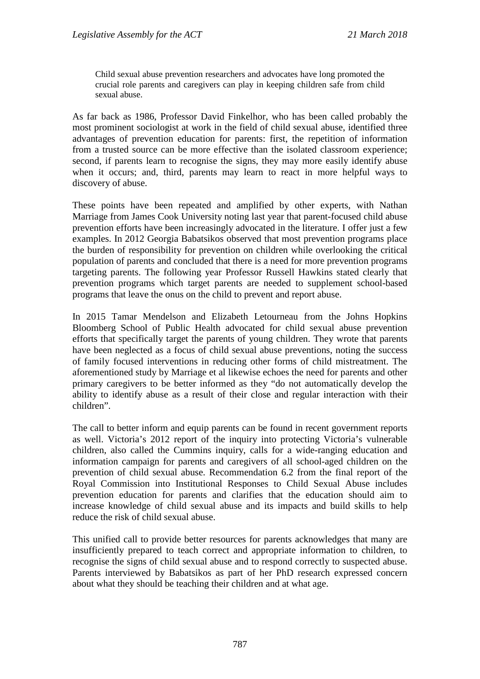Child sexual abuse prevention researchers and advocates have long promoted the crucial role parents and caregivers can play in keeping children safe from child sexual abuse.

As far back as 1986, Professor David Finkelhor, who has been called probably the most prominent sociologist at work in the field of child sexual abuse, identified three advantages of prevention education for parents: first, the repetition of information from a trusted source can be more effective than the isolated classroom experience; second, if parents learn to recognise the signs, they may more easily identify abuse when it occurs; and, third, parents may learn to react in more helpful ways to discovery of abuse.

These points have been repeated and amplified by other experts, with Nathan Marriage from James Cook University noting last year that parent-focused child abuse prevention efforts have been increasingly advocated in the literature. I offer just a few examples. In 2012 Georgia Babatsikos observed that most prevention programs place the burden of responsibility for prevention on children while overlooking the critical population of parents and concluded that there is a need for more prevention programs targeting parents. The following year Professor Russell Hawkins stated clearly that prevention programs which target parents are needed to supplement school-based programs that leave the onus on the child to prevent and report abuse.

In 2015 Tamar Mendelson and Elizabeth Letourneau from the Johns Hopkins Bloomberg School of Public Health advocated for child sexual abuse prevention efforts that specifically target the parents of young children. They wrote that parents have been neglected as a focus of child sexual abuse preventions, noting the success of family focused interventions in reducing other forms of child mistreatment. The aforementioned study by Marriage et al likewise echoes the need for parents and other primary caregivers to be better informed as they "do not automatically develop the ability to identify abuse as a result of their close and regular interaction with their children".

The call to better inform and equip parents can be found in recent government reports as well. Victoria's 2012 report of the inquiry into protecting Victoria's vulnerable children, also called the Cummins inquiry, calls for a wide-ranging education and information campaign for parents and caregivers of all school-aged children on the prevention of child sexual abuse. Recommendation 6.2 from the final report of the Royal Commission into Institutional Responses to Child Sexual Abuse includes prevention education for parents and clarifies that the education should aim to increase knowledge of child sexual abuse and its impacts and build skills to help reduce the risk of child sexual abuse.

This unified call to provide better resources for parents acknowledges that many are insufficiently prepared to teach correct and appropriate information to children, to recognise the signs of child sexual abuse and to respond correctly to suspected abuse. Parents interviewed by Babatsikos as part of her PhD research expressed concern about what they should be teaching their children and at what age.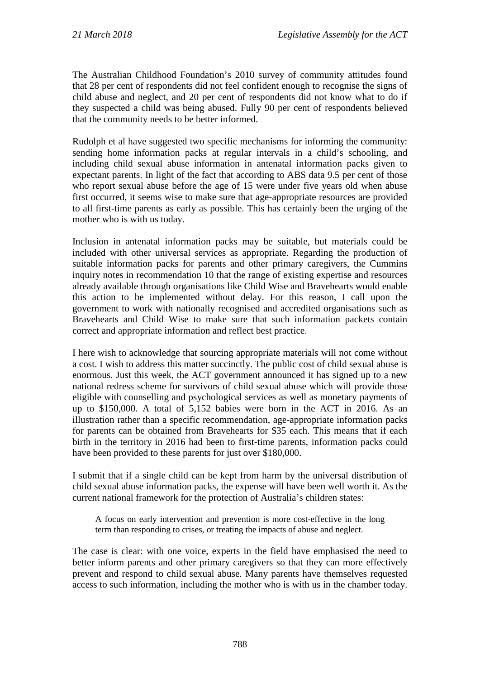The Australian Childhood Foundation's 2010 survey of community attitudes found that 28 per cent of respondents did not feel confident enough to recognise the signs of child abuse and neglect, and 20 per cent of respondents did not know what to do if they suspected a child was being abused. Fully 90 per cent of respondents believed that the community needs to be better informed.

Rudolph et al have suggested two specific mechanisms for informing the community: sending home information packs at regular intervals in a child's schooling, and including child sexual abuse information in antenatal information packs given to expectant parents. In light of the fact that according to ABS data 9.5 per cent of those who report sexual abuse before the age of 15 were under five years old when abuse first occurred, it seems wise to make sure that age-appropriate resources are provided to all first-time parents as early as possible. This has certainly been the urging of the mother who is with us today.

Inclusion in antenatal information packs may be suitable, but materials could be included with other universal services as appropriate. Regarding the production of suitable information packs for parents and other primary caregivers, the Cummins inquiry notes in recommendation 10 that the range of existing expertise and resources already available through organisations like Child Wise and Bravehearts would enable this action to be implemented without delay. For this reason, I call upon the government to work with nationally recognised and accredited organisations such as Bravehearts and Child Wise to make sure that such information packets contain correct and appropriate information and reflect best practice.

I here wish to acknowledge that sourcing appropriate materials will not come without a cost. I wish to address this matter succinctly. The public cost of child sexual abuse is enormous. Just this week, the ACT government announced it has signed up to a new national redress scheme for survivors of child sexual abuse which will provide those eligible with counselling and psychological services as well as monetary payments of up to \$150,000. A total of 5,152 babies were born in the ACT in 2016. As an illustration rather than a specific recommendation, age-appropriate information packs for parents can be obtained from Bravehearts for \$35 each. This means that if each birth in the territory in 2016 had been to first-time parents, information packs could have been provided to these parents for just over \$180,000.

I submit that if a single child can be kept from harm by the universal distribution of child sexual abuse information packs, the expense will have been well worth it. As the current national framework for the protection of Australia's children states:

A focus on early intervention and prevention is more cost-effective in the long term than responding to crises, or treating the impacts of abuse and neglect.

The case is clear: with one voice, experts in the field have emphasised the need to better inform parents and other primary caregivers so that they can more effectively prevent and respond to child sexual abuse. Many parents have themselves requested access to such information, including the mother who is with us in the chamber today.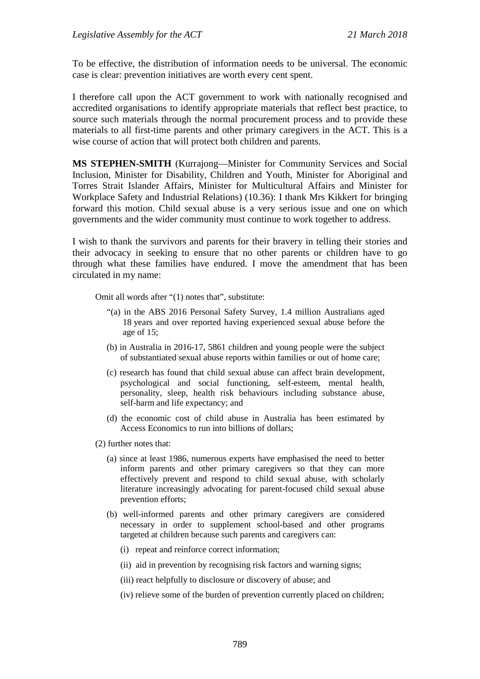To be effective, the distribution of information needs to be universal. The economic case is clear: prevention initiatives are worth every cent spent.

I therefore call upon the ACT government to work with nationally recognised and accredited organisations to identify appropriate materials that reflect best practice, to source such materials through the normal procurement process and to provide these materials to all first-time parents and other primary caregivers in the ACT. This is a wise course of action that will protect both children and parents.

**MS STEPHEN-SMITH** (Kurrajong—Minister for Community Services and Social Inclusion, Minister for Disability, Children and Youth, Minister for Aboriginal and Torres Strait Islander Affairs, Minister for Multicultural Affairs and Minister for Workplace Safety and Industrial Relations) (10.36): I thank Mrs Kikkert for bringing forward this motion. Child sexual abuse is a very serious issue and one on which governments and the wider community must continue to work together to address.

I wish to thank the survivors and parents for their bravery in telling their stories and their advocacy in seeking to ensure that no other parents or children have to go through what these families have endured. I move the amendment that has been circulated in my name:

Omit all words after "(1) notes that", substitute:

- "(a) in the ABS 2016 Personal Safety Survey, 1.4 million Australians aged 18 years and over reported having experienced sexual abuse before the age of 15;
- (b) in Australia in 2016-17, 5861 children and young people were the subject of substantiated sexual abuse reports within families or out of home care;
- (c) research has found that child sexual abuse can affect brain development, psychological and social functioning, self-esteem, mental health, personality, sleep, health risk behaviours including substance abuse, self-harm and life expectancy; and
- (d) the economic cost of child abuse in Australia has been estimated by Access Economics to run into billions of dollars;
- (2) further notes that:
	- (a) since at least 1986, numerous experts have emphasised the need to better inform parents and other primary caregivers so that they can more effectively prevent and respond to child sexual abuse, with scholarly literature increasingly advocating for parent-focused child sexual abuse prevention efforts;
	- (b) well-informed parents and other primary caregivers are considered necessary in order to supplement school-based and other programs targeted at children because such parents and caregivers can:
		- (i) repeat and reinforce correct information;
		- (ii) aid in prevention by recognising risk factors and warning signs;
		- (iii) react helpfully to disclosure or discovery of abuse; and
		- (iv) relieve some of the burden of prevention currently placed on children;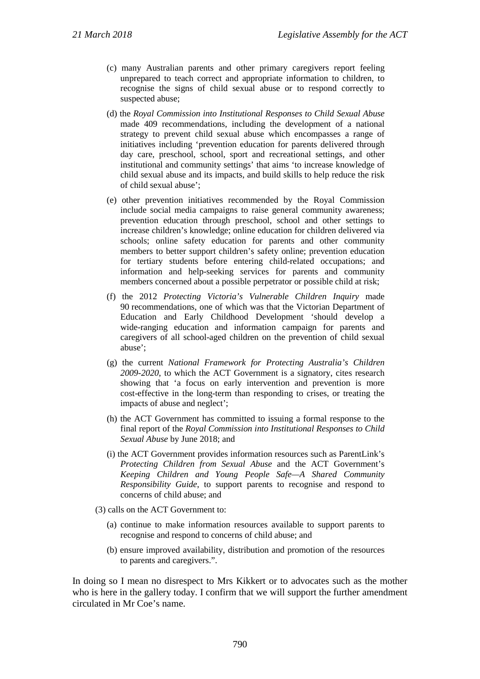- (c) many Australian parents and other primary caregivers report feeling unprepared to teach correct and appropriate information to children, to recognise the signs of child sexual abuse or to respond correctly to suspected abuse;
- (d) the *Royal Commission into Institutional Responses to Child Sexual Abuse* made 409 recommendations, including the development of a national strategy to prevent child sexual abuse which encompasses a range of initiatives including 'prevention education for parents delivered through day care, preschool, school, sport and recreational settings, and other institutional and community settings' that aims 'to increase knowledge of child sexual abuse and its impacts, and build skills to help reduce the risk of child sexual abuse';
- (e) other prevention initiatives recommended by the Royal Commission include social media campaigns to raise general community awareness; prevention education through preschool, school and other settings to increase children's knowledge; online education for children delivered via schools; online safety education for parents and other community members to better support children's safety online; prevention education for tertiary students before entering child-related occupations; and information and help-seeking services for parents and community members concerned about a possible perpetrator or possible child at risk;
- (f) the 2012 *Protecting Victoria's Vulnerable Children Inquiry* made 90 recommendations, one of which was that the Victorian Department of Education and Early Childhood Development 'should develop a wide-ranging education and information campaign for parents and caregivers of all school-aged children on the prevention of child sexual abuse';
- (g) the current *National Framework for Protecting Australia's Children 2009-2020*, to which the ACT Government is a signatory, cites research showing that 'a focus on early intervention and prevention is more cost-effective in the long-term than responding to crises, or treating the impacts of abuse and neglect';
- (h) the ACT Government has committed to issuing a formal response to the final report of the *Royal Commission into Institutional Responses to Child Sexual Abuse* by June 2018; and
- (i) the ACT Government provides information resources such as ParentLink's *Protecting Children from Sexual Abuse* and the ACT Government's *Keeping Children and Young People Safe—A Shared Community Responsibility Guide*, to support parents to recognise and respond to concerns of child abuse; and
- (3) calls on the ACT Government to:
	- (a) continue to make information resources available to support parents to recognise and respond to concerns of child abuse; and
	- (b) ensure improved availability, distribution and promotion of the resources to parents and caregivers.".

In doing so I mean no disrespect to Mrs Kikkert or to advocates such as the mother who is here in the gallery today. I confirm that we will support the further amendment circulated in Mr Coe's name.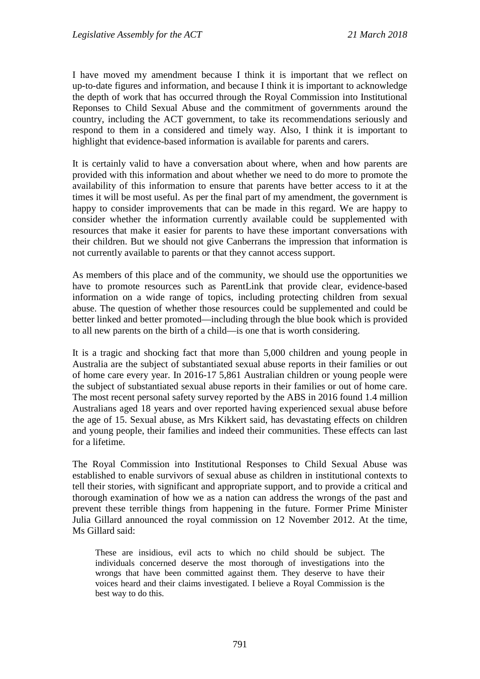I have moved my amendment because I think it is important that we reflect on up-to-date figures and information, and because I think it is important to acknowledge the depth of work that has occurred through the Royal Commission into Institutional Reponses to Child Sexual Abuse and the commitment of governments around the country, including the ACT government, to take its recommendations seriously and respond to them in a considered and timely way. Also, I think it is important to highlight that evidence-based information is available for parents and carers.

It is certainly valid to have a conversation about where, when and how parents are provided with this information and about whether we need to do more to promote the availability of this information to ensure that parents have better access to it at the times it will be most useful. As per the final part of my amendment, the government is happy to consider improvements that can be made in this regard. We are happy to consider whether the information currently available could be supplemented with resources that make it easier for parents to have these important conversations with their children. But we should not give Canberrans the impression that information is not currently available to parents or that they cannot access support.

As members of this place and of the community, we should use the opportunities we have to promote resources such as ParentLink that provide clear, evidence-based information on a wide range of topics, including protecting children from sexual abuse. The question of whether those resources could be supplemented and could be better linked and better promoted—including through the blue book which is provided to all new parents on the birth of a child—is one that is worth considering.

It is a tragic and shocking fact that more than 5,000 children and young people in Australia are the subject of substantiated sexual abuse reports in their families or out of home care every year. In 2016-17 5,861 Australian children or young people were the subject of substantiated sexual abuse reports in their families or out of home care. The most recent personal safety survey reported by the ABS in 2016 found 1.4 million Australians aged 18 years and over reported having experienced sexual abuse before the age of 15. Sexual abuse, as Mrs Kikkert said, has devastating effects on children and young people, their families and indeed their communities. These effects can last for a lifetime.

The Royal Commission into Institutional Responses to Child Sexual Abuse was established to enable survivors of sexual abuse as children in institutional contexts to tell their stories, with significant and appropriate support, and to provide a critical and thorough examination of how we as a nation can address the wrongs of the past and prevent these terrible things from happening in the future. Former Prime Minister Julia Gillard announced the royal commission on 12 November 2012. At the time, Ms Gillard said:

These are insidious, evil acts to which no child should be subject. The individuals concerned deserve the most thorough of investigations into the wrongs that have been committed against them. They deserve to have their voices heard and their claims investigated. I believe a Royal Commission is the best way to do this.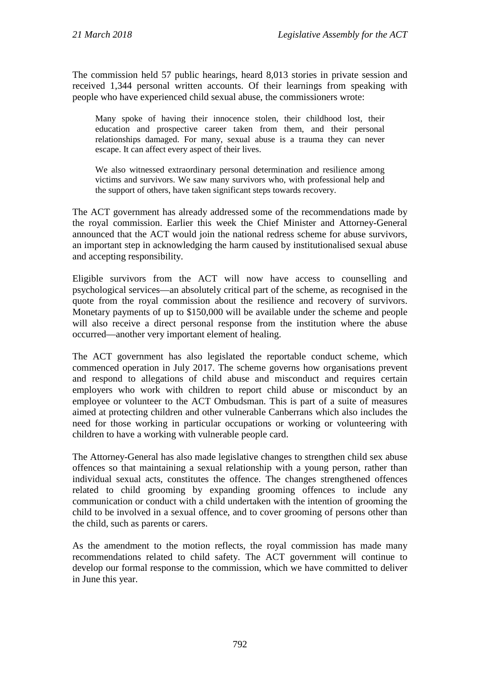The commission held 57 public hearings, heard 8,013 stories in private session and received 1,344 personal written accounts. Of their learnings from speaking with people who have experienced child sexual abuse, the commissioners wrote:

Many spoke of having their innocence stolen, their childhood lost, their education and prospective career taken from them, and their personal relationships damaged. For many, sexual abuse is a trauma they can never escape. It can affect every aspect of their lives.

We also witnessed extraordinary personal determination and resilience among victims and survivors. We saw many survivors who, with professional help and the support of others, have taken significant steps towards recovery.

The ACT government has already addressed some of the recommendations made by the royal commission. Earlier this week the Chief Minister and Attorney-General announced that the ACT would join the national redress scheme for abuse survivors, an important step in acknowledging the harm caused by institutionalised sexual abuse and accepting responsibility.

Eligible survivors from the ACT will now have access to counselling and psychological services—an absolutely critical part of the scheme, as recognised in the quote from the royal commission about the resilience and recovery of survivors. Monetary payments of up to \$150,000 will be available under the scheme and people will also receive a direct personal response from the institution where the abuse occurred—another very important element of healing.

The ACT government has also legislated the reportable conduct scheme, which commenced operation in July 2017. The scheme governs how organisations prevent and respond to allegations of child abuse and misconduct and requires certain employers who work with children to report child abuse or misconduct by an employee or volunteer to the ACT Ombudsman. This is part of a suite of measures aimed at protecting children and other vulnerable Canberrans which also includes the need for those working in particular occupations or working or volunteering with children to have a working with vulnerable people card.

The Attorney-General has also made legislative changes to strengthen child sex abuse offences so that maintaining a sexual relationship with a young person, rather than individual sexual acts, constitutes the offence. The changes strengthened offences related to child grooming by expanding grooming offences to include any communication or conduct with a child undertaken with the intention of grooming the child to be involved in a sexual offence, and to cover grooming of persons other than the child, such as parents or carers.

As the amendment to the motion reflects, the royal commission has made many recommendations related to child safety. The ACT government will continue to develop our formal response to the commission, which we have committed to deliver in June this year.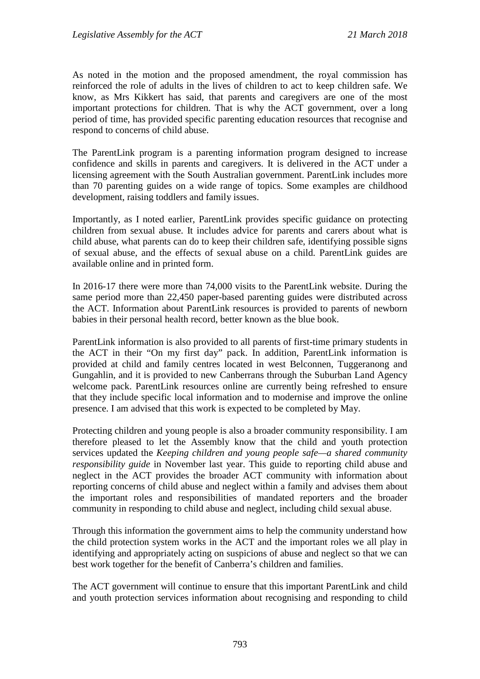As noted in the motion and the proposed amendment, the royal commission has reinforced the role of adults in the lives of children to act to keep children safe. We know, as Mrs Kikkert has said, that parents and caregivers are one of the most important protections for children. That is why the ACT government, over a long period of time, has provided specific parenting education resources that recognise and respond to concerns of child abuse.

The ParentLink program is a parenting information program designed to increase confidence and skills in parents and caregivers. It is delivered in the ACT under a licensing agreement with the South Australian government. ParentLink includes more than 70 parenting guides on a wide range of topics. Some examples are childhood development, raising toddlers and family issues.

Importantly, as I noted earlier, ParentLink provides specific guidance on protecting children from sexual abuse. It includes advice for parents and carers about what is child abuse, what parents can do to keep their children safe, identifying possible signs of sexual abuse, and the effects of sexual abuse on a child. ParentLink guides are available online and in printed form.

In 2016-17 there were more than 74,000 visits to the ParentLink website. During the same period more than 22,450 paper-based parenting guides were distributed across the ACT. Information about ParentLink resources is provided to parents of newborn babies in their personal health record, better known as the blue book.

ParentLink information is also provided to all parents of first-time primary students in the ACT in their "On my first day" pack. In addition, ParentLink information is provided at child and family centres located in west Belconnen, Tuggeranong and Gungahlin, and it is provided to new Canberrans through the Suburban Land Agency welcome pack. ParentLink resources online are currently being refreshed to ensure that they include specific local information and to modernise and improve the online presence. I am advised that this work is expected to be completed by May.

Protecting children and young people is also a broader community responsibility. I am therefore pleased to let the Assembly know that the child and youth protection services updated the *Keeping children and young people safe—a shared community responsibility guide* in November last year. This guide to reporting child abuse and neglect in the ACT provides the broader ACT community with information about reporting concerns of child abuse and neglect within a family and advises them about the important roles and responsibilities of mandated reporters and the broader community in responding to child abuse and neglect, including child sexual abuse.

Through this information the government aims to help the community understand how the child protection system works in the ACT and the important roles we all play in identifying and appropriately acting on suspicions of abuse and neglect so that we can best work together for the benefit of Canberra's children and families.

The ACT government will continue to ensure that this important ParentLink and child and youth protection services information about recognising and responding to child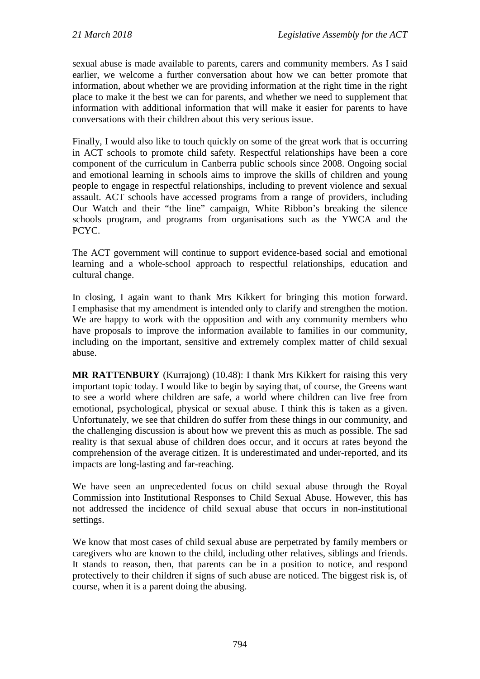sexual abuse is made available to parents, carers and community members. As I said earlier, we welcome a further conversation about how we can better promote that information, about whether we are providing information at the right time in the right place to make it the best we can for parents, and whether we need to supplement that information with additional information that will make it easier for parents to have conversations with their children about this very serious issue.

Finally, I would also like to touch quickly on some of the great work that is occurring in ACT schools to promote child safety. Respectful relationships have been a core component of the curriculum in Canberra public schools since 2008. Ongoing social and emotional learning in schools aims to improve the skills of children and young people to engage in respectful relationships, including to prevent violence and sexual assault. ACT schools have accessed programs from a range of providers, including Our Watch and their "the line" campaign, White Ribbon's breaking the silence schools program, and programs from organisations such as the YWCA and the PCYC.

The ACT government will continue to support evidence-based social and emotional learning and a whole-school approach to respectful relationships, education and cultural change.

In closing, I again want to thank Mrs Kikkert for bringing this motion forward. I emphasise that my amendment is intended only to clarify and strengthen the motion. We are happy to work with the opposition and with any community members who have proposals to improve the information available to families in our community, including on the important, sensitive and extremely complex matter of child sexual abuse.

**MR RATTENBURY** (Kurrajong) (10.48): I thank Mrs Kikkert for raising this very important topic today. I would like to begin by saying that, of course, the Greens want to see a world where children are safe, a world where children can live free from emotional, psychological, physical or sexual abuse. I think this is taken as a given. Unfortunately, we see that children do suffer from these things in our community, and the challenging discussion is about how we prevent this as much as possible. The sad reality is that sexual abuse of children does occur, and it occurs at rates beyond the comprehension of the average citizen. It is underestimated and under-reported, and its impacts are long-lasting and far-reaching.

We have seen an unprecedented focus on child sexual abuse through the Royal Commission into Institutional Responses to Child Sexual Abuse. However, this has not addressed the incidence of child sexual abuse that occurs in non-institutional settings.

We know that most cases of child sexual abuse are perpetrated by family members or caregivers who are known to the child, including other relatives, siblings and friends. It stands to reason, then, that parents can be in a position to notice, and respond protectively to their children if signs of such abuse are noticed. The biggest risk is, of course, when it is a parent doing the abusing.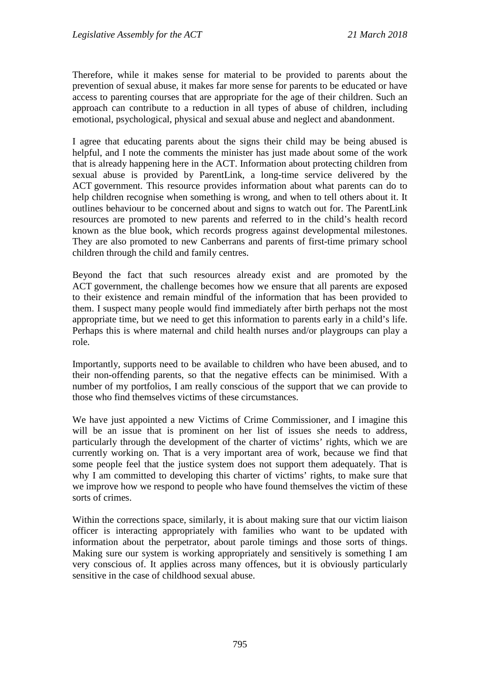Therefore, while it makes sense for material to be provided to parents about the prevention of sexual abuse, it makes far more sense for parents to be educated or have access to parenting courses that are appropriate for the age of their children. Such an approach can contribute to a reduction in all types of abuse of children, including emotional, psychological, physical and sexual abuse and neglect and abandonment.

I agree that educating parents about the signs their child may be being abused is helpful, and I note the comments the minister has just made about some of the work that is already happening here in the ACT. Information about protecting children from sexual abuse is provided by ParentLink, a long-time service delivered by the ACT government. This resource provides information about what parents can do to help children recognise when something is wrong, and when to tell others about it. It outlines behaviour to be concerned about and signs to watch out for. The ParentLink resources are promoted to new parents and referred to in the child's health record known as the blue book, which records progress against developmental milestones. They are also promoted to new Canberrans and parents of first-time primary school children through the child and family centres.

Beyond the fact that such resources already exist and are promoted by the ACT government, the challenge becomes how we ensure that all parents are exposed to their existence and remain mindful of the information that has been provided to them. I suspect many people would find immediately after birth perhaps not the most appropriate time, but we need to get this information to parents early in a child's life. Perhaps this is where maternal and child health nurses and/or playgroups can play a role.

Importantly, supports need to be available to children who have been abused, and to their non-offending parents, so that the negative effects can be minimised. With a number of my portfolios, I am really conscious of the support that we can provide to those who find themselves victims of these circumstances.

We have just appointed a new Victims of Crime Commissioner, and I imagine this will be an issue that is prominent on her list of issues she needs to address, particularly through the development of the charter of victims' rights, which we are currently working on. That is a very important area of work, because we find that some people feel that the justice system does not support them adequately. That is why I am committed to developing this charter of victims' rights, to make sure that we improve how we respond to people who have found themselves the victim of these sorts of crimes.

Within the corrections space, similarly, it is about making sure that our victim liaison officer is interacting appropriately with families who want to be updated with information about the perpetrator, about parole timings and those sorts of things. Making sure our system is working appropriately and sensitively is something I am very conscious of. It applies across many offences, but it is obviously particularly sensitive in the case of childhood sexual abuse.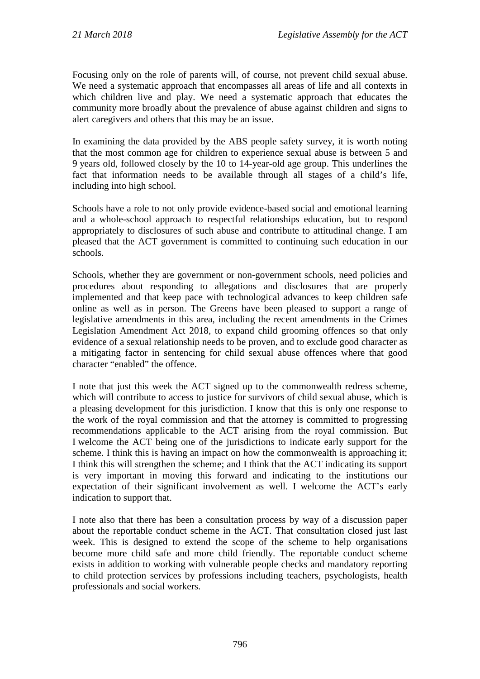Focusing only on the role of parents will, of course, not prevent child sexual abuse. We need a systematic approach that encompasses all areas of life and all contexts in which children live and play. We need a systematic approach that educates the community more broadly about the prevalence of abuse against children and signs to alert caregivers and others that this may be an issue.

In examining the data provided by the ABS people safety survey, it is worth noting that the most common age for children to experience sexual abuse is between 5 and 9 years old, followed closely by the 10 to 14-year-old age group. This underlines the fact that information needs to be available through all stages of a child's life, including into high school.

Schools have a role to not only provide evidence-based social and emotional learning and a whole-school approach to respectful relationships education, but to respond appropriately to disclosures of such abuse and contribute to attitudinal change. I am pleased that the ACT government is committed to continuing such education in our schools.

Schools, whether they are government or non-government schools, need policies and procedures about responding to allegations and disclosures that are properly implemented and that keep pace with technological advances to keep children safe online as well as in person. The Greens have been pleased to support a range of legislative amendments in this area, including the recent amendments in the Crimes Legislation Amendment Act 2018, to expand child grooming offences so that only evidence of a sexual relationship needs to be proven, and to exclude good character as a mitigating factor in sentencing for child sexual abuse offences where that good character "enabled" the offence.

I note that just this week the ACT signed up to the commonwealth redress scheme, which will contribute to access to justice for survivors of child sexual abuse, which is a pleasing development for this jurisdiction. I know that this is only one response to the work of the royal commission and that the attorney is committed to progressing recommendations applicable to the ACT arising from the royal commission. But I welcome the ACT being one of the jurisdictions to indicate early support for the scheme. I think this is having an impact on how the commonwealth is approaching it; I think this will strengthen the scheme; and I think that the ACT indicating its support is very important in moving this forward and indicating to the institutions our expectation of their significant involvement as well. I welcome the ACT's early indication to support that.

I note also that there has been a consultation process by way of a discussion paper about the reportable conduct scheme in the ACT. That consultation closed just last week. This is designed to extend the scope of the scheme to help organisations become more child safe and more child friendly. The reportable conduct scheme exists in addition to working with vulnerable people checks and mandatory reporting to child protection services by professions including teachers, psychologists, health professionals and social workers.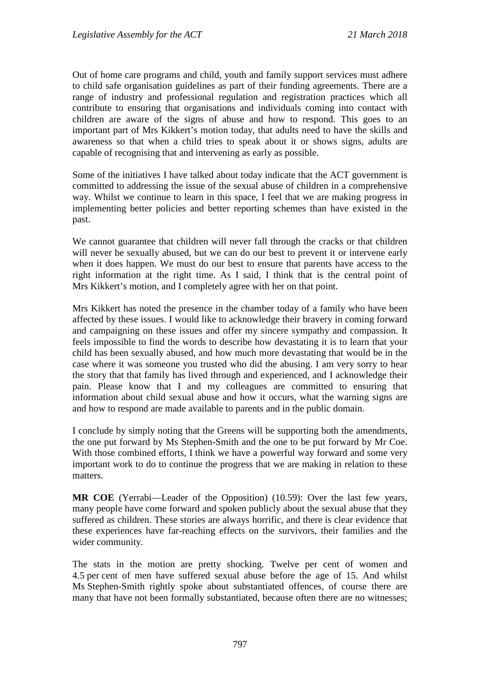Out of home care programs and child, youth and family support services must adhere to child safe organisation guidelines as part of their funding agreements. There are a range of industry and professional regulation and registration practices which all contribute to ensuring that organisations and individuals coming into contact with children are aware of the signs of abuse and how to respond. This goes to an important part of Mrs Kikkert's motion today, that adults need to have the skills and awareness so that when a child tries to speak about it or shows signs, adults are capable of recognising that and intervening as early as possible.

Some of the initiatives I have talked about today indicate that the ACT government is committed to addressing the issue of the sexual abuse of children in a comprehensive way. Whilst we continue to learn in this space, I feel that we are making progress in implementing better policies and better reporting schemes than have existed in the past.

We cannot guarantee that children will never fall through the cracks or that children will never be sexually abused, but we can do our best to prevent it or intervene early when it does happen. We must do our best to ensure that parents have access to the right information at the right time. As I said, I think that is the central point of Mrs Kikkert's motion, and I completely agree with her on that point.

Mrs Kikkert has noted the presence in the chamber today of a family who have been affected by these issues. I would like to acknowledge their bravery in coming forward and campaigning on these issues and offer my sincere sympathy and compassion. It feels impossible to find the words to describe how devastating it is to learn that your child has been sexually abused, and how much more devastating that would be in the case where it was someone you trusted who did the abusing. I am very sorry to hear the story that that family has lived through and experienced, and I acknowledge their pain. Please know that I and my colleagues are committed to ensuring that information about child sexual abuse and how it occurs, what the warning signs are and how to respond are made available to parents and in the public domain.

I conclude by simply noting that the Greens will be supporting both the amendments, the one put forward by Ms Stephen-Smith and the one to be put forward by Mr Coe. With those combined efforts, I think we have a powerful way forward and some very important work to do to continue the progress that we are making in relation to these matters.

**MR COE** (Yerrabi—Leader of the Opposition) (10.59): Over the last few years, many people have come forward and spoken publicly about the sexual abuse that they suffered as children. These stories are always horrific, and there is clear evidence that these experiences have far-reaching effects on the survivors, their families and the wider community.

The stats in the motion are pretty shocking. Twelve per cent of women and 4.5 per cent of men have suffered sexual abuse before the age of 15. And whilst Ms Stephen-Smith rightly spoke about substantiated offences, of course there are many that have not been formally substantiated, because often there are no witnesses;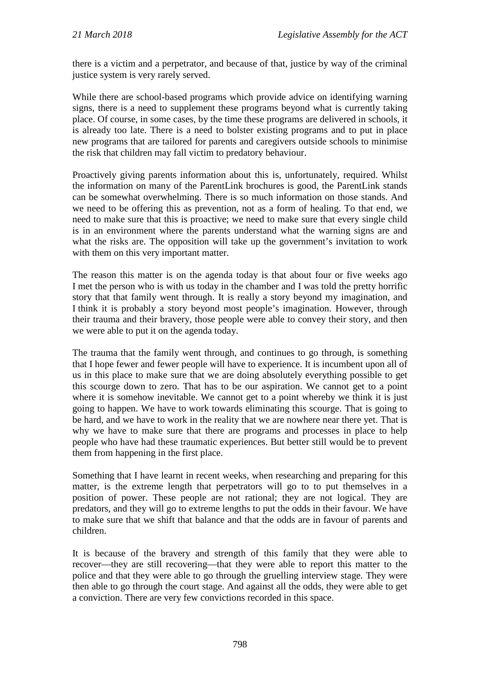there is a victim and a perpetrator, and because of that, justice by way of the criminal justice system is very rarely served.

While there are school-based programs which provide advice on identifying warning signs, there is a need to supplement these programs beyond what is currently taking place. Of course, in some cases, by the time these programs are delivered in schools, it is already too late. There is a need to bolster existing programs and to put in place new programs that are tailored for parents and caregivers outside schools to minimise the risk that children may fall victim to predatory behaviour.

Proactively giving parents information about this is, unfortunately, required. Whilst the information on many of the ParentLink brochures is good, the ParentLink stands can be somewhat overwhelming. There is so much information on those stands. And we need to be offering this as prevention, not as a form of healing. To that end, we need to make sure that this is proactive; we need to make sure that every single child is in an environment where the parents understand what the warning signs are and what the risks are. The opposition will take up the government's invitation to work with them on this very important matter.

The reason this matter is on the agenda today is that about four or five weeks ago I met the person who is with us today in the chamber and I was told the pretty horrific story that that family went through. It is really a story beyond my imagination, and I think it is probably a story beyond most people's imagination. However, through their trauma and their bravery, those people were able to convey their story, and then we were able to put it on the agenda today.

The trauma that the family went through, and continues to go through, is something that I hope fewer and fewer people will have to experience. It is incumbent upon all of us in this place to make sure that we are doing absolutely everything possible to get this scourge down to zero. That has to be our aspiration. We cannot get to a point where it is somehow inevitable. We cannot get to a point whereby we think it is just going to happen. We have to work towards eliminating this scourge. That is going to be hard, and we have to work in the reality that we are nowhere near there yet. That is why we have to make sure that there are programs and processes in place to help people who have had these traumatic experiences. But better still would be to prevent them from happening in the first place.

Something that I have learnt in recent weeks, when researching and preparing for this matter, is the extreme length that perpetrators will go to to put themselves in a position of power. These people are not rational; they are not logical. They are predators, and they will go to extreme lengths to put the odds in their favour. We have to make sure that we shift that balance and that the odds are in favour of parents and children.

It is because of the bravery and strength of this family that they were able to recover—they are still recovering—that they were able to report this matter to the police and that they were able to go through the gruelling interview stage. They were then able to go through the court stage. And against all the odds, they were able to get a conviction. There are very few convictions recorded in this space.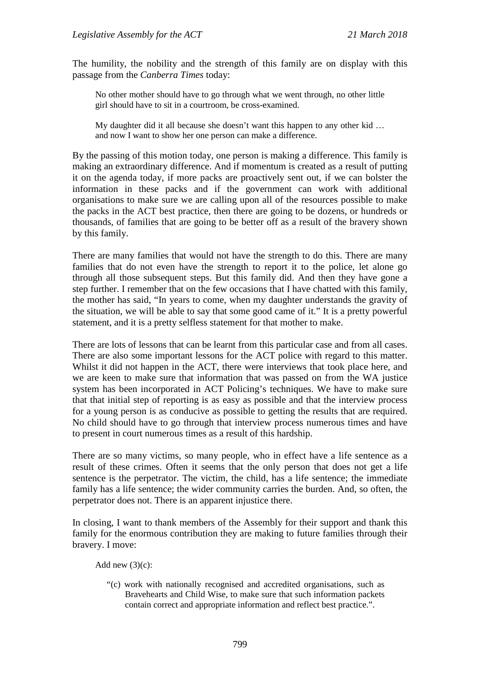The humility, the nobility and the strength of this family are on display with this passage from the *Canberra Times* today:

No other mother should have to go through what we went through, no other little girl should have to sit in a courtroom, be cross-examined.

My daughter did it all because she doesn't want this happen to any other kid … and now I want to show her one person can make a difference.

By the passing of this motion today, one person is making a difference. This family is making an extraordinary difference. And if momentum is created as a result of putting it on the agenda today, if more packs are proactively sent out, if we can bolster the information in these packs and if the government can work with additional organisations to make sure we are calling upon all of the resources possible to make the packs in the ACT best practice, then there are going to be dozens, or hundreds or thousands, of families that are going to be better off as a result of the bravery shown by this family.

There are many families that would not have the strength to do this. There are many families that do not even have the strength to report it to the police, let alone go through all those subsequent steps. But this family did. And then they have gone a step further. I remember that on the few occasions that I have chatted with this family, the mother has said, "In years to come, when my daughter understands the gravity of the situation, we will be able to say that some good came of it." It is a pretty powerful statement, and it is a pretty selfless statement for that mother to make.

There are lots of lessons that can be learnt from this particular case and from all cases. There are also some important lessons for the ACT police with regard to this matter. Whilst it did not happen in the ACT, there were interviews that took place here, and we are keen to make sure that information that was passed on from the WA justice system has been incorporated in ACT Policing's techniques. We have to make sure that that initial step of reporting is as easy as possible and that the interview process for a young person is as conducive as possible to getting the results that are required. No child should have to go through that interview process numerous times and have to present in court numerous times as a result of this hardship.

There are so many victims, so many people, who in effect have a life sentence as a result of these crimes. Often it seems that the only person that does not get a life sentence is the perpetrator. The victim, the child, has a life sentence; the immediate family has a life sentence; the wider community carries the burden. And, so often, the perpetrator does not. There is an apparent injustice there.

In closing, I want to thank members of the Assembly for their support and thank this family for the enormous contribution they are making to future families through their bravery. I move:

Add new  $(3)(c)$ :

"(c) work with nationally recognised and accredited organisations, such as Bravehearts and Child Wise, to make sure that such information packets contain correct and appropriate information and reflect best practice.".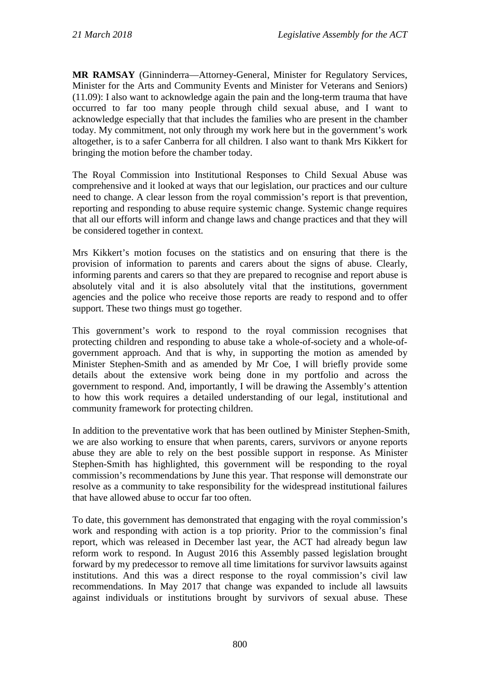**MR RAMSAY** (Ginninderra—Attorney-General, Minister for Regulatory Services, Minister for the Arts and Community Events and Minister for Veterans and Seniors) (11.09): I also want to acknowledge again the pain and the long-term trauma that have occurred to far too many people through child sexual abuse, and I want to acknowledge especially that that includes the families who are present in the chamber today. My commitment, not only through my work here but in the government's work altogether, is to a safer Canberra for all children. I also want to thank Mrs Kikkert for bringing the motion before the chamber today.

The Royal Commission into Institutional Responses to Child Sexual Abuse was comprehensive and it looked at ways that our legislation, our practices and our culture need to change. A clear lesson from the royal commission's report is that prevention, reporting and responding to abuse require systemic change. Systemic change requires that all our efforts will inform and change laws and change practices and that they will be considered together in context.

Mrs Kikkert's motion focuses on the statistics and on ensuring that there is the provision of information to parents and carers about the signs of abuse. Clearly, informing parents and carers so that they are prepared to recognise and report abuse is absolutely vital and it is also absolutely vital that the institutions, government agencies and the police who receive those reports are ready to respond and to offer support. These two things must go together.

This government's work to respond to the royal commission recognises that protecting children and responding to abuse take a whole-of-society and a whole-ofgovernment approach. And that is why, in supporting the motion as amended by Minister Stephen-Smith and as amended by Mr Coe, I will briefly provide some details about the extensive work being done in my portfolio and across the government to respond. And, importantly, I will be drawing the Assembly's attention to how this work requires a detailed understanding of our legal, institutional and community framework for protecting children.

In addition to the preventative work that has been outlined by Minister Stephen-Smith, we are also working to ensure that when parents, carers, survivors or anyone reports abuse they are able to rely on the best possible support in response. As Minister Stephen-Smith has highlighted, this government will be responding to the royal commission's recommendations by June this year. That response will demonstrate our resolve as a community to take responsibility for the widespread institutional failures that have allowed abuse to occur far too often.

To date, this government has demonstrated that engaging with the royal commission's work and responding with action is a top priority. Prior to the commission's final report, which was released in December last year, the ACT had already begun law reform work to respond. In August 2016 this Assembly passed legislation brought forward by my predecessor to remove all time limitations for survivor lawsuits against institutions. And this was a direct response to the royal commission's civil law recommendations. In May 2017 that change was expanded to include all lawsuits against individuals or institutions brought by survivors of sexual abuse. These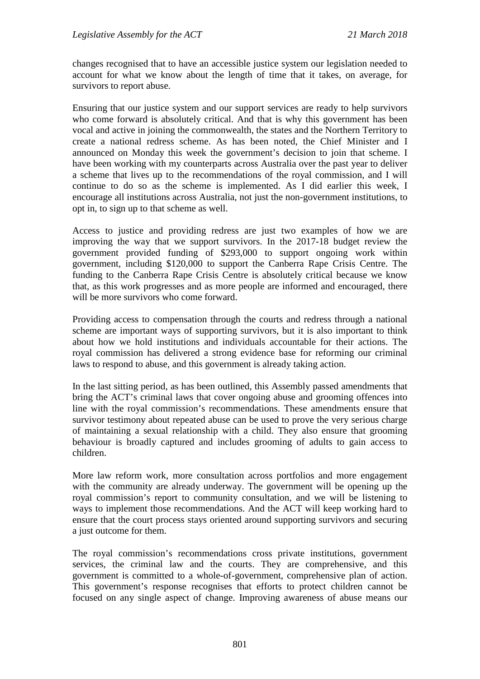changes recognised that to have an accessible justice system our legislation needed to account for what we know about the length of time that it takes, on average, for survivors to report abuse.

Ensuring that our justice system and our support services are ready to help survivors who come forward is absolutely critical. And that is why this government has been vocal and active in joining the commonwealth, the states and the Northern Territory to create a national redress scheme. As has been noted, the Chief Minister and I announced on Monday this week the government's decision to join that scheme. I have been working with my counterparts across Australia over the past year to deliver a scheme that lives up to the recommendations of the royal commission, and I will continue to do so as the scheme is implemented. As I did earlier this week, I encourage all institutions across Australia, not just the non-government institutions, to opt in, to sign up to that scheme as well.

Access to justice and providing redress are just two examples of how we are improving the way that we support survivors. In the 2017-18 budget review the government provided funding of \$293,000 to support ongoing work within government, including \$120,000 to support the Canberra Rape Crisis Centre. The funding to the Canberra Rape Crisis Centre is absolutely critical because we know that, as this work progresses and as more people are informed and encouraged, there will be more survivors who come forward.

Providing access to compensation through the courts and redress through a national scheme are important ways of supporting survivors, but it is also important to think about how we hold institutions and individuals accountable for their actions. The royal commission has delivered a strong evidence base for reforming our criminal laws to respond to abuse, and this government is already taking action.

In the last sitting period, as has been outlined, this Assembly passed amendments that bring the ACT's criminal laws that cover ongoing abuse and grooming offences into line with the royal commission's recommendations. These amendments ensure that survivor testimony about repeated abuse can be used to prove the very serious charge of maintaining a sexual relationship with a child. They also ensure that grooming behaviour is broadly captured and includes grooming of adults to gain access to children.

More law reform work, more consultation across portfolios and more engagement with the community are already underway. The government will be opening up the royal commission's report to community consultation, and we will be listening to ways to implement those recommendations. And the ACT will keep working hard to ensure that the court process stays oriented around supporting survivors and securing a just outcome for them.

The royal commission's recommendations cross private institutions, government services, the criminal law and the courts. They are comprehensive, and this government is committed to a whole-of-government, comprehensive plan of action. This government's response recognises that efforts to protect children cannot be focused on any single aspect of change. Improving awareness of abuse means our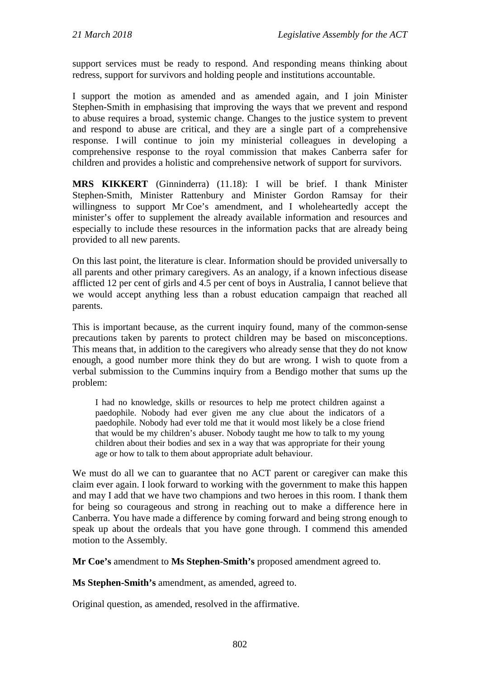support services must be ready to respond. And responding means thinking about redress, support for survivors and holding people and institutions accountable.

I support the motion as amended and as amended again, and I join Minister Stephen-Smith in emphasising that improving the ways that we prevent and respond to abuse requires a broad, systemic change. Changes to the justice system to prevent and respond to abuse are critical, and they are a single part of a comprehensive response. I will continue to join my ministerial colleagues in developing a comprehensive response to the royal commission that makes Canberra safer for children and provides a holistic and comprehensive network of support for survivors.

**MRS KIKKERT** (Ginninderra) (11.18): I will be brief. I thank Minister Stephen-Smith, Minister Rattenbury and Minister Gordon Ramsay for their willingness to support Mr Coe's amendment, and I wholeheartedly accept the minister's offer to supplement the already available information and resources and especially to include these resources in the information packs that are already being provided to all new parents.

On this last point, the literature is clear. Information should be provided universally to all parents and other primary caregivers. As an analogy, if a known infectious disease afflicted 12 per cent of girls and 4.5 per cent of boys in Australia, I cannot believe that we would accept anything less than a robust education campaign that reached all parents.

This is important because, as the current inquiry found, many of the common-sense precautions taken by parents to protect children may be based on misconceptions. This means that, in addition to the caregivers who already sense that they do not know enough, a good number more think they do but are wrong. I wish to quote from a verbal submission to the Cummins inquiry from a Bendigo mother that sums up the problem:

I had no knowledge, skills or resources to help me protect children against a paedophile. Nobody had ever given me any clue about the indicators of a paedophile. Nobody had ever told me that it would most likely be a close friend that would be my children's abuser. Nobody taught me how to talk to my young children about their bodies and sex in a way that was appropriate for their young age or how to talk to them about appropriate adult behaviour.

We must do all we can to guarantee that no ACT parent or caregiver can make this claim ever again. I look forward to working with the government to make this happen and may I add that we have two champions and two heroes in this room. I thank them for being so courageous and strong in reaching out to make a difference here in Canberra. You have made a difference by coming forward and being strong enough to speak up about the ordeals that you have gone through. I commend this amended motion to the Assembly.

**Mr Coe's** amendment to **Ms Stephen-Smith's** proposed amendment agreed to.

**Ms Stephen-Smith's** amendment, as amended, agreed to.

Original question, as amended, resolved in the affirmative.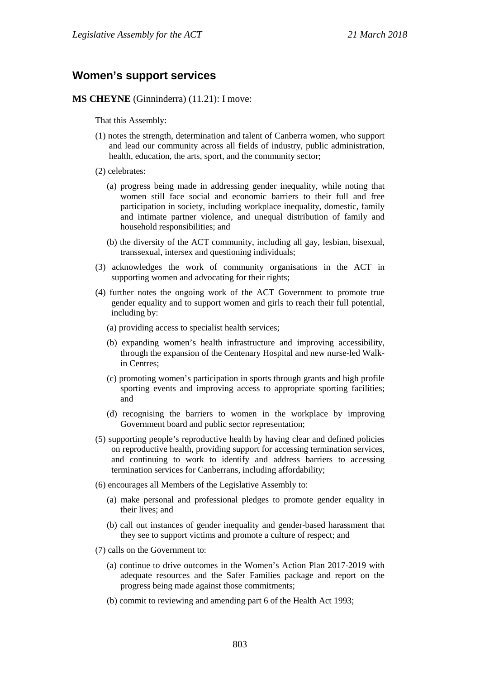#### <span id="page-26-0"></span>**Women's support services**

**MS CHEYNE** (Ginninderra) (11.21): I move:

That this Assembly:

- (1) notes the strength, determination and talent of Canberra women, who support and lead our community across all fields of industry, public administration, health, education, the arts, sport, and the community sector;
- (2) celebrates:
	- (a) progress being made in addressing gender inequality, while noting that women still face social and economic barriers to their full and free participation in society, including workplace inequality, domestic, family and intimate partner violence, and unequal distribution of family and household responsibilities; and
	- (b) the diversity of the ACT community, including all gay, lesbian, bisexual, transsexual, intersex and questioning individuals;
- (3) acknowledges the work of community organisations in the ACT in supporting women and advocating for their rights;
- (4) further notes the ongoing work of the ACT Government to promote true gender equality and to support women and girls to reach their full potential, including by:
	- (a) providing access to specialist health services;
	- (b) expanding women's health infrastructure and improving accessibility, through the expansion of the Centenary Hospital and new nurse-led Walkin Centres;
	- (c) promoting women's participation in sports through grants and high profile sporting events and improving access to appropriate sporting facilities; and
	- (d) recognising the barriers to women in the workplace by improving Government board and public sector representation;
- (5) supporting people's reproductive health by having clear and defined policies on reproductive health, providing support for accessing termination services, and continuing to work to identify and address barriers to accessing termination services for Canberrans, including affordability;
- (6) encourages all Members of the Legislative Assembly to:
	- (a) make personal and professional pledges to promote gender equality in their lives; and
	- (b) call out instances of gender inequality and gender-based harassment that they see to support victims and promote a culture of respect; and
- (7) calls on the Government to:
	- (a) continue to drive outcomes in the Women's Action Plan 2017-2019 with adequate resources and the Safer Families package and report on the progress being made against those commitments;
	- (b) commit to reviewing and amending part 6 of the Health Act 1993;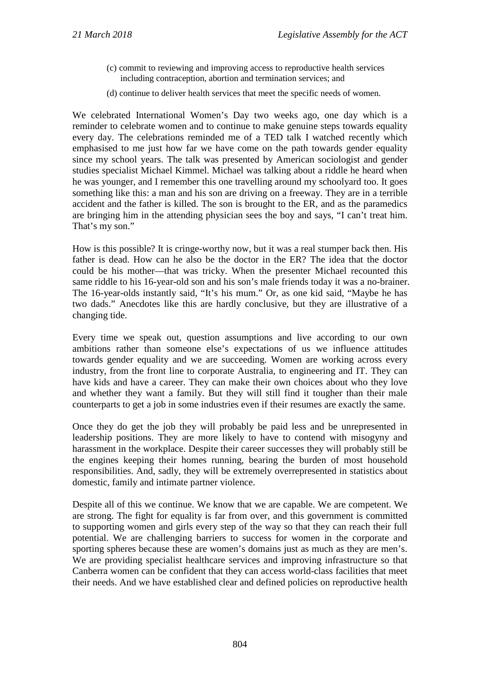- (c) commit to reviewing and improving access to reproductive health services including contraception, abortion and termination services; and
- (d) continue to deliver health services that meet the specific needs of women.

We celebrated International Women's Day two weeks ago, one day which is a reminder to celebrate women and to continue to make genuine steps towards equality every day. The celebrations reminded me of a TED talk I watched recently which emphasised to me just how far we have come on the path towards gender equality since my school years. The talk was presented by American sociologist and gender studies specialist Michael Kimmel. Michael was talking about a riddle he heard when he was younger, and I remember this one travelling around my schoolyard too. It goes something like this: a man and his son are driving on a freeway. They are in a terrible accident and the father is killed. The son is brought to the ER, and as the paramedics are bringing him in the attending physician sees the boy and says, "I can't treat him. That's my son."

How is this possible? It is cringe-worthy now, but it was a real stumper back then. His father is dead. How can he also be the doctor in the ER? The idea that the doctor could be his mother—that was tricky. When the presenter Michael recounted this same riddle to his 16-year-old son and his son's male friends today it was a no-brainer. The 16-year-olds instantly said, "It's his mum." Or, as one kid said, "Maybe he has two dads." Anecdotes like this are hardly conclusive, but they are illustrative of a changing tide.

Every time we speak out, question assumptions and live according to our own ambitions rather than someone else's expectations of us we influence attitudes towards gender equality and we are succeeding. Women are working across every industry, from the front line to corporate Australia, to engineering and IT. They can have kids and have a career. They can make their own choices about who they love and whether they want a family. But they will still find it tougher than their male counterparts to get a job in some industries even if their resumes are exactly the same.

Once they do get the job they will probably be paid less and be unrepresented in leadership positions. They are more likely to have to contend with misogyny and harassment in the workplace. Despite their career successes they will probably still be the engines keeping their homes running, bearing the burden of most household responsibilities. And, sadly, they will be extremely overrepresented in statistics about domestic, family and intimate partner violence.

Despite all of this we continue. We know that we are capable. We are competent. We are strong. The fight for equality is far from over, and this government is committed to supporting women and girls every step of the way so that they can reach their full potential. We are challenging barriers to success for women in the corporate and sporting spheres because these are women's domains just as much as they are men's. We are providing specialist healthcare services and improving infrastructure so that Canberra women can be confident that they can access world-class facilities that meet their needs. And we have established clear and defined policies on reproductive health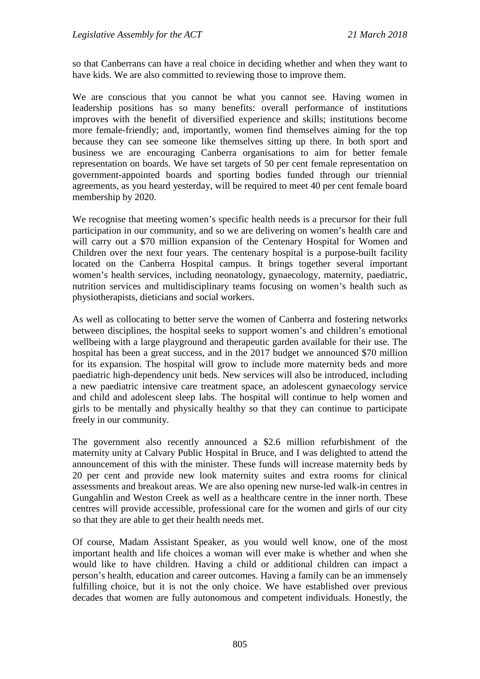so that Canberrans can have a real choice in deciding whether and when they want to have kids. We are also committed to reviewing those to improve them.

We are conscious that you cannot be what you cannot see. Having women in leadership positions has so many benefits: overall performance of institutions improves with the benefit of diversified experience and skills; institutions become more female-friendly; and, importantly, women find themselves aiming for the top because they can see someone like themselves sitting up there. In both sport and business we are encouraging Canberra organisations to aim for better female representation on boards. We have set targets of 50 per cent female representation on government-appointed boards and sporting bodies funded through our triennial agreements, as you heard yesterday, will be required to meet 40 per cent female board membership by 2020.

We recognise that meeting women's specific health needs is a precursor for their full participation in our community, and so we are delivering on women's health care and will carry out a \$70 million expansion of the Centenary Hospital for Women and Children over the next four years. The centenary hospital is a purpose-built facility located on the Canberra Hospital campus. It brings together several important women's health services, including neonatology, gynaecology, maternity, paediatric, nutrition services and multidisciplinary teams focusing on women's health such as physiotherapists, dieticians and social workers.

As well as collocating to better serve the women of Canberra and fostering networks between disciplines, the hospital seeks to support women's and children's emotional wellbeing with a large playground and therapeutic garden available for their use. The hospital has been a great success, and in the 2017 budget we announced \$70 million for its expansion. The hospital will grow to include more maternity beds and more paediatric high-dependency unit beds. New services will also be introduced, including a new paediatric intensive care treatment space, an adolescent gynaecology service and child and adolescent sleep labs. The hospital will continue to help women and girls to be mentally and physically healthy so that they can continue to participate freely in our community.

The government also recently announced a \$2.6 million refurbishment of the maternity unity at Calvary Public Hospital in Bruce, and I was delighted to attend the announcement of this with the minister. These funds will increase maternity beds by 20 per cent and provide new look maternity suites and extra rooms for clinical assessments and breakout areas. We are also opening new nurse-led walk-in centres in Gungahlin and Weston Creek as well as a healthcare centre in the inner north. These centres will provide accessible, professional care for the women and girls of our city so that they are able to get their health needs met.

Of course, Madam Assistant Speaker, as you would well know, one of the most important health and life choices a woman will ever make is whether and when she would like to have children. Having a child or additional children can impact a person's health, education and career outcomes. Having a family can be an immensely fulfilling choice, but it is not the only choice. We have established over previous decades that women are fully autonomous and competent individuals. Honestly, the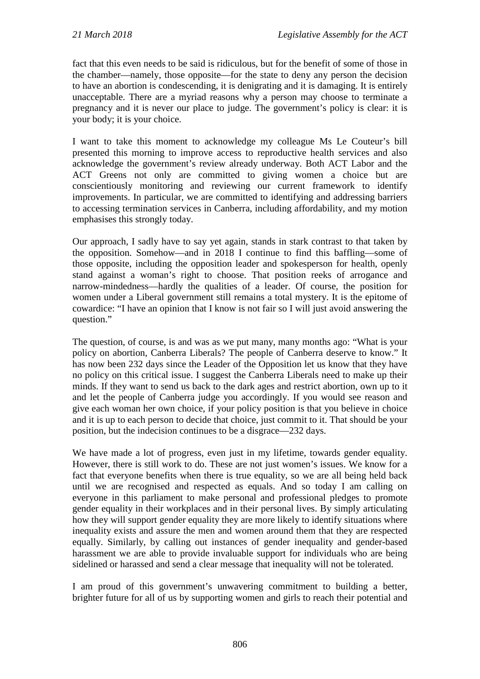fact that this even needs to be said is ridiculous, but for the benefit of some of those in the chamber—namely, those opposite—for the state to deny any person the decision to have an abortion is condescending, it is denigrating and it is damaging. It is entirely unacceptable. There are a myriad reasons why a person may choose to terminate a pregnancy and it is never our place to judge. The government's policy is clear: it is your body; it is your choice.

I want to take this moment to acknowledge my colleague Ms Le Couteur's bill presented this morning to improve access to reproductive health services and also acknowledge the government's review already underway. Both ACT Labor and the ACT Greens not only are committed to giving women a choice but are conscientiously monitoring and reviewing our current framework to identify improvements. In particular, we are committed to identifying and addressing barriers to accessing termination services in Canberra, including affordability, and my motion emphasises this strongly today.

Our approach, I sadly have to say yet again, stands in stark contrast to that taken by the opposition. Somehow—and in 2018 I continue to find this baffling—some of those opposite, including the opposition leader and spokesperson for health, openly stand against a woman's right to choose. That position reeks of arrogance and narrow-mindedness—hardly the qualities of a leader. Of course, the position for women under a Liberal government still remains a total mystery. It is the epitome of cowardice: "I have an opinion that I know is not fair so I will just avoid answering the question."

The question, of course, is and was as we put many, many months ago: "What is your policy on abortion, Canberra Liberals? The people of Canberra deserve to know." It has now been 232 days since the Leader of the Opposition let us know that they have no policy on this critical issue. I suggest the Canberra Liberals need to make up their minds. If they want to send us back to the dark ages and restrict abortion, own up to it and let the people of Canberra judge you accordingly. If you would see reason and give each woman her own choice, if your policy position is that you believe in choice and it is up to each person to decide that choice, just commit to it. That should be your position, but the indecision continues to be a disgrace—232 days.

We have made a lot of progress, even just in my lifetime, towards gender equality. However, there is still work to do. These are not just women's issues. We know for a fact that everyone benefits when there is true equality, so we are all being held back until we are recognised and respected as equals. And so today I am calling on everyone in this parliament to make personal and professional pledges to promote gender equality in their workplaces and in their personal lives. By simply articulating how they will support gender equality they are more likely to identify situations where inequality exists and assure the men and women around them that they are respected equally. Similarly, by calling out instances of gender inequality and gender-based harassment we are able to provide invaluable support for individuals who are being sidelined or harassed and send a clear message that inequality will not be tolerated.

I am proud of this government's unwavering commitment to building a better, brighter future for all of us by supporting women and girls to reach their potential and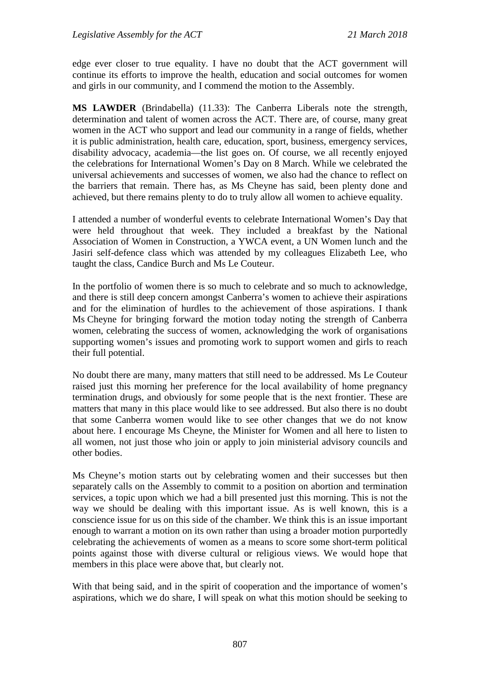edge ever closer to true equality. I have no doubt that the ACT government will continue its efforts to improve the health, education and social outcomes for women and girls in our community, and I commend the motion to the Assembly.

**MS LAWDER** (Brindabella) (11.33): The Canberra Liberals note the strength, determination and talent of women across the ACT. There are, of course, many great women in the ACT who support and lead our community in a range of fields, whether it is public administration, health care, education, sport, business, emergency services, disability advocacy, academia—the list goes on. Of course, we all recently enjoyed the celebrations for International Women's Day on 8 March. While we celebrated the universal achievements and successes of women, we also had the chance to reflect on the barriers that remain. There has, as Ms Cheyne has said, been plenty done and achieved, but there remains plenty to do to truly allow all women to achieve equality.

I attended a number of wonderful events to celebrate International Women's Day that were held throughout that week. They included a breakfast by the National Association of Women in Construction, a YWCA event, a UN Women lunch and the Jasiri self-defence class which was attended by my colleagues Elizabeth Lee, who taught the class, Candice Burch and Ms Le Couteur.

In the portfolio of women there is so much to celebrate and so much to acknowledge, and there is still deep concern amongst Canberra's women to achieve their aspirations and for the elimination of hurdles to the achievement of those aspirations. I thank Ms Cheyne for bringing forward the motion today noting the strength of Canberra women, celebrating the success of women, acknowledging the work of organisations supporting women's issues and promoting work to support women and girls to reach their full potential.

No doubt there are many, many matters that still need to be addressed. Ms Le Couteur raised just this morning her preference for the local availability of home pregnancy termination drugs, and obviously for some people that is the next frontier. These are matters that many in this place would like to see addressed. But also there is no doubt that some Canberra women would like to see other changes that we do not know about here. I encourage Ms Cheyne, the Minister for Women and all here to listen to all women, not just those who join or apply to join ministerial advisory councils and other bodies.

Ms Cheyne's motion starts out by celebrating women and their successes but then separately calls on the Assembly to commit to a position on abortion and termination services, a topic upon which we had a bill presented just this morning. This is not the way we should be dealing with this important issue. As is well known, this is a conscience issue for us on this side of the chamber. We think this is an issue important enough to warrant a motion on its own rather than using a broader motion purportedly celebrating the achievements of women as a means to score some short-term political points against those with diverse cultural or religious views. We would hope that members in this place were above that, but clearly not.

With that being said, and in the spirit of cooperation and the importance of women's aspirations, which we do share, I will speak on what this motion should be seeking to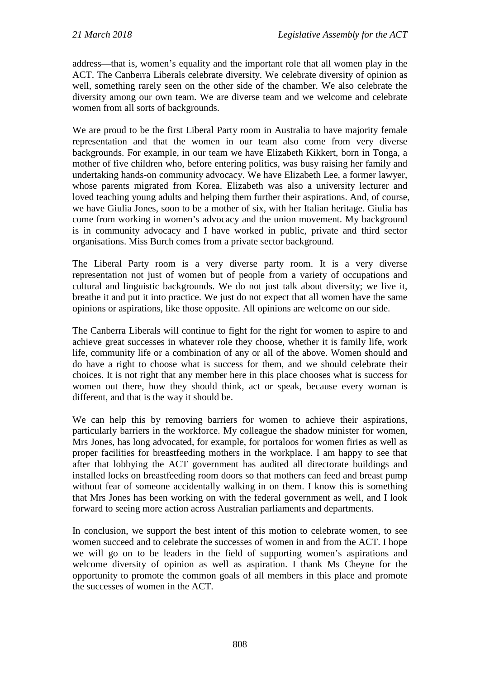address—that is, women's equality and the important role that all women play in the ACT. The Canberra Liberals celebrate diversity. We celebrate diversity of opinion as well, something rarely seen on the other side of the chamber. We also celebrate the diversity among our own team. We are diverse team and we welcome and celebrate women from all sorts of backgrounds.

We are proud to be the first Liberal Party room in Australia to have majority female representation and that the women in our team also come from very diverse backgrounds. For example, in our team we have Elizabeth Kikkert, born in Tonga, a mother of five children who, before entering politics, was busy raising her family and undertaking hands-on community advocacy. We have Elizabeth Lee, a former lawyer, whose parents migrated from Korea. Elizabeth was also a university lecturer and loved teaching young adults and helping them further their aspirations. And, of course, we have Giulia Jones, soon to be a mother of six, with her Italian heritage. Giulia has come from working in women's advocacy and the union movement. My background is in community advocacy and I have worked in public, private and third sector organisations. Miss Burch comes from a private sector background.

The Liberal Party room is a very diverse party room. It is a very diverse representation not just of women but of people from a variety of occupations and cultural and linguistic backgrounds. We do not just talk about diversity; we live it, breathe it and put it into practice. We just do not expect that all women have the same opinions or aspirations, like those opposite. All opinions are welcome on our side.

The Canberra Liberals will continue to fight for the right for women to aspire to and achieve great successes in whatever role they choose, whether it is family life, work life, community life or a combination of any or all of the above. Women should and do have a right to choose what is success for them, and we should celebrate their choices. It is not right that any member here in this place chooses what is success for women out there, how they should think, act or speak, because every woman is different, and that is the way it should be.

We can help this by removing barriers for women to achieve their aspirations, particularly barriers in the workforce. My colleague the shadow minister for women, Mrs Jones, has long advocated, for example, for portaloos for women firies as well as proper facilities for breastfeeding mothers in the workplace. I am happy to see that after that lobbying the ACT government has audited all directorate buildings and installed locks on breastfeeding room doors so that mothers can feed and breast pump without fear of someone accidentally walking in on them. I know this is something that Mrs Jones has been working on with the federal government as well, and I look forward to seeing more action across Australian parliaments and departments.

In conclusion, we support the best intent of this motion to celebrate women, to see women succeed and to celebrate the successes of women in and from the ACT. I hope we will go on to be leaders in the field of supporting women's aspirations and welcome diversity of opinion as well as aspiration. I thank Ms Cheyne for the opportunity to promote the common goals of all members in this place and promote the successes of women in the ACT.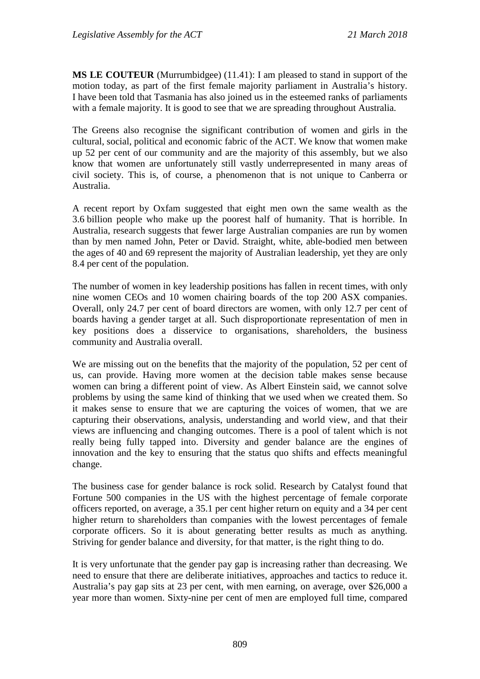**MS LE COUTEUR** (Murrumbidgee) (11.41): I am pleased to stand in support of the motion today, as part of the first female majority parliament in Australia's history. I have been told that Tasmania has also joined us in the esteemed ranks of parliaments with a female majority. It is good to see that we are spreading throughout Australia.

The Greens also recognise the significant contribution of women and girls in the cultural, social, political and economic fabric of the ACT. We know that women make up 52 per cent of our community and are the majority of this assembly, but we also know that women are unfortunately still vastly underrepresented in many areas of civil society. This is, of course, a phenomenon that is not unique to Canberra or Australia.

A recent report by Oxfam suggested that eight men own the same wealth as the 3.6 billion people who make up the poorest half of humanity. That is horrible. In Australia, research suggests that fewer large Australian companies are run by women than by men named John, Peter or David. Straight, white, able-bodied men between the ages of 40 and 69 represent the majority of Australian leadership, yet they are only 8.4 per cent of the population.

The number of women in key leadership positions has fallen in recent times, with only nine women CEOs and 10 women chairing boards of the top 200 ASX companies. Overall, only 24.7 per cent of board directors are women, with only 12.7 per cent of boards having a gender target at all. Such disproportionate representation of men in key positions does a disservice to organisations, shareholders, the business community and Australia overall.

We are missing out on the benefits that the majority of the population, 52 per cent of us, can provide. Having more women at the decision table makes sense because women can bring a different point of view. As Albert Einstein said, we cannot solve problems by using the same kind of thinking that we used when we created them. So it makes sense to ensure that we are capturing the voices of women, that we are capturing their observations, analysis, understanding and world view, and that their views are influencing and changing outcomes. There is a pool of talent which is not really being fully tapped into. Diversity and gender balance are the engines of innovation and the key to ensuring that the status quo shifts and effects meaningful change.

The business case for gender balance is rock solid. Research by Catalyst found that Fortune 500 companies in the US with the highest percentage of female corporate officers reported, on average, a 35.1 per cent higher return on equity and a 34 per cent higher return to shareholders than companies with the lowest percentages of female corporate officers. So it is about generating better results as much as anything. Striving for gender balance and diversity, for that matter, is the right thing to do.

It is very unfortunate that the gender pay gap is increasing rather than decreasing. We need to ensure that there are deliberate initiatives, approaches and tactics to reduce it. Australia's pay gap sits at 23 per cent, with men earning, on average, over \$26,000 a year more than women. Sixty-nine per cent of men are employed full time, compared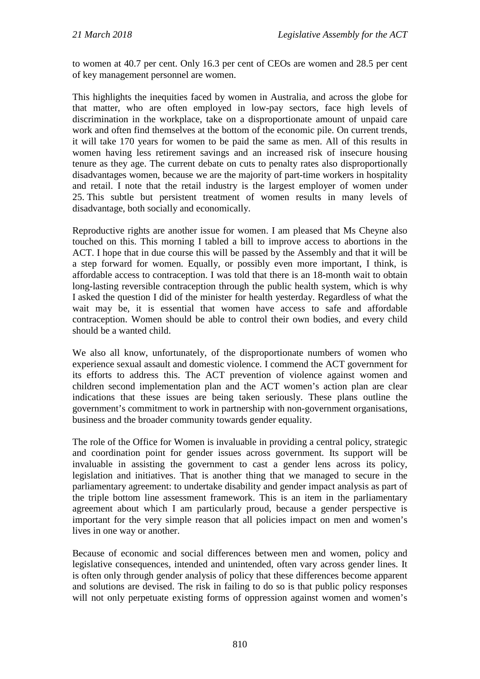to women at 40.7 per cent. Only 16.3 per cent of CEOs are women and 28.5 per cent of key management personnel are women.

This highlights the inequities faced by women in Australia, and across the globe for that matter, who are often employed in low-pay sectors, face high levels of discrimination in the workplace, take on a disproportionate amount of unpaid care work and often find themselves at the bottom of the economic pile. On current trends, it will take 170 years for women to be paid the same as men. All of this results in women having less retirement savings and an increased risk of insecure housing tenure as they age. The current debate on cuts to penalty rates also disproportionally disadvantages women, because we are the majority of part-time workers in hospitality and retail. I note that the retail industry is the largest employer of women under 25. This subtle but persistent treatment of women results in many levels of disadvantage, both socially and economically.

Reproductive rights are another issue for women. I am pleased that Ms Cheyne also touched on this. This morning I tabled a bill to improve access to abortions in the ACT. I hope that in due course this will be passed by the Assembly and that it will be a step forward for women. Equally, or possibly even more important, I think, is affordable access to contraception. I was told that there is an 18-month wait to obtain long-lasting reversible contraception through the public health system, which is why I asked the question I did of the minister for health yesterday. Regardless of what the wait may be, it is essential that women have access to safe and affordable contraception. Women should be able to control their own bodies, and every child should be a wanted child.

We also all know, unfortunately, of the disproportionate numbers of women who experience sexual assault and domestic violence. I commend the ACT government for its efforts to address this. The ACT prevention of violence against women and children second implementation plan and the ACT women's action plan are clear indications that these issues are being taken seriously. These plans outline the government's commitment to work in partnership with non-government organisations, business and the broader community towards gender equality.

The role of the Office for Women is invaluable in providing a central policy, strategic and coordination point for gender issues across government. Its support will be invaluable in assisting the government to cast a gender lens across its policy, legislation and initiatives. That is another thing that we managed to secure in the parliamentary agreement: to undertake disability and gender impact analysis as part of the triple bottom line assessment framework. This is an item in the parliamentary agreement about which I am particularly proud, because a gender perspective is important for the very simple reason that all policies impact on men and women's lives in one way or another.

Because of economic and social differences between men and women, policy and legislative consequences, intended and unintended, often vary across gender lines. It is often only through gender analysis of policy that these differences become apparent and solutions are devised. The risk in failing to do so is that public policy responses will not only perpetuate existing forms of oppression against women and women's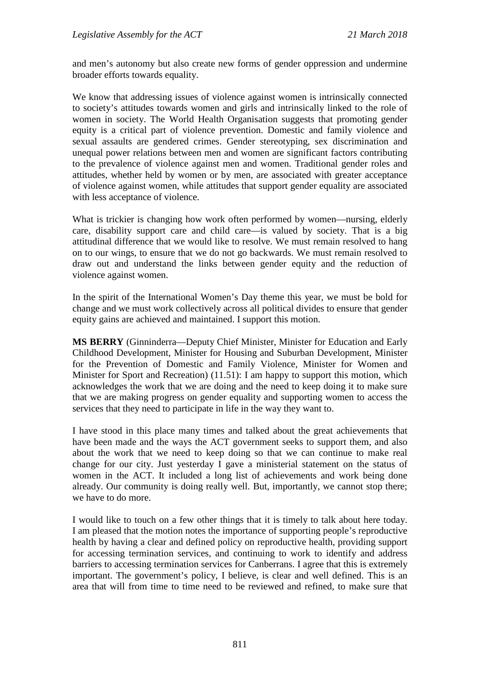and men's autonomy but also create new forms of gender oppression and undermine broader efforts towards equality.

We know that addressing issues of violence against women is intrinsically connected to society's attitudes towards women and girls and intrinsically linked to the role of women in society. The World Health Organisation suggests that promoting gender equity is a critical part of violence prevention. Domestic and family violence and sexual assaults are gendered crimes. Gender stereotyping, sex discrimination and unequal power relations between men and women are significant factors contributing to the prevalence of violence against men and women. Traditional gender roles and attitudes, whether held by women or by men, are associated with greater acceptance of violence against women, while attitudes that support gender equality are associated with less acceptance of violence.

What is trickier is changing how work often performed by women—nursing, elderly care, disability support care and child care—is valued by society. That is a big attitudinal difference that we would like to resolve. We must remain resolved to hang on to our wings, to ensure that we do not go backwards. We must remain resolved to draw out and understand the links between gender equity and the reduction of violence against women.

In the spirit of the International Women's Day theme this year, we must be bold for change and we must work collectively across all political divides to ensure that gender equity gains are achieved and maintained. I support this motion.

**MS BERRY** (Ginninderra—Deputy Chief Minister, Minister for Education and Early Childhood Development, Minister for Housing and Suburban Development, Minister for the Prevention of Domestic and Family Violence, Minister for Women and Minister for Sport and Recreation) (11.51): I am happy to support this motion, which acknowledges the work that we are doing and the need to keep doing it to make sure that we are making progress on gender equality and supporting women to access the services that they need to participate in life in the way they want to.

I have stood in this place many times and talked about the great achievements that have been made and the ways the ACT government seeks to support them, and also about the work that we need to keep doing so that we can continue to make real change for our city. Just yesterday I gave a ministerial statement on the status of women in the ACT. It included a long list of achievements and work being done already. Our community is doing really well. But, importantly, we cannot stop there; we have to do more.

I would like to touch on a few other things that it is timely to talk about here today. I am pleased that the motion notes the importance of supporting people's reproductive health by having a clear and defined policy on reproductive health, providing support for accessing termination services, and continuing to work to identify and address barriers to accessing termination services for Canberrans. I agree that this is extremely important. The government's policy, I believe, is clear and well defined. This is an area that will from time to time need to be reviewed and refined, to make sure that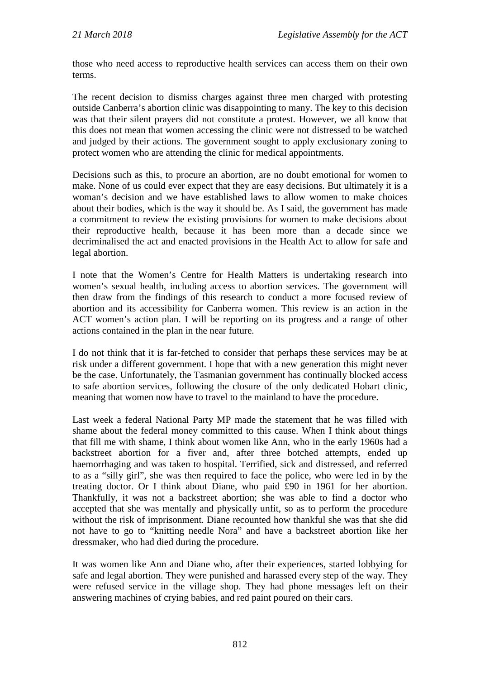those who need access to reproductive health services can access them on their own terms.

The recent decision to dismiss charges against three men charged with protesting outside Canberra's abortion clinic was disappointing to many. The key to this decision was that their silent prayers did not constitute a protest. However, we all know that this does not mean that women accessing the clinic were not distressed to be watched and judged by their actions. The government sought to apply exclusionary zoning to protect women who are attending the clinic for medical appointments.

Decisions such as this, to procure an abortion, are no doubt emotional for women to make. None of us could ever expect that they are easy decisions. But ultimately it is a woman's decision and we have established laws to allow women to make choices about their bodies, which is the way it should be. As I said, the government has made a commitment to review the existing provisions for women to make decisions about their reproductive health, because it has been more than a decade since we decriminalised the act and enacted provisions in the Health Act to allow for safe and legal abortion.

I note that the Women's Centre for Health Matters is undertaking research into women's sexual health, including access to abortion services. The government will then draw from the findings of this research to conduct a more focused review of abortion and its accessibility for Canberra women. This review is an action in the ACT women's action plan. I will be reporting on its progress and a range of other actions contained in the plan in the near future.

I do not think that it is far-fetched to consider that perhaps these services may be at risk under a different government. I hope that with a new generation this might never be the case. Unfortunately, the Tasmanian government has continually blocked access to safe abortion services, following the closure of the only dedicated Hobart clinic, meaning that women now have to travel to the mainland to have the procedure.

Last week a federal National Party MP made the statement that he was filled with shame about the federal money committed to this cause. When I think about things that fill me with shame, I think about women like Ann, who in the early 1960s had a backstreet abortion for a fiver and, after three botched attempts, ended up haemorrhaging and was taken to hospital. Terrified, sick and distressed, and referred to as a "silly girl", she was then required to face the police, who were led in by the treating doctor. Or I think about Diane, who paid £90 in 1961 for her abortion. Thankfully, it was not a backstreet abortion; she was able to find a doctor who accepted that she was mentally and physically unfit, so as to perform the procedure without the risk of imprisonment. Diane recounted how thankful she was that she did not have to go to "knitting needle Nora" and have a backstreet abortion like her dressmaker, who had died during the procedure.

It was women like Ann and Diane who, after their experiences, started lobbying for safe and legal abortion. They were punished and harassed every step of the way. They were refused service in the village shop. They had phone messages left on their answering machines of crying babies, and red paint poured on their cars.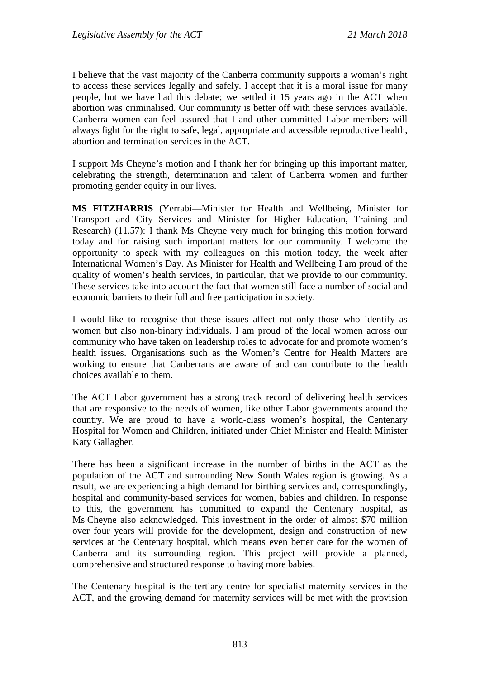I believe that the vast majority of the Canberra community supports a woman's right to access these services legally and safely. I accept that it is a moral issue for many people, but we have had this debate; we settled it 15 years ago in the ACT when abortion was criminalised. Our community is better off with these services available. Canberra women can feel assured that I and other committed Labor members will always fight for the right to safe, legal, appropriate and accessible reproductive health, abortion and termination services in the ACT.

I support Ms Cheyne's motion and I thank her for bringing up this important matter, celebrating the strength, determination and talent of Canberra women and further promoting gender equity in our lives.

**MS FITZHARRIS** (Yerrabi—Minister for Health and Wellbeing, Minister for Transport and City Services and Minister for Higher Education, Training and Research) (11.57): I thank Ms Cheyne very much for bringing this motion forward today and for raising such important matters for our community. I welcome the opportunity to speak with my colleagues on this motion today, the week after International Women's Day. As Minister for Health and Wellbeing I am proud of the quality of women's health services, in particular, that we provide to our community. These services take into account the fact that women still face a number of social and economic barriers to their full and free participation in society.

I would like to recognise that these issues affect not only those who identify as women but also non-binary individuals. I am proud of the local women across our community who have taken on leadership roles to advocate for and promote women's health issues. Organisations such as the Women's Centre for Health Matters are working to ensure that Canberrans are aware of and can contribute to the health choices available to them.

The ACT Labor government has a strong track record of delivering health services that are responsive to the needs of women, like other Labor governments around the country. We are proud to have a world-class women's hospital, the Centenary Hospital for Women and Children, initiated under Chief Minister and Health Minister Katy Gallagher.

There has been a significant increase in the number of births in the ACT as the population of the ACT and surrounding New South Wales region is growing. As a result, we are experiencing a high demand for birthing services and, correspondingly, hospital and community-based services for women, babies and children. In response to this, the government has committed to expand the Centenary hospital, as Ms Cheyne also acknowledged. This investment in the order of almost \$70 million over four years will provide for the development, design and construction of new services at the Centenary hospital, which means even better care for the women of Canberra and its surrounding region. This project will provide a planned, comprehensive and structured response to having more babies.

The Centenary hospital is the tertiary centre for specialist maternity services in the ACT, and the growing demand for maternity services will be met with the provision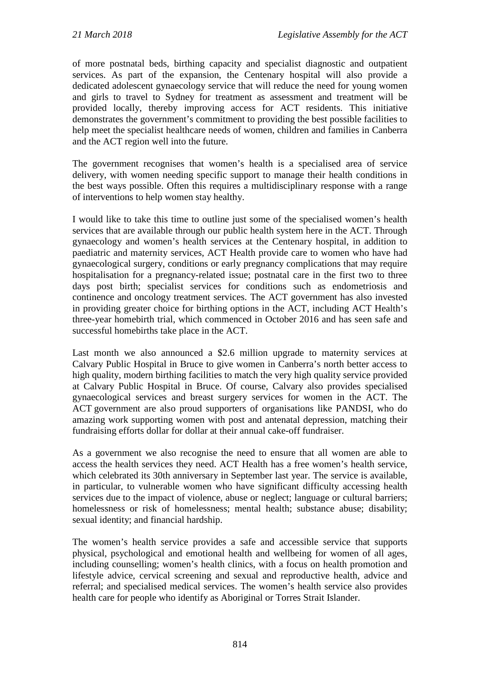of more postnatal beds, birthing capacity and specialist diagnostic and outpatient services. As part of the expansion, the Centenary hospital will also provide a dedicated adolescent gynaecology service that will reduce the need for young women and girls to travel to Sydney for treatment as assessment and treatment will be provided locally, thereby improving access for ACT residents. This initiative demonstrates the government's commitment to providing the best possible facilities to help meet the specialist healthcare needs of women, children and families in Canberra and the ACT region well into the future.

The government recognises that women's health is a specialised area of service delivery, with women needing specific support to manage their health conditions in the best ways possible. Often this requires a multidisciplinary response with a range of interventions to help women stay healthy.

I would like to take this time to outline just some of the specialised women's health services that are available through our public health system here in the ACT. Through gynaecology and women's health services at the Centenary hospital, in addition to paediatric and maternity services, ACT Health provide care to women who have had gynaecological surgery, conditions or early pregnancy complications that may require hospitalisation for a pregnancy-related issue; postnatal care in the first two to three days post birth; specialist services for conditions such as endometriosis and continence and oncology treatment services. The ACT government has also invested in providing greater choice for birthing options in the ACT, including ACT Health's three-year homebirth trial, which commenced in October 2016 and has seen safe and successful homebirths take place in the ACT.

Last month we also announced a \$2.6 million upgrade to maternity services at Calvary Public Hospital in Bruce to give women in Canberra's north better access to high quality, modern birthing facilities to match the very high quality service provided at Calvary Public Hospital in Bruce. Of course, Calvary also provides specialised gynaecological services and breast surgery services for women in the ACT. The ACT government are also proud supporters of organisations like PANDSI, who do amazing work supporting women with post and antenatal depression, matching their fundraising efforts dollar for dollar at their annual cake-off fundraiser.

As a government we also recognise the need to ensure that all women are able to access the health services they need. ACT Health has a free women's health service, which celebrated its 30th anniversary in September last year. The service is available, in particular, to vulnerable women who have significant difficulty accessing health services due to the impact of violence, abuse or neglect; language or cultural barriers; homelessness or risk of homelessness; mental health; substance abuse; disability; sexual identity; and financial hardship.

The women's health service provides a safe and accessible service that supports physical, psychological and emotional health and wellbeing for women of all ages, including counselling; women's health clinics, with a focus on health promotion and lifestyle advice, cervical screening and sexual and reproductive health, advice and referral; and specialised medical services. The women's health service also provides health care for people who identify as Aboriginal or Torres Strait Islander.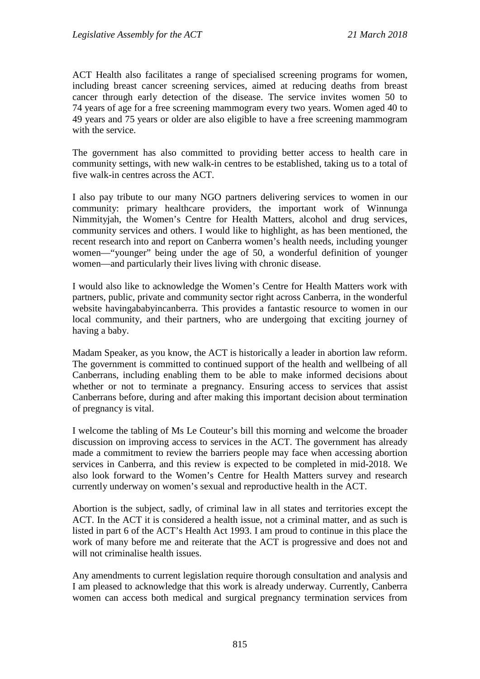ACT Health also facilitates a range of specialised screening programs for women, including breast cancer screening services, aimed at reducing deaths from breast cancer through early detection of the disease. The service invites women 50 to 74 years of age for a free screening mammogram every two years. Women aged 40 to 49 years and 75 years or older are also eligible to have a free screening mammogram with the service.

The government has also committed to providing better access to health care in community settings, with new walk-in centres to be established, taking us to a total of five walk-in centres across the ACT.

I also pay tribute to our many NGO partners delivering services to women in our community: primary healthcare providers, the important work of Winnunga Nimmityjah, the Women's Centre for Health Matters, alcohol and drug services, community services and others. I would like to highlight, as has been mentioned, the recent research into and report on Canberra women's health needs, including younger women—"younger" being under the age of 50, a wonderful definition of younger women—and particularly their lives living with chronic disease.

I would also like to acknowledge the Women's Centre for Health Matters work with partners, public, private and community sector right across Canberra, in the wonderful website havingababyincanberra. This provides a fantastic resource to women in our local community, and their partners, who are undergoing that exciting journey of having a baby.

Madam Speaker, as you know, the ACT is historically a leader in abortion law reform. The government is committed to continued support of the health and wellbeing of all Canberrans, including enabling them to be able to make informed decisions about whether or not to terminate a pregnancy. Ensuring access to services that assist Canberrans before, during and after making this important decision about termination of pregnancy is vital.

I welcome the tabling of Ms Le Couteur's bill this morning and welcome the broader discussion on improving access to services in the ACT. The government has already made a commitment to review the barriers people may face when accessing abortion services in Canberra, and this review is expected to be completed in mid-2018. We also look forward to the Women's Centre for Health Matters survey and research currently underway on women's sexual and reproductive health in the ACT.

Abortion is the subject, sadly, of criminal law in all states and territories except the ACT. In the ACT it is considered a health issue, not a criminal matter, and as such is listed in part 6 of the ACT's Health Act 1993. I am proud to continue in this place the work of many before me and reiterate that the ACT is progressive and does not and will not criminalise health issues.

Any amendments to current legislation require thorough consultation and analysis and I am pleased to acknowledge that this work is already underway. Currently, Canberra women can access both medical and surgical pregnancy termination services from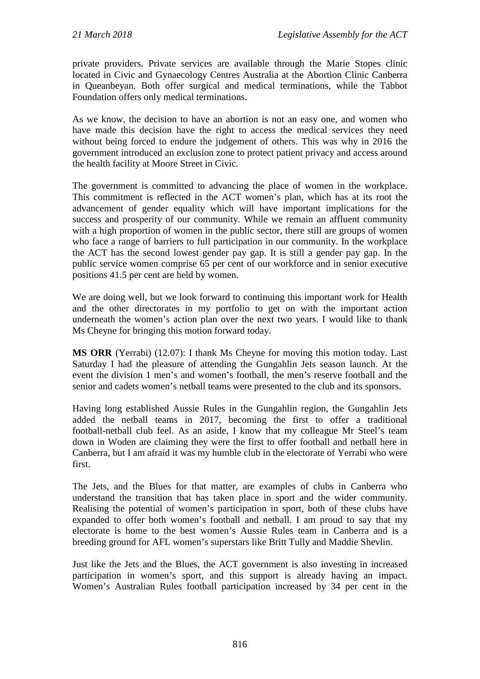private providers. Private services are available through the Marie Stopes clinic located in Civic and Gynaecology Centres Australia at the Abortion Clinic Canberra in Queanbeyan. Both offer surgical and medical terminations, while the Tabbot Foundation offers only medical terminations.

As we know, the decision to have an abortion is not an easy one, and women who have made this decision have the right to access the medical services they need without being forced to endure the judgement of others. This was why in 2016 the government introduced an exclusion zone to protect patient privacy and access around the health facility at Moore Street in Civic.

The government is committed to advancing the place of women in the workplace. This commitment is reflected in the ACT women's plan, which has at its root the advancement of gender equality which will have important implications for the success and prosperity of our community. While we remain an affluent community with a high proportion of women in the public sector, there still are groups of women who face a range of barriers to full participation in our community. In the workplace the ACT has the second lowest gender pay gap. It is still a gender pay gap. In the public service women comprise 65 per cent of our workforce and in senior executive positions 41.5 per cent are held by women.

We are doing well, but we look forward to continuing this important work for Health and the other directorates in my portfolio to get on with the important action underneath the women's action plan over the next two years. I would like to thank Ms Cheyne for bringing this motion forward today.

**MS ORR** (Yerrabi) (12.07): I thank Ms Cheyne for moving this motion today. Last Saturday I had the pleasure of attending the Gungahlin Jets season launch. At the event the division 1 men's and women's football, the men's reserve football and the senior and cadets women's netball teams were presented to the club and its sponsors.

Having long established Aussie Rules in the Gungahlin region, the Gungahlin Jets added the netball teams in 2017, becoming the first to offer a traditional football-netball club feel. As an aside, I know that my colleague Mr Steel's team down in Woden are claiming they were the first to offer football and netball here in Canberra, but I am afraid it was my humble club in the electorate of Yerrabi who were first.

The Jets, and the Blues for that matter, are examples of clubs in Canberra who understand the transition that has taken place in sport and the wider community. Realising the potential of women's participation in sport, both of these clubs have expanded to offer both women's football and netball. I am proud to say that my electorate is home to the best women's Aussie Rules team in Canberra and is a breeding ground for AFL women's superstars like Britt Tully and Maddie Shevlin.

Just like the Jets and the Blues, the ACT government is also investing in increased participation in women's sport, and this support is already having an impact. Women's Australian Rules football participation increased by 34 per cent in the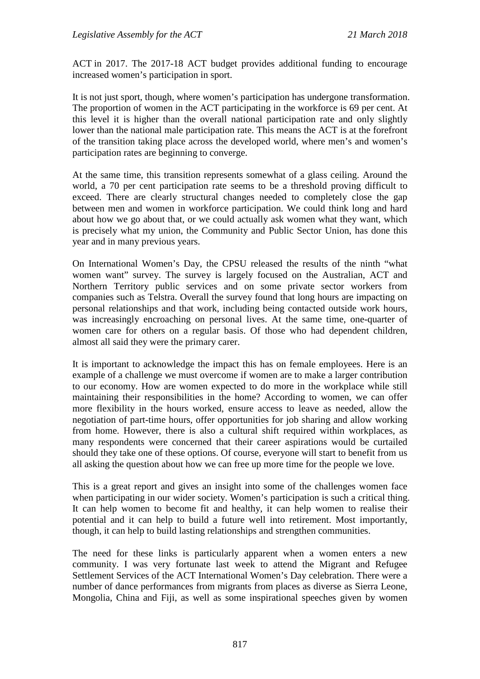ACT in 2017. The 2017-18 ACT budget provides additional funding to encourage increased women's participation in sport.

It is not just sport, though, where women's participation has undergone transformation. The proportion of women in the ACT participating in the workforce is 69 per cent. At this level it is higher than the overall national participation rate and only slightly lower than the national male participation rate. This means the ACT is at the forefront of the transition taking place across the developed world, where men's and women's participation rates are beginning to converge.

At the same time, this transition represents somewhat of a glass ceiling. Around the world, a 70 per cent participation rate seems to be a threshold proving difficult to exceed. There are clearly structural changes needed to completely close the gap between men and women in workforce participation. We could think long and hard about how we go about that, or we could actually ask women what they want, which is precisely what my union, the Community and Public Sector Union, has done this year and in many previous years.

On International Women's Day, the CPSU released the results of the ninth "what women want" survey. The survey is largely focused on the Australian, ACT and Northern Territory public services and on some private sector workers from companies such as Telstra. Overall the survey found that long hours are impacting on personal relationships and that work, including being contacted outside work hours, was increasingly encroaching on personal lives. At the same time, one-quarter of women care for others on a regular basis. Of those who had dependent children, almost all said they were the primary carer.

It is important to acknowledge the impact this has on female employees. Here is an example of a challenge we must overcome if women are to make a larger contribution to our economy. How are women expected to do more in the workplace while still maintaining their responsibilities in the home? According to women, we can offer more flexibility in the hours worked, ensure access to leave as needed, allow the negotiation of part-time hours, offer opportunities for job sharing and allow working from home. However, there is also a cultural shift required within workplaces, as many respondents were concerned that their career aspirations would be curtailed should they take one of these options. Of course, everyone will start to benefit from us all asking the question about how we can free up more time for the people we love.

This is a great report and gives an insight into some of the challenges women face when participating in our wider society. Women's participation is such a critical thing. It can help women to become fit and healthy, it can help women to realise their potential and it can help to build a future well into retirement. Most importantly, though, it can help to build lasting relationships and strengthen communities.

The need for these links is particularly apparent when a women enters a new community. I was very fortunate last week to attend the Migrant and Refugee Settlement Services of the ACT International Women's Day celebration. There were a number of dance performances from migrants from places as diverse as Sierra Leone, Mongolia, China and Fiji, as well as some inspirational speeches given by women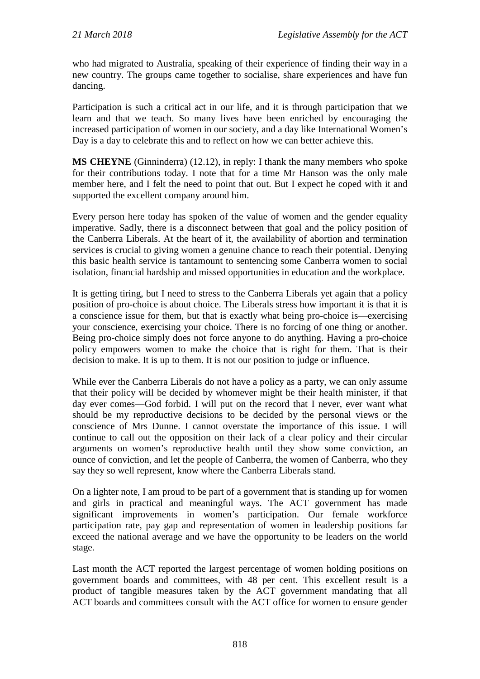who had migrated to Australia, speaking of their experience of finding their way in a new country. The groups came together to socialise, share experiences and have fun dancing.

Participation is such a critical act in our life, and it is through participation that we learn and that we teach. So many lives have been enriched by encouraging the increased participation of women in our society, and a day like International Women's Day is a day to celebrate this and to reflect on how we can better achieve this.

**MS CHEYNE** (Ginninderra) (12.12), in reply: I thank the many members who spoke for their contributions today. I note that for a time Mr Hanson was the only male member here, and I felt the need to point that out. But I expect he coped with it and supported the excellent company around him.

Every person here today has spoken of the value of women and the gender equality imperative. Sadly, there is a disconnect between that goal and the policy position of the Canberra Liberals. At the heart of it, the availability of abortion and termination services is crucial to giving women a genuine chance to reach their potential. Denying this basic health service is tantamount to sentencing some Canberra women to social isolation, financial hardship and missed opportunities in education and the workplace.

It is getting tiring, but I need to stress to the Canberra Liberals yet again that a policy position of pro-choice is about choice. The Liberals stress how important it is that it is a conscience issue for them, but that is exactly what being pro-choice is—exercising your conscience, exercising your choice. There is no forcing of one thing or another. Being pro-choice simply does not force anyone to do anything. Having a pro-choice policy empowers women to make the choice that is right for them. That is their decision to make. It is up to them. It is not our position to judge or influence.

While ever the Canberra Liberals do not have a policy as a party, we can only assume that their policy will be decided by whomever might be their health minister, if that day ever comes—God forbid. I will put on the record that I never, ever want what should be my reproductive decisions to be decided by the personal views or the conscience of Mrs Dunne. I cannot overstate the importance of this issue. I will continue to call out the opposition on their lack of a clear policy and their circular arguments on women's reproductive health until they show some conviction, an ounce of conviction, and let the people of Canberra, the women of Canberra, who they say they so well represent, know where the Canberra Liberals stand.

On a lighter note, I am proud to be part of a government that is standing up for women and girls in practical and meaningful ways. The ACT government has made significant improvements in women's participation. Our female workforce participation rate, pay gap and representation of women in leadership positions far exceed the national average and we have the opportunity to be leaders on the world stage.

Last month the ACT reported the largest percentage of women holding positions on government boards and committees, with 48 per cent. This excellent result is a product of tangible measures taken by the ACT government mandating that all ACT boards and committees consult with the ACT office for women to ensure gender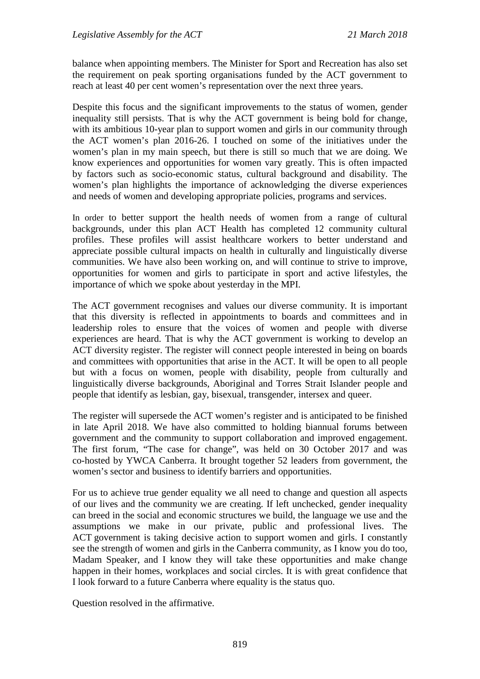balance when appointing members. The Minister for Sport and Recreation has also set the requirement on peak sporting organisations funded by the ACT government to reach at least 40 per cent women's representation over the next three years.

Despite this focus and the significant improvements to the status of women, gender inequality still persists. That is why the ACT government is being bold for change, with its ambitious 10-year plan to support women and girls in our community through the ACT women's plan 2016-26. I touched on some of the initiatives under the women's plan in my main speech, but there is still so much that we are doing. We know experiences and opportunities for women vary greatly. This is often impacted by factors such as socio-economic status, cultural background and disability. The women's plan highlights the importance of acknowledging the diverse experiences and needs of women and developing appropriate policies, programs and services.

In order to better support the health needs of women from a range of cultural backgrounds, under this plan ACT Health has completed 12 community cultural profiles. These profiles will assist healthcare workers to better understand and appreciate possible cultural impacts on health in culturally and linguistically diverse communities. We have also been working on, and will continue to strive to improve, opportunities for women and girls to participate in sport and active lifestyles, the importance of which we spoke about yesterday in the MPI.

The ACT government recognises and values our diverse community. It is important that this diversity is reflected in appointments to boards and committees and in leadership roles to ensure that the voices of women and people with diverse experiences are heard. That is why the ACT government is working to develop an ACT diversity register. The register will connect people interested in being on boards and committees with opportunities that arise in the ACT. It will be open to all people but with a focus on women, people with disability, people from culturally and linguistically diverse backgrounds, Aboriginal and Torres Strait Islander people and people that identify as lesbian, gay, bisexual, transgender, intersex and queer.

The register will supersede the ACT women's register and is anticipated to be finished in late April 2018. We have also committed to holding biannual forums between government and the community to support collaboration and improved engagement. The first forum, "The case for change", was held on 30 October 2017 and was co-hosted by YWCA Canberra. It brought together 52 leaders from government, the women's sector and business to identify barriers and opportunities.

For us to achieve true gender equality we all need to change and question all aspects of our lives and the community we are creating. If left unchecked, gender inequality can breed in the social and economic structures we build, the language we use and the assumptions we make in our private, public and professional lives. The ACT government is taking decisive action to support women and girls. I constantly see the strength of women and girls in the Canberra community, as I know you do too, Madam Speaker, and I know they will take these opportunities and make change happen in their homes, workplaces and social circles. It is with great confidence that I look forward to a future Canberra where equality is the status quo.

Question resolved in the affirmative.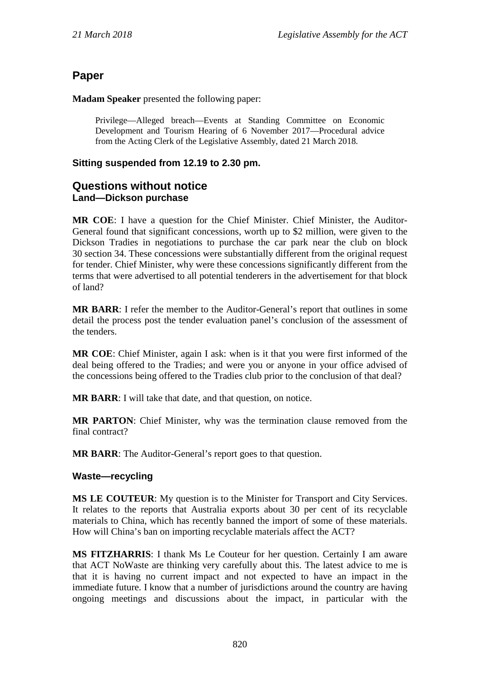# **Paper**

**Madam Speaker** presented the following paper:

Privilege—Alleged breach—Events at Standing Committee on Economic Development and Tourism Hearing of 6 November 2017—Procedural advice from the Acting Clerk of the Legislative Assembly, dated 21 March 2018.

## **Sitting suspended from 12.19 to 2.30 pm.**

## **Questions without notice Land—Dickson purchase**

**MR COE**: I have a question for the Chief Minister. Chief Minister, the Auditor-General found that significant concessions, worth up to \$2 million, were given to the Dickson Tradies in negotiations to purchase the car park near the club on block 30 section 34. These concessions were substantially different from the original request for tender. Chief Minister, why were these concessions significantly different from the terms that were advertised to all potential tenderers in the advertisement for that block of land?

**MR BARR**: I refer the member to the Auditor-General's report that outlines in some detail the process post the tender evaluation panel's conclusion of the assessment of the tenders.

**MR COE**: Chief Minister, again I ask: when is it that you were first informed of the deal being offered to the Tradies; and were you or anyone in your office advised of the concessions being offered to the Tradies club prior to the conclusion of that deal?

**MR BARR**: I will take that date, and that question, on notice.

**MR PARTON**: Chief Minister, why was the termination clause removed from the final contract?

**MR BARR**: The Auditor-General's report goes to that question.

## **Waste—recycling**

**MS LE COUTEUR**: My question is to the Minister for Transport and City Services. It relates to the reports that Australia exports about 30 per cent of its recyclable materials to China, which has recently banned the import of some of these materials. How will China's ban on importing recyclable materials affect the ACT?

**MS FITZHARRIS**: I thank Ms Le Couteur for her question. Certainly I am aware that ACT NoWaste are thinking very carefully about this. The latest advice to me is that it is having no current impact and not expected to have an impact in the immediate future. I know that a number of jurisdictions around the country are having ongoing meetings and discussions about the impact, in particular with the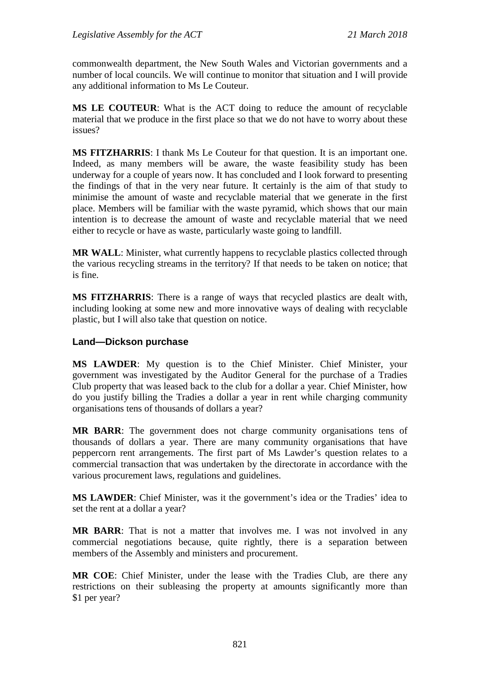commonwealth department, the New South Wales and Victorian governments and a number of local councils. We will continue to monitor that situation and I will provide any additional information to Ms Le Couteur.

**MS LE COUTEUR**: What is the ACT doing to reduce the amount of recyclable material that we produce in the first place so that we do not have to worry about these issues?

**MS FITZHARRIS**: I thank Ms Le Couteur for that question. It is an important one. Indeed, as many members will be aware, the waste feasibility study has been underway for a couple of years now. It has concluded and I look forward to presenting the findings of that in the very near future. It certainly is the aim of that study to minimise the amount of waste and recyclable material that we generate in the first place. Members will be familiar with the waste pyramid, which shows that our main intention is to decrease the amount of waste and recyclable material that we need either to recycle or have as waste, particularly waste going to landfill.

**MR WALL**: Minister, what currently happens to recyclable plastics collected through the various recycling streams in the territory? If that needs to be taken on notice; that is fine.

**MS FITZHARRIS**: There is a range of ways that recycled plastics are dealt with, including looking at some new and more innovative ways of dealing with recyclable plastic, but I will also take that question on notice.

## **Land—Dickson purchase**

**MS LAWDER**: My question is to the Chief Minister. Chief Minister, your government was investigated by the Auditor General for the purchase of a Tradies Club property that was leased back to the club for a dollar a year. Chief Minister, how do you justify billing the Tradies a dollar a year in rent while charging community organisations tens of thousands of dollars a year?

**MR BARR**: The government does not charge community organisations tens of thousands of dollars a year. There are many community organisations that have peppercorn rent arrangements. The first part of Ms Lawder's question relates to a commercial transaction that was undertaken by the directorate in accordance with the various procurement laws, regulations and guidelines.

**MS LAWDER**: Chief Minister, was it the government's idea or the Tradies' idea to set the rent at a dollar a year?

**MR BARR**: That is not a matter that involves me. I was not involved in any commercial negotiations because, quite rightly, there is a separation between members of the Assembly and ministers and procurement.

**MR COE**: Chief Minister, under the lease with the Tradies Club, are there any restrictions on their subleasing the property at amounts significantly more than \$1 per year?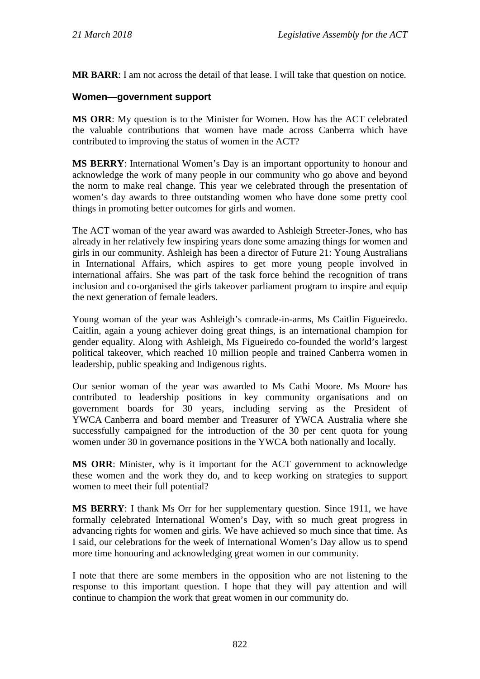**MR BARR**: I am not across the detail of that lease. I will take that question on notice.

## **Women—government support**

**MS ORR**: My question is to the Minister for Women. How has the ACT celebrated the valuable contributions that women have made across Canberra which have contributed to improving the status of women in the ACT?

**MS BERRY**: International Women's Day is an important opportunity to honour and acknowledge the work of many people in our community who go above and beyond the norm to make real change. This year we celebrated through the presentation of women's day awards to three outstanding women who have done some pretty cool things in promoting better outcomes for girls and women.

The ACT woman of the year award was awarded to Ashleigh Streeter-Jones, who has already in her relatively few inspiring years done some amazing things for women and girls in our community. Ashleigh has been a director of Future 21: Young Australians in International Affairs, which aspires to get more young people involved in international affairs. She was part of the task force behind the recognition of trans inclusion and co-organised the girls takeover parliament program to inspire and equip the next generation of female leaders.

Young woman of the year was Ashleigh's comrade-in-arms, Ms Caitlin Figueiredo. Caitlin, again a young achiever doing great things, is an international champion for gender equality. Along with Ashleigh, Ms Figueiredo co-founded the world's largest political takeover, which reached 10 million people and trained Canberra women in leadership, public speaking and Indigenous rights.

Our senior woman of the year was awarded to Ms Cathi Moore. Ms Moore has contributed to leadership positions in key community organisations and on government boards for 30 years, including serving as the President of YWCA Canberra and board member and Treasurer of YWCA Australia where she successfully campaigned for the introduction of the 30 per cent quota for young women under 30 in governance positions in the YWCA both nationally and locally.

**MS ORR**: Minister, why is it important for the ACT government to acknowledge these women and the work they do, and to keep working on strategies to support women to meet their full potential?

**MS BERRY**: I thank Ms Orr for her supplementary question. Since 1911, we have formally celebrated International Women's Day, with so much great progress in advancing rights for women and girls. We have achieved so much since that time. As I said, our celebrations for the week of International Women's Day allow us to spend more time honouring and acknowledging great women in our community.

I note that there are some members in the opposition who are not listening to the response to this important question. I hope that they will pay attention and will continue to champion the work that great women in our community do.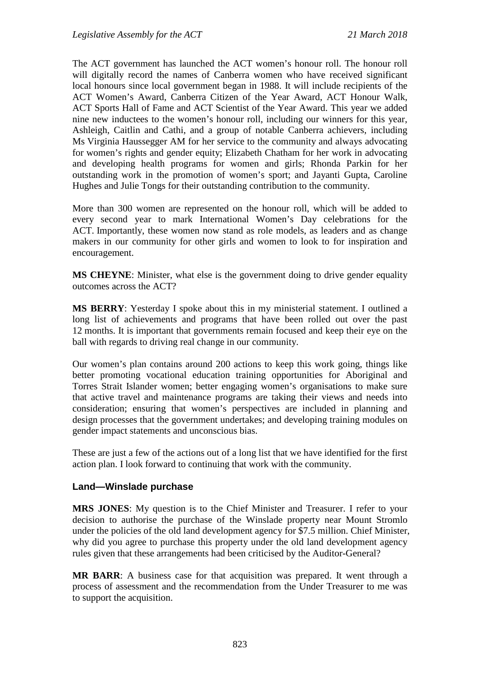The ACT government has launched the ACT women's honour roll. The honour roll will digitally record the names of Canberra women who have received significant local honours since local government began in 1988. It will include recipients of the ACT Women's Award, Canberra Citizen of the Year Award, ACT Honour Walk, ACT Sports Hall of Fame and ACT Scientist of the Year Award. This year we added nine new inductees to the women's honour roll, including our winners for this year, Ashleigh, Caitlin and Cathi, and a group of notable Canberra achievers, including Ms Virginia Haussegger AM for her service to the community and always advocating for women's rights and gender equity; Elizabeth Chatham for her work in advocating and developing health programs for women and girls; Rhonda Parkin for her outstanding work in the promotion of women's sport; and Jayanti Gupta, Caroline Hughes and Julie Tongs for their outstanding contribution to the community.

More than 300 women are represented on the honour roll, which will be added to every second year to mark International Women's Day celebrations for the ACT. Importantly, these women now stand as role models, as leaders and as change makers in our community for other girls and women to look to for inspiration and encouragement.

**MS CHEYNE**: Minister, what else is the government doing to drive gender equality outcomes across the ACT?

**MS BERRY**: Yesterday I spoke about this in my ministerial statement. I outlined a long list of achievements and programs that have been rolled out over the past 12 months. It is important that governments remain focused and keep their eye on the ball with regards to driving real change in our community.

Our women's plan contains around 200 actions to keep this work going, things like better promoting vocational education training opportunities for Aboriginal and Torres Strait Islander women; better engaging women's organisations to make sure that active travel and maintenance programs are taking their views and needs into consideration; ensuring that women's perspectives are included in planning and design processes that the government undertakes; and developing training modules on gender impact statements and unconscious bias.

These are just a few of the actions out of a long list that we have identified for the first action plan. I look forward to continuing that work with the community.

## **Land—Winslade purchase**

**MRS JONES**: My question is to the Chief Minister and Treasurer. I refer to your decision to authorise the purchase of the Winslade property near Mount Stromlo under the policies of the old land development agency for \$7.5 million. Chief Minister, why did you agree to purchase this property under the old land development agency rules given that these arrangements had been criticised by the Auditor-General?

**MR BARR**: A business case for that acquisition was prepared. It went through a process of assessment and the recommendation from the Under Treasurer to me was to support the acquisition.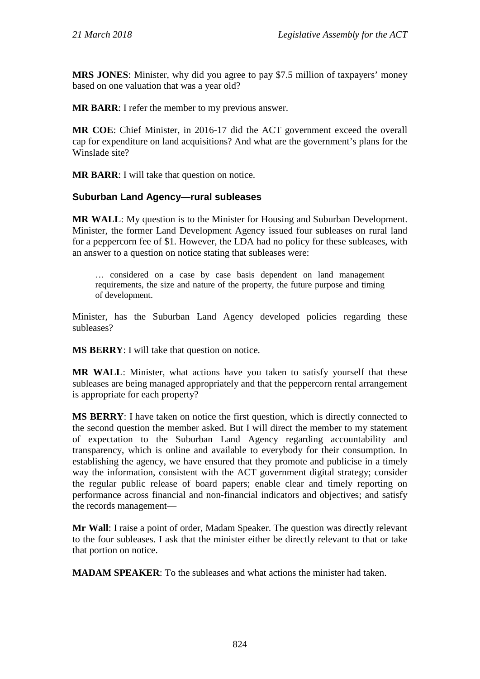**MRS JONES**: Minister, why did you agree to pay \$7.5 million of taxpayers' money based on one valuation that was a year old?

**MR BARR**: I refer the member to my previous answer.

**MR COE**: Chief Minister, in 2016-17 did the ACT government exceed the overall cap for expenditure on land acquisitions? And what are the government's plans for the Winslade site?

**MR BARR**: I will take that question on notice.

## **Suburban Land Agency—rural subleases**

**MR WALL**: My question is to the Minister for Housing and Suburban Development. Minister, the former Land Development Agency issued four subleases on rural land for a peppercorn fee of \$1. However, the LDA had no policy for these subleases, with an answer to a question on notice stating that subleases were:

… considered on a case by case basis dependent on land management requirements, the size and nature of the property, the future purpose and timing of development.

Minister, has the Suburban Land Agency developed policies regarding these subleases?

**MS BERRY**: I will take that question on notice.

**MR WALL**: Minister, what actions have you taken to satisfy yourself that these subleases are being managed appropriately and that the peppercorn rental arrangement is appropriate for each property?

**MS BERRY**: I have taken on notice the first question, which is directly connected to the second question the member asked. But I will direct the member to my statement of expectation to the Suburban Land Agency regarding accountability and transparency, which is online and available to everybody for their consumption. In establishing the agency, we have ensured that they promote and publicise in a timely way the information, consistent with the ACT government digital strategy; consider the regular public release of board papers; enable clear and timely reporting on performance across financial and non-financial indicators and objectives; and satisfy the records management—

**Mr Wall**: I raise a point of order, Madam Speaker. The question was directly relevant to the four subleases. I ask that the minister either be directly relevant to that or take that portion on notice.

**MADAM SPEAKER**: To the subleases and what actions the minister had taken.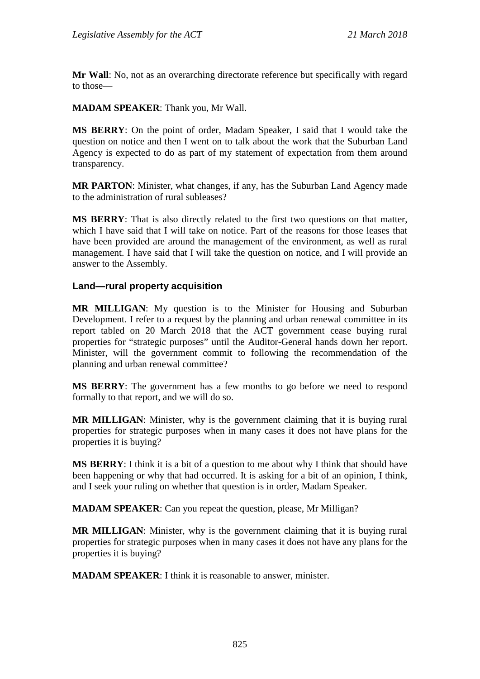**Mr Wall**: No, not as an overarching directorate reference but specifically with regard to those—

**MADAM SPEAKER**: Thank you, Mr Wall.

**MS BERRY**: On the point of order, Madam Speaker, I said that I would take the question on notice and then I went on to talk about the work that the Suburban Land Agency is expected to do as part of my statement of expectation from them around transparency.

**MR PARTON**: Minister, what changes, if any, has the Suburban Land Agency made to the administration of rural subleases?

**MS BERRY**: That is also directly related to the first two questions on that matter, which I have said that I will take on notice. Part of the reasons for those leases that have been provided are around the management of the environment, as well as rural management. I have said that I will take the question on notice, and I will provide an answer to the Assembly.

#### **Land—rural property acquisition**

**MR MILLIGAN**: My question is to the Minister for Housing and Suburban Development. I refer to a request by the planning and urban renewal committee in its report tabled on 20 March 2018 that the ACT government cease buying rural properties for "strategic purposes" until the Auditor-General hands down her report. Minister, will the government commit to following the recommendation of the planning and urban renewal committee?

**MS BERRY**: The government has a few months to go before we need to respond formally to that report, and we will do so.

**MR MILLIGAN**: Minister, why is the government claiming that it is buying rural properties for strategic purposes when in many cases it does not have plans for the properties it is buying?

**MS BERRY**: I think it is a bit of a question to me about why I think that should have been happening or why that had occurred. It is asking for a bit of an opinion, I think, and I seek your ruling on whether that question is in order, Madam Speaker.

**MADAM SPEAKER**: Can you repeat the question, please, Mr Milligan?

**MR MILLIGAN**: Minister, why is the government claiming that it is buying rural properties for strategic purposes when in many cases it does not have any plans for the properties it is buying?

**MADAM SPEAKER**: I think it is reasonable to answer, minister.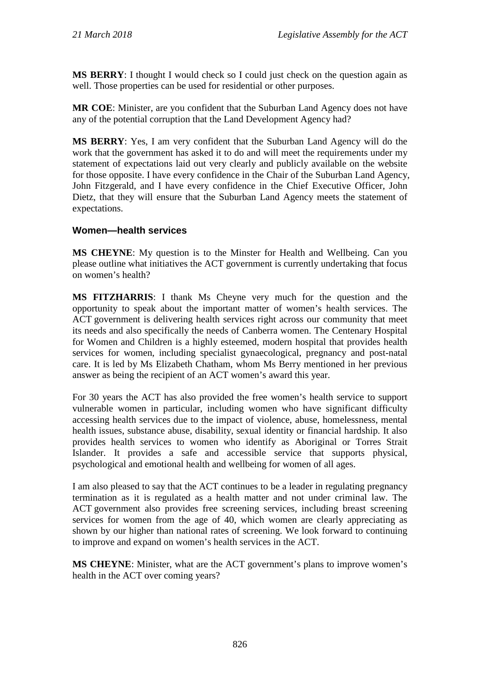**MS BERRY**: I thought I would check so I could just check on the question again as well. Those properties can be used for residential or other purposes.

**MR COE**: Minister, are you confident that the Suburban Land Agency does not have any of the potential corruption that the Land Development Agency had?

**MS BERRY**: Yes, I am very confident that the Suburban Land Agency will do the work that the government has asked it to do and will meet the requirements under my statement of expectations laid out very clearly and publicly available on the website for those opposite. I have every confidence in the Chair of the Suburban Land Agency, John Fitzgerald, and I have every confidence in the Chief Executive Officer, John Dietz, that they will ensure that the Suburban Land Agency meets the statement of expectations.

## **Women—health services**

**MS CHEYNE**: My question is to the Minster for Health and Wellbeing. Can you please outline what initiatives the ACT government is currently undertaking that focus on women's health?

**MS FITZHARRIS**: I thank Ms Cheyne very much for the question and the opportunity to speak about the important matter of women's health services. The ACT government is delivering health services right across our community that meet its needs and also specifically the needs of Canberra women. The Centenary Hospital for Women and Children is a highly esteemed, modern hospital that provides health services for women, including specialist gynaecological, pregnancy and post-natal care. It is led by Ms Elizabeth Chatham, whom Ms Berry mentioned in her previous answer as being the recipient of an ACT women's award this year.

For 30 years the ACT has also provided the free women's health service to support vulnerable women in particular, including women who have significant difficulty accessing health services due to the impact of violence, abuse, homelessness, mental health issues, substance abuse, disability, sexual identity or financial hardship. It also provides health services to women who identify as Aboriginal or Torres Strait Islander. It provides a safe and accessible service that supports physical, psychological and emotional health and wellbeing for women of all ages.

I am also pleased to say that the ACT continues to be a leader in regulating pregnancy termination as it is regulated as a health matter and not under criminal law. The ACT government also provides free screening services, including breast screening services for women from the age of 40, which women are clearly appreciating as shown by our higher than national rates of screening. We look forward to continuing to improve and expand on women's health services in the ACT.

**MS CHEYNE**: Minister, what are the ACT government's plans to improve women's health in the ACT over coming years?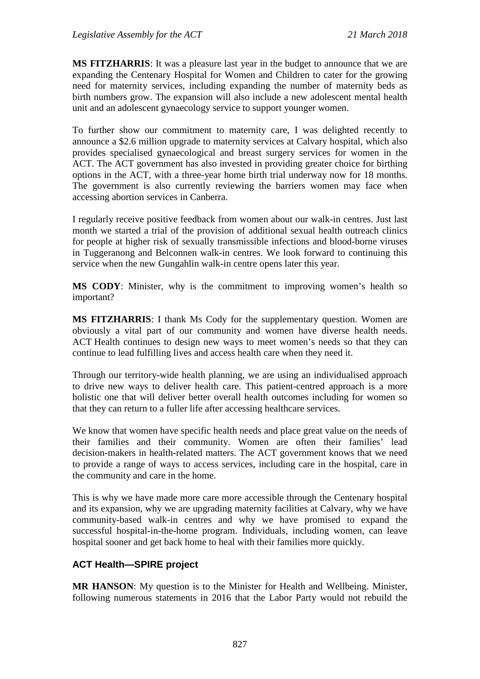**MS FITZHARRIS**: It was a pleasure last year in the budget to announce that we are expanding the Centenary Hospital for Women and Children to cater for the growing need for maternity services, including expanding the number of maternity beds as birth numbers grow. The expansion will also include a new adolescent mental health unit and an adolescent gynaecology service to support younger women.

To further show our commitment to maternity care, I was delighted recently to announce a \$2.6 million upgrade to maternity services at Calvary hospital, which also provides specialised gynaecological and breast surgery services for women in the ACT. The ACT government has also invested in providing greater choice for birthing options in the ACT, with a three-year home birth trial underway now for 18 months. The government is also currently reviewing the barriers women may face when accessing abortion services in Canberra.

I regularly receive positive feedback from women about our walk-in centres. Just last month we started a trial of the provision of additional sexual health outreach clinics for people at higher risk of sexually transmissible infections and blood-borne viruses in Tuggeranong and Belconnen walk-in centres. We look forward to continuing this service when the new Gungahlin walk-in centre opens later this year.

**MS CODY**: Minister, why is the commitment to improving women's health so important?

**MS FITZHARRIS**: I thank Ms Cody for the supplementary question. Women are obviously a vital part of our community and women have diverse health needs. ACT Health continues to design new ways to meet women's needs so that they can continue to lead fulfilling lives and access health care when they need it.

Through our territory-wide health planning, we are using an individualised approach to drive new ways to deliver health care. This patient-centred approach is a more holistic one that will deliver better overall health outcomes including for women so that they can return to a fuller life after accessing healthcare services.

We know that women have specific health needs and place great value on the needs of their families and their community. Women are often their families' lead decision-makers in health-related matters. The ACT government knows that we need to provide a range of ways to access services, including care in the hospital, care in the community and care in the home.

This is why we have made more care more accessible through the Centenary hospital and its expansion, why we are upgrading maternity facilities at Calvary, why we have community-based walk-in centres and why we have promised to expand the successful hospital-in-the-home program. Individuals, including women, can leave hospital sooner and get back home to heal with their families more quickly.

## **ACT Health—SPIRE project**

**MR HANSON**: My question is to the Minister for Health and Wellbeing. Minister, following numerous statements in 2016 that the Labor Party would not rebuild the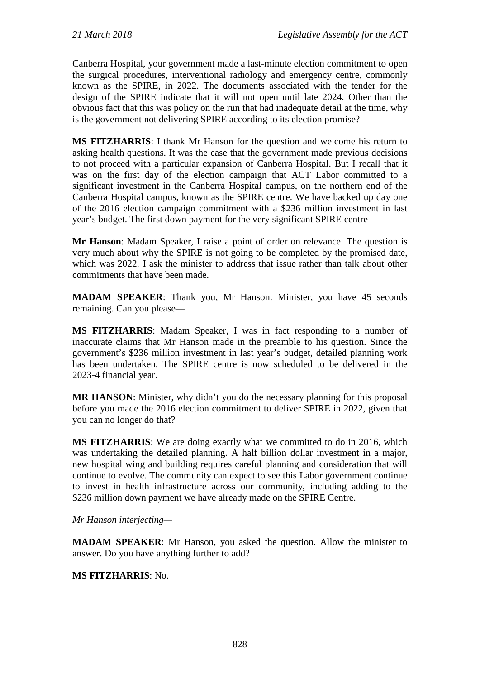Canberra Hospital, your government made a last-minute election commitment to open the surgical procedures, interventional radiology and emergency centre, commonly known as the SPIRE, in 2022. The documents associated with the tender for the design of the SPIRE indicate that it will not open until late 2024. Other than the obvious fact that this was policy on the run that had inadequate detail at the time, why is the government not delivering SPIRE according to its election promise?

**MS FITZHARRIS**: I thank Mr Hanson for the question and welcome his return to asking health questions. It was the case that the government made previous decisions to not proceed with a particular expansion of Canberra Hospital. But I recall that it was on the first day of the election campaign that ACT Labor committed to a significant investment in the Canberra Hospital campus, on the northern end of the Canberra Hospital campus, known as the SPIRE centre. We have backed up day one of the 2016 election campaign commitment with a \$236 million investment in last year's budget. The first down payment for the very significant SPIRE centre—

**Mr Hanson**: Madam Speaker, I raise a point of order on relevance. The question is very much about why the SPIRE is not going to be completed by the promised date, which was 2022. I ask the minister to address that issue rather than talk about other commitments that have been made.

**MADAM SPEAKER**: Thank you, Mr Hanson. Minister, you have 45 seconds remaining. Can you please—

**MS FITZHARRIS**: Madam Speaker, I was in fact responding to a number of inaccurate claims that Mr Hanson made in the preamble to his question. Since the government's \$236 million investment in last year's budget, detailed planning work has been undertaken. The SPIRE centre is now scheduled to be delivered in the 2023-4 financial year.

**MR HANSON**: Minister, why didn't you do the necessary planning for this proposal before you made the 2016 election commitment to deliver SPIRE in 2022, given that you can no longer do that?

**MS FITZHARRIS**: We are doing exactly what we committed to do in 2016, which was undertaking the detailed planning. A half billion dollar investment in a major, new hospital wing and building requires careful planning and consideration that will continue to evolve. The community can expect to see this Labor government continue to invest in health infrastructure across our community, including adding to the \$236 million down payment we have already made on the SPIRE Centre.

## *Mr Hanson interjecting—*

**MADAM SPEAKER**: Mr Hanson, you asked the question. Allow the minister to answer. Do you have anything further to add?

## **MS FITZHARRIS**: No.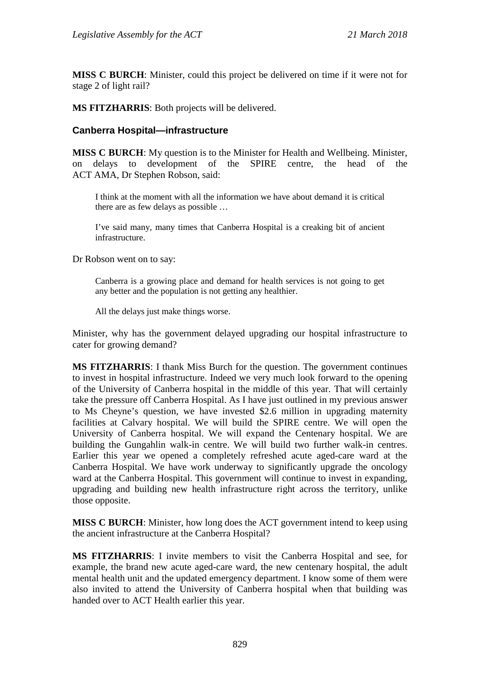**MISS C BURCH**: Minister, could this project be delivered on time if it were not for stage 2 of light rail?

**MS FITZHARRIS**: Both projects will be delivered.

#### **Canberra Hospital—infrastructure**

**MISS C BURCH**: My question is to the Minister for Health and Wellbeing. Minister, on delays to development of the SPIRE centre, the head of the ACT AMA, Dr Stephen Robson, said:

I think at the moment with all the information we have about demand it is critical there are as few delays as possible …

I've said many, many times that Canberra Hospital is a creaking bit of ancient infrastructure.

Dr Robson went on to say:

Canberra is a growing place and demand for health services is not going to get any better and the population is not getting any healthier.

All the delays just make things worse.

Minister, why has the government delayed upgrading our hospital infrastructure to cater for growing demand?

**MS FITZHARRIS**: I thank Miss Burch for the question. The government continues to invest in hospital infrastructure. Indeed we very much look forward to the opening of the University of Canberra hospital in the middle of this year. That will certainly take the pressure off Canberra Hospital. As I have just outlined in my previous answer to Ms Cheyne's question, we have invested \$2.6 million in upgrading maternity facilities at Calvary hospital. We will build the SPIRE centre. We will open the University of Canberra hospital. We will expand the Centenary hospital. We are building the Gungahlin walk-in centre. We will build two further walk-in centres. Earlier this year we opened a completely refreshed acute aged-care ward at the Canberra Hospital. We have work underway to significantly upgrade the oncology ward at the Canberra Hospital. This government will continue to invest in expanding, upgrading and building new health infrastructure right across the territory, unlike those opposite.

**MISS C BURCH**: Minister, how long does the ACT government intend to keep using the ancient infrastructure at the Canberra Hospital?

**MS FITZHARRIS**: I invite members to visit the Canberra Hospital and see, for example, the brand new acute aged-care ward, the new centenary hospital, the adult mental health unit and the updated emergency department. I know some of them were also invited to attend the University of Canberra hospital when that building was handed over to ACT Health earlier this year.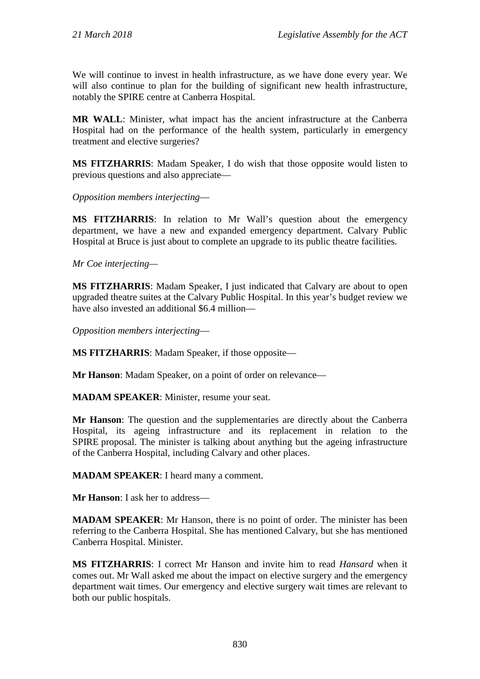We will continue to invest in health infrastructure, as we have done every year. We will also continue to plan for the building of significant new health infrastructure, notably the SPIRE centre at Canberra Hospital.

**MR WALL**: Minister, what impact has the ancient infrastructure at the Canberra Hospital had on the performance of the health system, particularly in emergency treatment and elective surgeries?

**MS FITZHARRIS**: Madam Speaker, I do wish that those opposite would listen to previous questions and also appreciate—

*Opposition members interjecting*—

**MS FITZHARRIS**: In relation to Mr Wall's question about the emergency department, we have a new and expanded emergency department. Calvary Public Hospital at Bruce is just about to complete an upgrade to its public theatre facilities.

*Mr Coe interjecting—*

**MS FITZHARRIS**: Madam Speaker, I just indicated that Calvary are about to open upgraded theatre suites at the Calvary Public Hospital. In this year's budget review we have also invested an additional \$6.4 million—

*Opposition members interjecting*—

**MS FITZHARRIS**: Madam Speaker, if those opposite—

**Mr Hanson**: Madam Speaker, on a point of order on relevance—

**MADAM SPEAKER**: Minister, resume your seat.

**Mr Hanson**: The question and the supplementaries are directly about the Canberra Hospital, its ageing infrastructure and its replacement in relation to the SPIRE proposal. The minister is talking about anything but the ageing infrastructure of the Canberra Hospital, including Calvary and other places.

**MADAM SPEAKER**: I heard many a comment.

**Mr Hanson**: I ask her to address—

**MADAM SPEAKER**: Mr Hanson, there is no point of order. The minister has been referring to the Canberra Hospital. She has mentioned Calvary, but she has mentioned Canberra Hospital. Minister.

**MS FITZHARRIS**: I correct Mr Hanson and invite him to read *Hansard* when it comes out. Mr Wall asked me about the impact on elective surgery and the emergency department wait times. Our emergency and elective surgery wait times are relevant to both our public hospitals.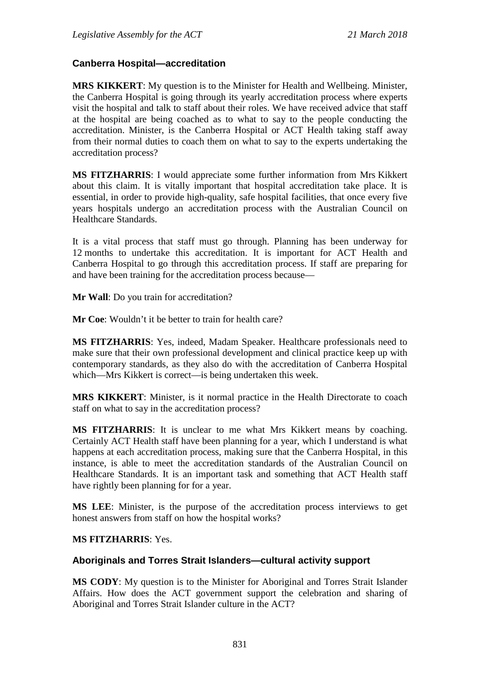## **Canberra Hospital—accreditation**

**MRS KIKKERT**: My question is to the Minister for Health and Wellbeing. Minister, the Canberra Hospital is going through its yearly accreditation process where experts visit the hospital and talk to staff about their roles. We have received advice that staff at the hospital are being coached as to what to say to the people conducting the accreditation. Minister, is the Canberra Hospital or ACT Health taking staff away from their normal duties to coach them on what to say to the experts undertaking the accreditation process?

**MS FITZHARRIS**: I would appreciate some further information from Mrs Kikkert about this claim. It is vitally important that hospital accreditation take place. It is essential, in order to provide high-quality, safe hospital facilities, that once every five years hospitals undergo an accreditation process with the Australian Council on Healthcare Standards.

It is a vital process that staff must go through. Planning has been underway for 12 months to undertake this accreditation. It is important for ACT Health and Canberra Hospital to go through this accreditation process. If staff are preparing for and have been training for the accreditation process because—

**Mr Wall**: Do you train for accreditation?

**Mr Coe**: Wouldn't it be better to train for health care?

**MS FITZHARRIS**: Yes, indeed, Madam Speaker. Healthcare professionals need to make sure that their own professional development and clinical practice keep up with contemporary standards, as they also do with the accreditation of Canberra Hospital which—Mrs Kikkert is correct—is being undertaken this week.

**MRS KIKKERT**: Minister, is it normal practice in the Health Directorate to coach staff on what to say in the accreditation process?

**MS FITZHARRIS**: It is unclear to me what Mrs Kikkert means by coaching. Certainly ACT Health staff have been planning for a year, which I understand is what happens at each accreditation process, making sure that the Canberra Hospital, in this instance, is able to meet the accreditation standards of the Australian Council on Healthcare Standards. It is an important task and something that ACT Health staff have rightly been planning for for a year.

**MS LEE**: Minister, is the purpose of the accreditation process interviews to get honest answers from staff on how the hospital works?

## **MS FITZHARRIS**: Yes.

## **Aboriginals and Torres Strait Islanders—cultural activity support**

**MS CODY**: My question is to the Minister for Aboriginal and Torres Strait Islander Affairs. How does the ACT government support the celebration and sharing of Aboriginal and Torres Strait Islander culture in the ACT?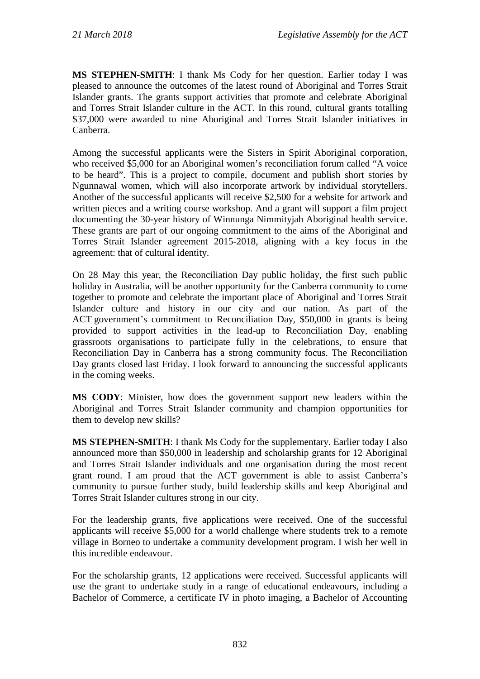**MS STEPHEN-SMITH**: I thank Ms Cody for her question. Earlier today I was pleased to announce the outcomes of the latest round of Aboriginal and Torres Strait Islander grants. The grants support activities that promote and celebrate Aboriginal and Torres Strait Islander culture in the ACT. In this round, cultural grants totalling \$37,000 were awarded to nine Aboriginal and Torres Strait Islander initiatives in Canberra.

Among the successful applicants were the Sisters in Spirit Aboriginal corporation, who received \$5,000 for an Aboriginal women's reconciliation forum called "A voice to be heard". This is a project to compile, document and publish short stories by Ngunnawal women, which will also incorporate artwork by individual storytellers. Another of the successful applicants will receive \$2,500 for a website for artwork and written pieces and a writing course workshop. And a grant will support a film project documenting the 30-year history of Winnunga Nimmityjah Aboriginal health service. These grants are part of our ongoing commitment to the aims of the Aboriginal and Torres Strait Islander agreement 2015-2018, aligning with a key focus in the agreement: that of cultural identity.

On 28 May this year, the Reconciliation Day public holiday, the first such public holiday in Australia, will be another opportunity for the Canberra community to come together to promote and celebrate the important place of Aboriginal and Torres Strait Islander culture and history in our city and our nation. As part of the ACT government's commitment to Reconciliation Day, \$50,000 in grants is being provided to support activities in the lead-up to Reconciliation Day, enabling grassroots organisations to participate fully in the celebrations, to ensure that Reconciliation Day in Canberra has a strong community focus. The Reconciliation Day grants closed last Friday. I look forward to announcing the successful applicants in the coming weeks.

**MS CODY**: Minister, how does the government support new leaders within the Aboriginal and Torres Strait Islander community and champion opportunities for them to develop new skills?

**MS STEPHEN-SMITH**: I thank Ms Cody for the supplementary. Earlier today I also announced more than \$50,000 in leadership and scholarship grants for 12 Aboriginal and Torres Strait Islander individuals and one organisation during the most recent grant round. I am proud that the ACT government is able to assist Canberra's community to pursue further study, build leadership skills and keep Aboriginal and Torres Strait Islander cultures strong in our city.

For the leadership grants, five applications were received. One of the successful applicants will receive \$5,000 for a world challenge where students trek to a remote village in Borneo to undertake a community development program. I wish her well in this incredible endeavour.

For the scholarship grants, 12 applications were received. Successful applicants will use the grant to undertake study in a range of educational endeavours, including a Bachelor of Commerce, a certificate IV in photo imaging, a Bachelor of Accounting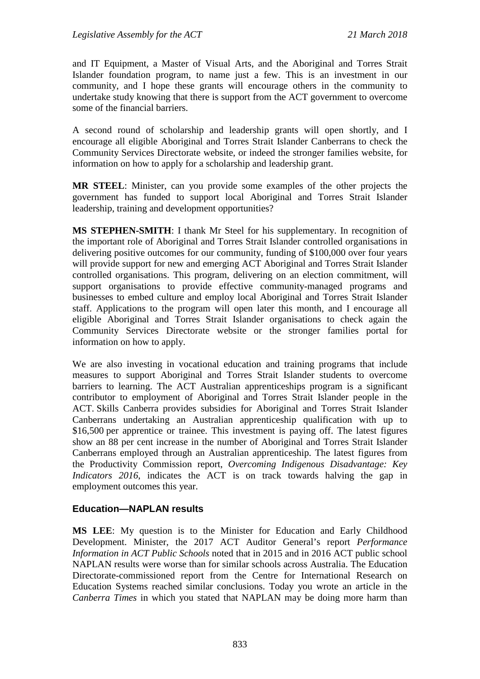and IT Equipment, a Master of Visual Arts, and the Aboriginal and Torres Strait Islander foundation program, to name just a few. This is an investment in our community, and I hope these grants will encourage others in the community to undertake study knowing that there is support from the ACT government to overcome some of the financial barriers.

A second round of scholarship and leadership grants will open shortly, and I encourage all eligible Aboriginal and Torres Strait Islander Canberrans to check the Community Services Directorate website, or indeed the stronger families website, for information on how to apply for a scholarship and leadership grant.

**MR STEEL**: Minister, can you provide some examples of the other projects the government has funded to support local Aboriginal and Torres Strait Islander leadership, training and development opportunities?

**MS STEPHEN-SMITH**: I thank Mr Steel for his supplementary. In recognition of the important role of Aboriginal and Torres Strait Islander controlled organisations in delivering positive outcomes for our community, funding of \$100,000 over four years will provide support for new and emerging ACT Aboriginal and Torres Strait Islander controlled organisations. This program, delivering on an election commitment, will support organisations to provide effective community-managed programs and businesses to embed culture and employ local Aboriginal and Torres Strait Islander staff. Applications to the program will open later this month, and I encourage all eligible Aboriginal and Torres Strait Islander organisations to check again the Community Services Directorate website or the stronger families portal for information on how to apply.

We are also investing in vocational education and training programs that include measures to support Aboriginal and Torres Strait Islander students to overcome barriers to learning. The ACT Australian apprenticeships program is a significant contributor to employment of Aboriginal and Torres Strait Islander people in the ACT. Skills Canberra provides subsidies for Aboriginal and Torres Strait Islander Canberrans undertaking an Australian apprenticeship qualification with up to \$16,500 per apprentice or trainee. This investment is paying off. The latest figures show an 88 per cent increase in the number of Aboriginal and Torres Strait Islander Canberrans employed through an Australian apprenticeship. The latest figures from the Productivity Commission report, *Overcoming Indigenous Disadvantage: Key Indicators 2016*, indicates the ACT is on track towards halving the gap in employment outcomes this year.

## **Education—NAPLAN results**

**MS LEE**: My question is to the Minister for Education and Early Childhood Development. Minister, the 2017 ACT Auditor General's report *Performance Information in ACT Public Schools* noted that in 2015 and in 2016 ACT public school NAPLAN results were worse than for similar schools across Australia. The Education Directorate-commissioned report from the Centre for International Research on Education Systems reached similar conclusions. Today you wrote an article in the *Canberra Times* in which you stated that NAPLAN may be doing more harm than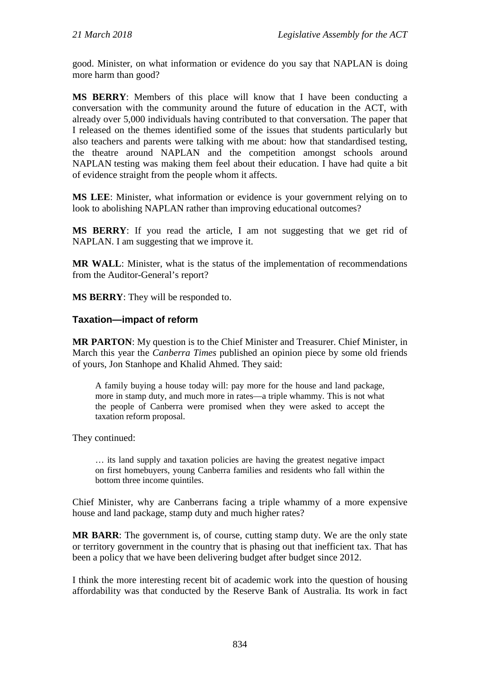good. Minister, on what information or evidence do you say that NAPLAN is doing more harm than good?

**MS BERRY**: Members of this place will know that I have been conducting a conversation with the community around the future of education in the ACT, with already over 5,000 individuals having contributed to that conversation. The paper that I released on the themes identified some of the issues that students particularly but also teachers and parents were talking with me about: how that standardised testing, the theatre around NAPLAN and the competition amongst schools around NAPLAN testing was making them feel about their education. I have had quite a bit of evidence straight from the people whom it affects.

**MS LEE**: Minister, what information or evidence is your government relying on to look to abolishing NAPLAN rather than improving educational outcomes?

**MS BERRY**: If you read the article, I am not suggesting that we get rid of NAPLAN. I am suggesting that we improve it.

**MR WALL**: Minister, what is the status of the implementation of recommendations from the Auditor-General's report?

**MS BERRY**: They will be responded to.

#### **Taxation—impact of reform**

**MR PARTON**: My question is to the Chief Minister and Treasurer. Chief Minister, in March this year the *Canberra Times* published an opinion piece by some old friends of yours, Jon Stanhope and Khalid Ahmed. They said:

A family buying a house today will: pay more for the house and land package, more in stamp duty, and much more in rates—a triple whammy. This is not what the people of Canberra were promised when they were asked to accept the taxation reform proposal.

They continued:

… its land supply and taxation policies are having the greatest negative impact on first homebuyers, young Canberra families and residents who fall within the bottom three income quintiles.

Chief Minister, why are Canberrans facing a triple whammy of a more expensive house and land package, stamp duty and much higher rates?

**MR BARR**: The government is, of course, cutting stamp duty. We are the only state or territory government in the country that is phasing out that inefficient tax. That has been a policy that we have been delivering budget after budget since 2012.

I think the more interesting recent bit of academic work into the question of housing affordability was that conducted by the Reserve Bank of Australia. Its work in fact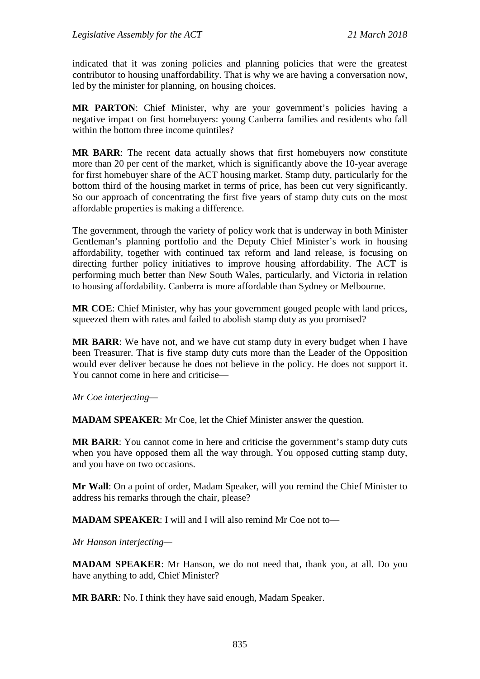indicated that it was zoning policies and planning policies that were the greatest contributor to housing unaffordability. That is why we are having a conversation now, led by the minister for planning, on housing choices.

**MR PARTON**: Chief Minister, why are your government's policies having a negative impact on first homebuyers: young Canberra families and residents who fall within the bottom three income quintiles?

**MR BARR**: The recent data actually shows that first homebuyers now constitute more than 20 per cent of the market, which is significantly above the 10-year average for first homebuyer share of the ACT housing market. Stamp duty, particularly for the bottom third of the housing market in terms of price, has been cut very significantly. So our approach of concentrating the first five years of stamp duty cuts on the most affordable properties is making a difference.

The government, through the variety of policy work that is underway in both Minister Gentleman's planning portfolio and the Deputy Chief Minister's work in housing affordability, together with continued tax reform and land release, is focusing on directing further policy initiatives to improve housing affordability. The ACT is performing much better than New South Wales, particularly, and Victoria in relation to housing affordability. Canberra is more affordable than Sydney or Melbourne.

**MR COE**: Chief Minister, why has your government gouged people with land prices, squeezed them with rates and failed to abolish stamp duty as you promised?

**MR BARR**: We have not, and we have cut stamp duty in every budget when I have been Treasurer. That is five stamp duty cuts more than the Leader of the Opposition would ever deliver because he does not believe in the policy. He does not support it. You cannot come in here and criticise—

*Mr Coe interjecting—*

**MADAM SPEAKER**: Mr Coe, let the Chief Minister answer the question.

**MR BARR**: You cannot come in here and criticise the government's stamp duty cuts when you have opposed them all the way through. You opposed cutting stamp duty, and you have on two occasions.

**Mr Wall**: On a point of order, Madam Speaker, will you remind the Chief Minister to address his remarks through the chair, please?

**MADAM SPEAKER**: I will and I will also remind Mr Coe not to—

*Mr Hanson interjecting—*

**MADAM SPEAKER**: Mr Hanson, we do not need that, thank you, at all. Do you have anything to add, Chief Minister?

**MR BARR**: No. I think they have said enough, Madam Speaker.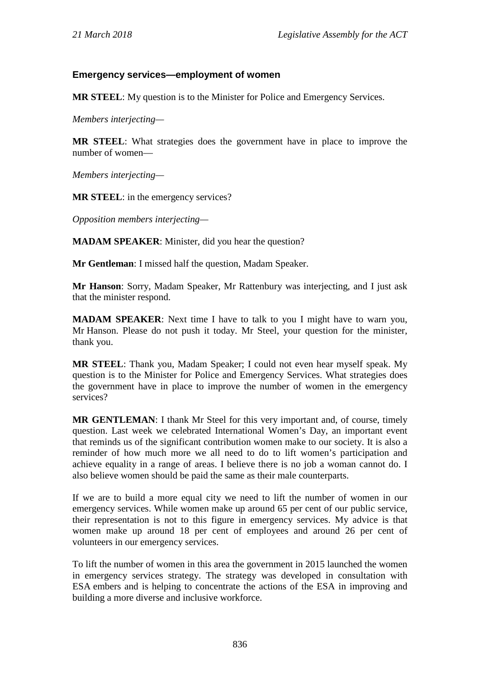## **Emergency services—employment of women**

**MR STEEL**: My question is to the Minister for Police and Emergency Services.

*Members interjecting—*

**MR STEEL**: What strategies does the government have in place to improve the number of women—

*Members interjecting—*

**MR STEEL**: in the emergency services?

*Opposition members interjecting—*

**MADAM SPEAKER**: Minister, did you hear the question?

**Mr Gentleman**: I missed half the question, Madam Speaker.

**Mr Hanson**: Sorry, Madam Speaker, Mr Rattenbury was interjecting, and I just ask that the minister respond.

**MADAM SPEAKER**: Next time I have to talk to you I might have to warn you, Mr Hanson. Please do not push it today. Mr Steel, your question for the minister, thank you.

**MR STEEL**: Thank you, Madam Speaker; I could not even hear myself speak. My question is to the Minister for Police and Emergency Services. What strategies does the government have in place to improve the number of women in the emergency services?

**MR GENTLEMAN**: I thank Mr Steel for this very important and, of course, timely question. Last week we celebrated International Women's Day, an important event that reminds us of the significant contribution women make to our society. It is also a reminder of how much more we all need to do to lift women's participation and achieve equality in a range of areas. I believe there is no job a woman cannot do. I also believe women should be paid the same as their male counterparts.

If we are to build a more equal city we need to lift the number of women in our emergency services. While women make up around 65 per cent of our public service, their representation is not to this figure in emergency services. My advice is that women make up around 18 per cent of employees and around 26 per cent of volunteers in our emergency services.

To lift the number of women in this area the government in 2015 launched the women in emergency services strategy. The strategy was developed in consultation with ESA embers and is helping to concentrate the actions of the ESA in improving and building a more diverse and inclusive workforce.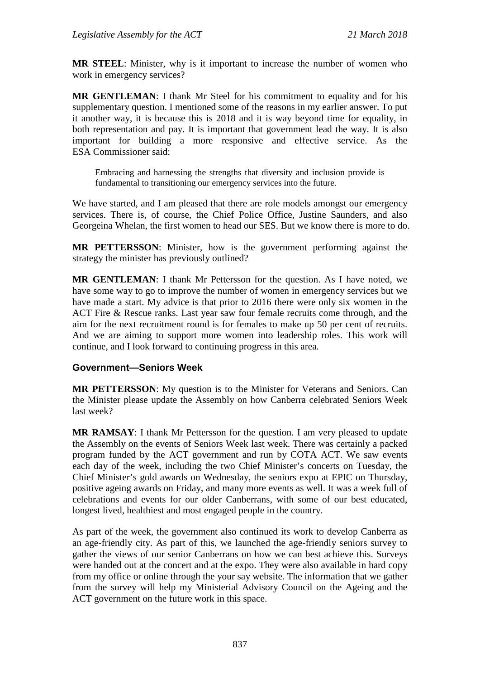**MR STEEL**: Minister, why is it important to increase the number of women who work in emergency services?

**MR GENTLEMAN**: I thank Mr Steel for his commitment to equality and for his supplementary question. I mentioned some of the reasons in my earlier answer. To put it another way, it is because this is 2018 and it is way beyond time for equality, in both representation and pay. It is important that government lead the way. It is also important for building a more responsive and effective service. As the ESA Commissioner said:

Embracing and harnessing the strengths that diversity and inclusion provide is fundamental to transitioning our emergency services into the future.

We have started, and I am pleased that there are role models amongst our emergency services. There is, of course, the Chief Police Office, Justine Saunders, and also Georgeina Whelan, the first women to head our SES. But we know there is more to do.

**MR PETTERSSON**: Minister, how is the government performing against the strategy the minister has previously outlined?

**MR GENTLEMAN**: I thank Mr Pettersson for the question. As I have noted, we have some way to go to improve the number of women in emergency services but we have made a start. My advice is that prior to 2016 there were only six women in the ACT Fire & Rescue ranks. Last year saw four female recruits come through, and the aim for the next recruitment round is for females to make up 50 per cent of recruits. And we are aiming to support more women into leadership roles. This work will continue, and I look forward to continuing progress in this area.

## **Government—Seniors Week**

**MR PETTERSSON**: My question is to the Minister for Veterans and Seniors. Can the Minister please update the Assembly on how Canberra celebrated Seniors Week last week?

**MR RAMSAY**: I thank Mr Pettersson for the question. I am very pleased to update the Assembly on the events of Seniors Week last week. There was certainly a packed program funded by the ACT government and run by COTA ACT. We saw events each day of the week, including the two Chief Minister's concerts on Tuesday, the Chief Minister's gold awards on Wednesday, the seniors expo at EPIC on Thursday, positive ageing awards on Friday, and many more events as well. It was a week full of celebrations and events for our older Canberrans, with some of our best educated, longest lived, healthiest and most engaged people in the country.

As part of the week, the government also continued its work to develop Canberra as an age-friendly city. As part of this, we launched the age-friendly seniors survey to gather the views of our senior Canberrans on how we can best achieve this. Surveys were handed out at the concert and at the expo. They were also available in hard copy from my office or online through the your say website. The information that we gather from the survey will help my Ministerial Advisory Council on the Ageing and the ACT government on the future work in this space.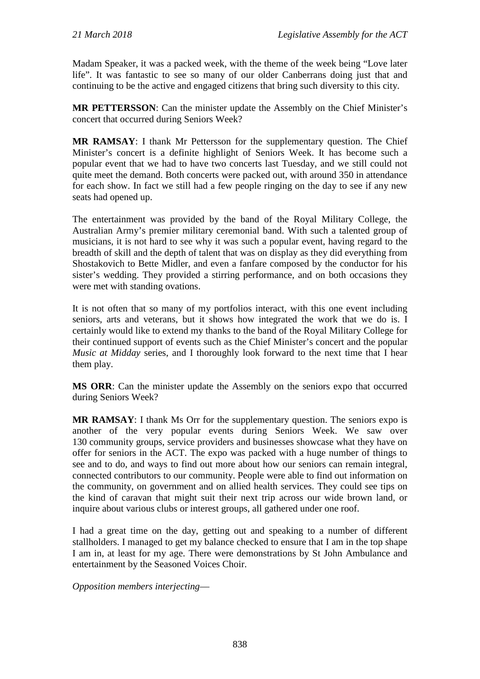Madam Speaker, it was a packed week, with the theme of the week being "Love later life". It was fantastic to see so many of our older Canberrans doing just that and continuing to be the active and engaged citizens that bring such diversity to this city.

**MR PETTERSSON**: Can the minister update the Assembly on the Chief Minister's concert that occurred during Seniors Week?

**MR RAMSAY**: I thank Mr Pettersson for the supplementary question. The Chief Minister's concert is a definite highlight of Seniors Week. It has become such a popular event that we had to have two concerts last Tuesday, and we still could not quite meet the demand. Both concerts were packed out, with around 350 in attendance for each show. In fact we still had a few people ringing on the day to see if any new seats had opened up.

The entertainment was provided by the band of the Royal Military College, the Australian Army's premier military ceremonial band. With such a talented group of musicians, it is not hard to see why it was such a popular event, having regard to the breadth of skill and the depth of talent that was on display as they did everything from Shostakovich to Bette Midler, and even a fanfare composed by the conductor for his sister's wedding. They provided a stirring performance, and on both occasions they were met with standing ovations.

It is not often that so many of my portfolios interact, with this one event including seniors, arts and veterans, but it shows how integrated the work that we do is. I certainly would like to extend my thanks to the band of the Royal Military College for their continued support of events such as the Chief Minister's concert and the popular *Music at Midday* series, and I thoroughly look forward to the next time that I hear them play.

**MS ORR**: Can the minister update the Assembly on the seniors expo that occurred during Seniors Week?

**MR RAMSAY**: I thank Ms Orr for the supplementary question. The seniors expo is another of the very popular events during Seniors Week. We saw over 130 community groups, service providers and businesses showcase what they have on offer for seniors in the ACT. The expo was packed with a huge number of things to see and to do, and ways to find out more about how our seniors can remain integral, connected contributors to our community. People were able to find out information on the community, on government and on allied health services. They could see tips on the kind of caravan that might suit their next trip across our wide brown land, or inquire about various clubs or interest groups, all gathered under one roof.

I had a great time on the day, getting out and speaking to a number of different stallholders. I managed to get my balance checked to ensure that I am in the top shape I am in, at least for my age. There were demonstrations by St John Ambulance and entertainment by the Seasoned Voices Choir.

*Opposition members interjecting*—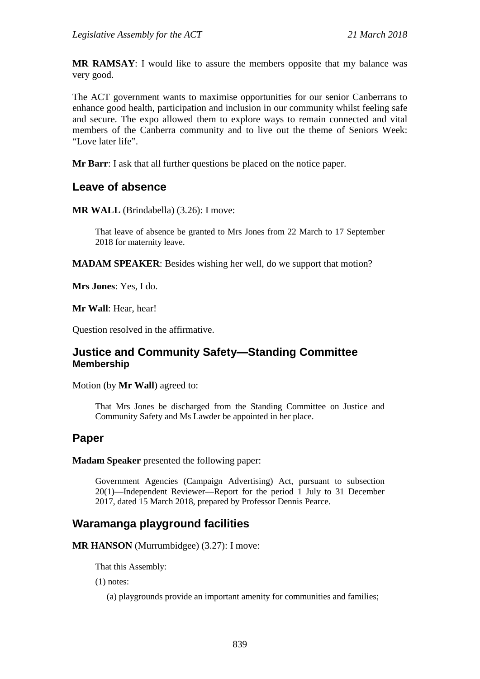**MR RAMSAY**: I would like to assure the members opposite that my balance was very good.

The ACT government wants to maximise opportunities for our senior Canberrans to enhance good health, participation and inclusion in our community whilst feeling safe and secure. The expo allowed them to explore ways to remain connected and vital members of the Canberra community and to live out the theme of Seniors Week: "Love later life".

**Mr Barr**: I ask that all further questions be placed on the notice paper.

## **Leave of absence**

**MR WALL** (Brindabella) (3.26): I move:

That leave of absence be granted to Mrs Jones from 22 March to 17 September 2018 for maternity leave.

**MADAM SPEAKER**: Besides wishing her well, do we support that motion?

**Mrs Jones**: Yes, I do.

**Mr Wall**: Hear, hear!

Question resolved in the affirmative.

## **Justice and Community Safety—Standing Committee Membership**

Motion (by **Mr Wall**) agreed to:

That Mrs Jones be discharged from the Standing Committee on Justice and Community Safety and Ms Lawder be appointed in her place.

## **Paper**

**Madam Speaker** presented the following paper:

Government Agencies (Campaign Advertising) Act, pursuant to subsection 20(1)—Independent Reviewer—Report for the period 1 July to 31 December 2017, dated 15 March 2018, prepared by Professor Dennis Pearce.

## **Waramanga playground facilities**

**MR HANSON** (Murrumbidgee) (3.27): I move:

That this Assembly:

(1) notes:

(a) playgrounds provide an important amenity for communities and families;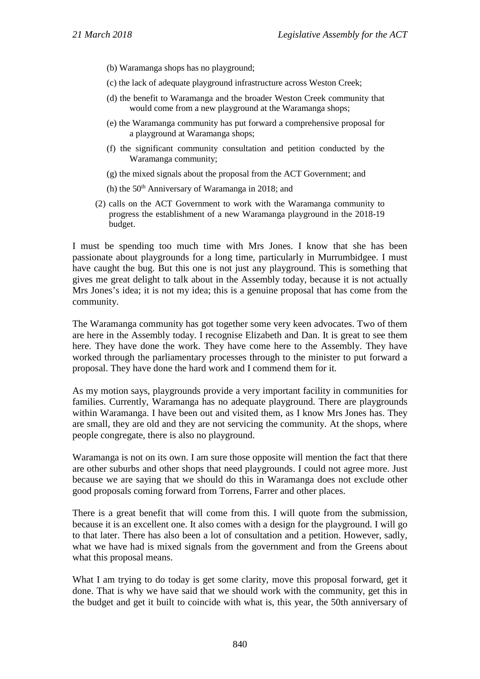- (b) Waramanga shops has no playground;
- (c) the lack of adequate playground infrastructure across Weston Creek;
- (d) the benefit to Waramanga and the broader Weston Creek community that would come from a new playground at the Waramanga shops;
- (e) the Waramanga community has put forward a comprehensive proposal for a playground at Waramanga shops;
- (f) the significant community consultation and petition conducted by the Waramanga community;
- (g) the mixed signals about the proposal from the ACT Government; and
- (h) the 50<sup>th</sup> Anniversary of Waramanga in 2018; and
- (2) calls on the ACT Government to work with the Waramanga community to progress the establishment of a new Waramanga playground in the 2018-19 budget.

I must be spending too much time with Mrs Jones. I know that she has been passionate about playgrounds for a long time, particularly in Murrumbidgee. I must have caught the bug. But this one is not just any playground. This is something that gives me great delight to talk about in the Assembly today, because it is not actually Mrs Jones's idea; it is not my idea; this is a genuine proposal that has come from the community.

The Waramanga community has got together some very keen advocates. Two of them are here in the Assembly today. I recognise Elizabeth and Dan. It is great to see them here. They have done the work. They have come here to the Assembly. They have worked through the parliamentary processes through to the minister to put forward a proposal. They have done the hard work and I commend them for it.

As my motion says, playgrounds provide a very important facility in communities for families. Currently, Waramanga has no adequate playground. There are playgrounds within Waramanga. I have been out and visited them, as I know Mrs Jones has. They are small, they are old and they are not servicing the community. At the shops, where people congregate, there is also no playground.

Waramanga is not on its own. I am sure those opposite will mention the fact that there are other suburbs and other shops that need playgrounds. I could not agree more. Just because we are saying that we should do this in Waramanga does not exclude other good proposals coming forward from Torrens, Farrer and other places.

There is a great benefit that will come from this. I will quote from the submission, because it is an excellent one. It also comes with a design for the playground. I will go to that later. There has also been a lot of consultation and a petition. However, sadly, what we have had is mixed signals from the government and from the Greens about what this proposal means.

What I am trying to do today is get some clarity, move this proposal forward, get it done. That is why we have said that we should work with the community, get this in the budget and get it built to coincide with what is, this year, the 50th anniversary of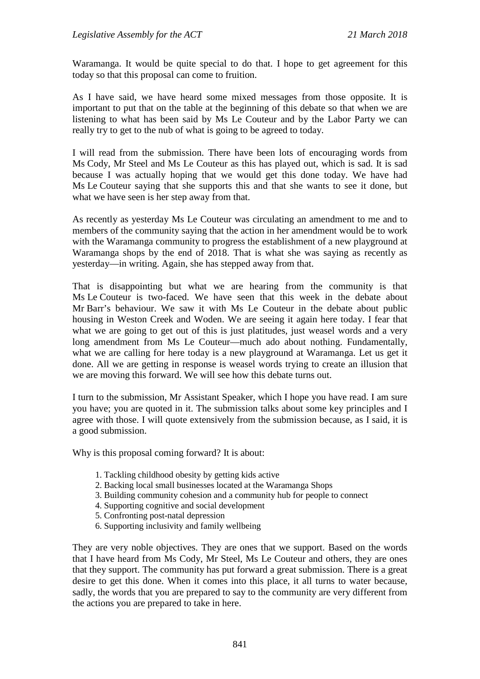Waramanga. It would be quite special to do that. I hope to get agreement for this today so that this proposal can come to fruition.

As I have said, we have heard some mixed messages from those opposite. It is important to put that on the table at the beginning of this debate so that when we are listening to what has been said by Ms Le Couteur and by the Labor Party we can really try to get to the nub of what is going to be agreed to today.

I will read from the submission. There have been lots of encouraging words from Ms Cody, Mr Steel and Ms Le Couteur as this has played out, which is sad. It is sad because I was actually hoping that we would get this done today. We have had Ms Le Couteur saying that she supports this and that she wants to see it done, but what we have seen is her step away from that.

As recently as yesterday Ms Le Couteur was circulating an amendment to me and to members of the community saying that the action in her amendment would be to work with the Waramanga community to progress the establishment of a new playground at Waramanga shops by the end of 2018. That is what she was saying as recently as yesterday—in writing. Again, she has stepped away from that.

That is disappointing but what we are hearing from the community is that Ms Le Couteur is two-faced. We have seen that this week in the debate about Mr Barr's behaviour. We saw it with Ms Le Couteur in the debate about public housing in Weston Creek and Woden. We are seeing it again here today. I fear that what we are going to get out of this is just platitudes, just weasel words and a very long amendment from Ms Le Couteur—much ado about nothing. Fundamentally, what we are calling for here today is a new playground at Waramanga. Let us get it done. All we are getting in response is weasel words trying to create an illusion that we are moving this forward. We will see how this debate turns out.

I turn to the submission, Mr Assistant Speaker, which I hope you have read. I am sure you have; you are quoted in it. The submission talks about some key principles and I agree with those. I will quote extensively from the submission because, as I said, it is a good submission.

Why is this proposal coming forward? It is about:

- 1. Tackling childhood obesity by getting kids active
- 2. Backing local small businesses located at the Waramanga Shops
- 3. Building community cohesion and a community hub for people to connect
- 4. Supporting cognitive and social development
- 5. Confronting post-natal depression
- 6. Supporting inclusivity and family wellbeing

They are very noble objectives. They are ones that we support. Based on the words that I have heard from Ms Cody, Mr Steel, Ms Le Couteur and others, they are ones that they support. The community has put forward a great submission. There is a great desire to get this done. When it comes into this place, it all turns to water because, sadly, the words that you are prepared to say to the community are very different from the actions you are prepared to take in here.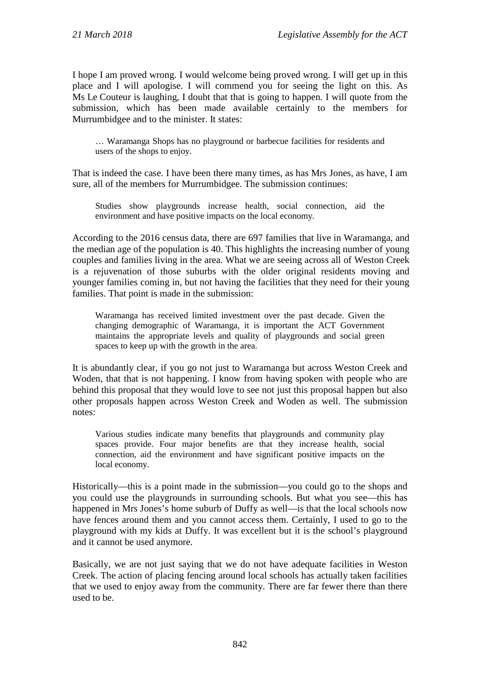I hope I am proved wrong. I would welcome being proved wrong. I will get up in this place and I will apologise. I will commend you for seeing the light on this. As Ms Le Couteur is laughing, I doubt that that is going to happen. I will quote from the submission, which has been made available certainly to the members for Murrumbidgee and to the minister. It states:

… Waramanga Shops has no playground or barbecue facilities for residents and users of the shops to enjoy.

That is indeed the case. I have been there many times, as has Mrs Jones, as have, I am sure, all of the members for Murrumbidgee. The submission continues:

Studies show playgrounds increase health, social connection, aid the environment and have positive impacts on the local economy.

According to the 2016 census data, there are 697 families that live in Waramanga, and the median age of the population is 40. This highlights the increasing number of young couples and families living in the area. What we are seeing across all of Weston Creek is a rejuvenation of those suburbs with the older original residents moving and younger families coming in, but not having the facilities that they need for their young families. That point is made in the submission:

Waramanga has received limited investment over the past decade. Given the changing demographic of Waramanga, it is important the ACT Government maintains the appropriate levels and quality of playgrounds and social green spaces to keep up with the growth in the area.

It is abundantly clear, if you go not just to Waramanga but across Weston Creek and Woden, that that is not happening. I know from having spoken with people who are behind this proposal that they would love to see not just this proposal happen but also other proposals happen across Weston Creek and Woden as well. The submission notes:

Various studies indicate many benefits that playgrounds and community play spaces provide. Four major benefits are that they increase health, social connection, aid the environment and have significant positive impacts on the local economy.

Historically—this is a point made in the submission—you could go to the shops and you could use the playgrounds in surrounding schools. But what you see—this has happened in Mrs Jones's home suburb of Duffy as well—is that the local schools now have fences around them and you cannot access them. Certainly, I used to go to the playground with my kids at Duffy. It was excellent but it is the school's playground and it cannot be used anymore.

Basically, we are not just saying that we do not have adequate facilities in Weston Creek. The action of placing fencing around local schools has actually taken facilities that we used to enjoy away from the community. There are far fewer there than there used to be.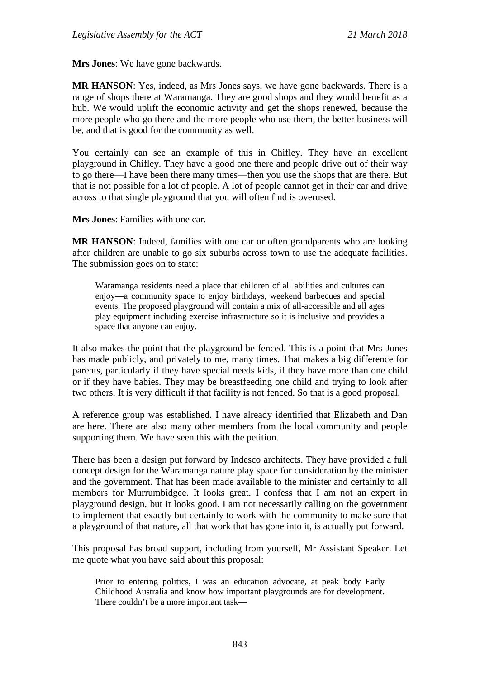**Mrs Jones**: We have gone backwards.

**MR HANSON**: Yes, indeed, as Mrs Jones says, we have gone backwards. There is a range of shops there at Waramanga. They are good shops and they would benefit as a hub. We would uplift the economic activity and get the shops renewed, because the more people who go there and the more people who use them, the better business will be, and that is good for the community as well.

You certainly can see an example of this in Chifley. They have an excellent playground in Chifley. They have a good one there and people drive out of their way to go there—I have been there many times—then you use the shops that are there. But that is not possible for a lot of people. A lot of people cannot get in their car and drive across to that single playground that you will often find is overused.

**Mrs Jones**: Families with one car.

**MR HANSON**: Indeed, families with one car or often grandparents who are looking after children are unable to go six suburbs across town to use the adequate facilities. The submission goes on to state:

Waramanga residents need a place that children of all abilities and cultures can enjoy—a community space to enjoy birthdays, weekend barbecues and special events. The proposed playground will contain a mix of all-accessible and all ages play equipment including exercise infrastructure so it is inclusive and provides a space that anyone can enjoy.

It also makes the point that the playground be fenced. This is a point that Mrs Jones has made publicly, and privately to me, many times. That makes a big difference for parents, particularly if they have special needs kids, if they have more than one child or if they have babies. They may be breastfeeding one child and trying to look after two others. It is very difficult if that facility is not fenced. So that is a good proposal.

A reference group was established. I have already identified that Elizabeth and Dan are here. There are also many other members from the local community and people supporting them. We have seen this with the petition.

There has been a design put forward by Indesco architects. They have provided a full concept design for the Waramanga nature play space for consideration by the minister and the government. That has been made available to the minister and certainly to all members for Murrumbidgee. It looks great. I confess that I am not an expert in playground design, but it looks good. I am not necessarily calling on the government to implement that exactly but certainly to work with the community to make sure that a playground of that nature, all that work that has gone into it, is actually put forward.

This proposal has broad support, including from yourself, Mr Assistant Speaker. Let me quote what you have said about this proposal:

Prior to entering politics, I was an education advocate, at peak body Early Childhood Australia and know how important playgrounds are for development. There couldn't be a more important task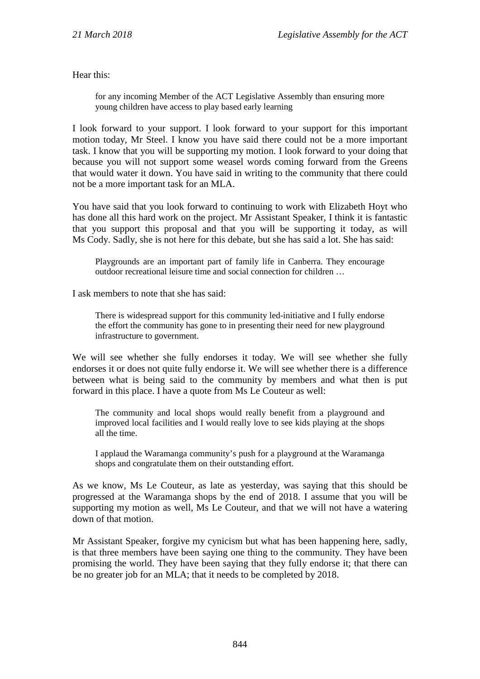Hear this:

for any incoming Member of the ACT Legislative Assembly than ensuring more young children have access to play based early learning

I look forward to your support. I look forward to your support for this important motion today, Mr Steel. I know you have said there could not be a more important task. I know that you will be supporting my motion. I look forward to your doing that because you will not support some weasel words coming forward from the Greens that would water it down. You have said in writing to the community that there could not be a more important task for an MLA.

You have said that you look forward to continuing to work with Elizabeth Hoyt who has done all this hard work on the project. Mr Assistant Speaker, I think it is fantastic that you support this proposal and that you will be supporting it today, as will Ms Cody. Sadly, she is not here for this debate, but she has said a lot. She has said:

Playgrounds are an important part of family life in Canberra. They encourage outdoor recreational leisure time and social connection for children …

I ask members to note that she has said:

There is widespread support for this community led-initiative and I fully endorse the effort the community has gone to in presenting their need for new playground infrastructure to government.

We will see whether she fully endorses it today. We will see whether she fully endorses it or does not quite fully endorse it. We will see whether there is a difference between what is being said to the community by members and what then is put forward in this place. I have a quote from Ms Le Couteur as well:

The community and local shops would really benefit from a playground and improved local facilities and I would really love to see kids playing at the shops all the time.

I applaud the Waramanga community's push for a playground at the Waramanga shops and congratulate them on their outstanding effort.

As we know, Ms Le Couteur, as late as yesterday, was saying that this should be progressed at the Waramanga shops by the end of 2018. I assume that you will be supporting my motion as well, Ms Le Couteur, and that we will not have a watering down of that motion.

Mr Assistant Speaker, forgive my cynicism but what has been happening here, sadly, is that three members have been saying one thing to the community. They have been promising the world. They have been saying that they fully endorse it; that there can be no greater job for an MLA; that it needs to be completed by 2018.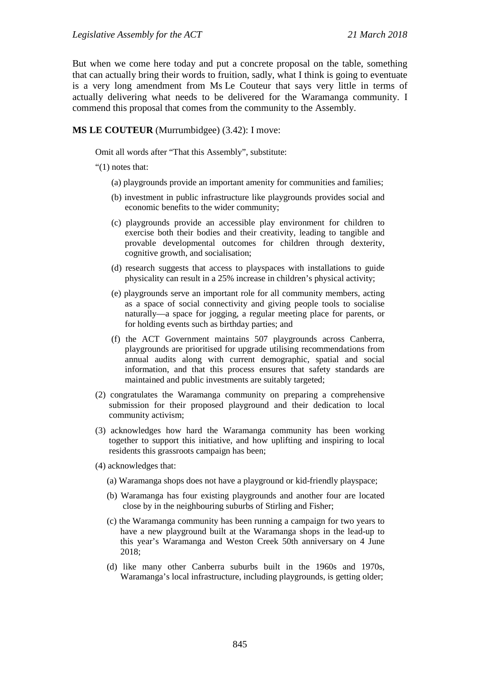But when we come here today and put a concrete proposal on the table, something that can actually bring their words to fruition, sadly, what I think is going to eventuate is a very long amendment from Ms Le Couteur that says very little in terms of actually delivering what needs to be delivered for the Waramanga community. I commend this proposal that comes from the community to the Assembly.

**MS LE COUTEUR** (Murrumbidgee) (3.42): I move:

Omit all words after "That this Assembly", substitute:

"(1) notes that:

- (a) playgrounds provide an important amenity for communities and families;
- (b) investment in public infrastructure like playgrounds provides social and economic benefits to the wider community;
- (c) playgrounds provide an accessible play environment for children to exercise both their bodies and their creativity, leading to tangible and provable developmental outcomes for children through dexterity, cognitive growth, and socialisation;
- (d) research suggests that access to playspaces with installations to guide physicality can result in a 25% increase in children's physical activity;
- (e) playgrounds serve an important role for all community members, acting as a space of social connectivity and giving people tools to socialise naturally—a space for jogging, a regular meeting place for parents, or for holding events such as birthday parties; and
- (f) the ACT Government maintains 507 playgrounds across Canberra, playgrounds are prioritised for upgrade utilising recommendations from annual audits along with current demographic, spatial and social information, and that this process ensures that safety standards are maintained and public investments are suitably targeted;
- (2) congratulates the Waramanga community on preparing a comprehensive submission for their proposed playground and their dedication to local community activism;
- (3) acknowledges how hard the Waramanga community has been working together to support this initiative, and how uplifting and inspiring to local residents this grassroots campaign has been;
- (4) acknowledges that:
	- (a) Waramanga shops does not have a playground or kid-friendly playspace;
	- (b) Waramanga has four existing playgrounds and another four are located close by in the neighbouring suburbs of Stirling and Fisher;
	- (c) the Waramanga community has been running a campaign for two years to have a new playground built at the Waramanga shops in the lead-up to this year's Waramanga and Weston Creek 50th anniversary on 4 June 2018;
	- (d) like many other Canberra suburbs built in the 1960s and 1970s, Waramanga's local infrastructure, including playgrounds, is getting older;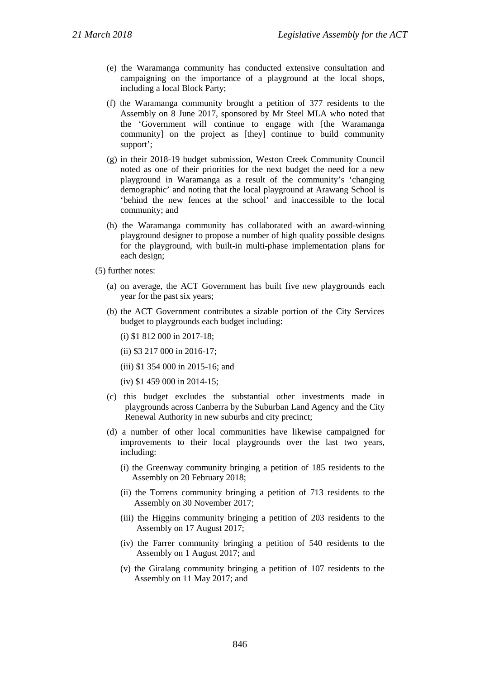- (e) the Waramanga community has conducted extensive consultation and campaigning on the importance of a playground at the local shops, including a local Block Party;
- (f) the Waramanga community brought a petition of 377 residents to the Assembly on 8 June 2017, sponsored by Mr Steel MLA who noted that the 'Government will continue to engage with [the Waramanga community] on the project as [they] continue to build community support';
- (g) in their 2018-19 budget submission, Weston Creek Community Council noted as one of their priorities for the next budget the need for a new playground in Waramanga as a result of the community's 'changing demographic' and noting that the local playground at Arawang School is 'behind the new fences at the school' and inaccessible to the local community; and
- (h) the Waramanga community has collaborated with an award-winning playground designer to propose a number of high quality possible designs for the playground, with built-in multi-phase implementation plans for each design;
- (5) further notes:
	- (a) on average, the ACT Government has built five new playgrounds each year for the past six years;
	- (b) the ACT Government contributes a sizable portion of the City Services budget to playgrounds each budget including:

(i) \$1 812 000 in 2017-18;

(ii) \$3 217 000 in 2016-17;

- (iii) \$1 354 000 in 2015-16; and
- (iv) \$1 459 000 in 2014-15;
- (c) this budget excludes the substantial other investments made in playgrounds across Canberra by the Suburban Land Agency and the City Renewal Authority in new suburbs and city precinct;
- (d) a number of other local communities have likewise campaigned for improvements to their local playgrounds over the last two years, including:
	- (i) the Greenway community bringing a petition of 185 residents to the Assembly on 20 February 2018;
	- (ii) the Torrens community bringing a petition of 713 residents to the Assembly on 30 November 2017;
	- (iii) the Higgins community bringing a petition of 203 residents to the Assembly on 17 August 2017;
	- (iv) the Farrer community bringing a petition of 540 residents to the Assembly on 1 August 2017; and
	- (v) the Giralang community bringing a petition of 107 residents to the Assembly on 11 May 2017; and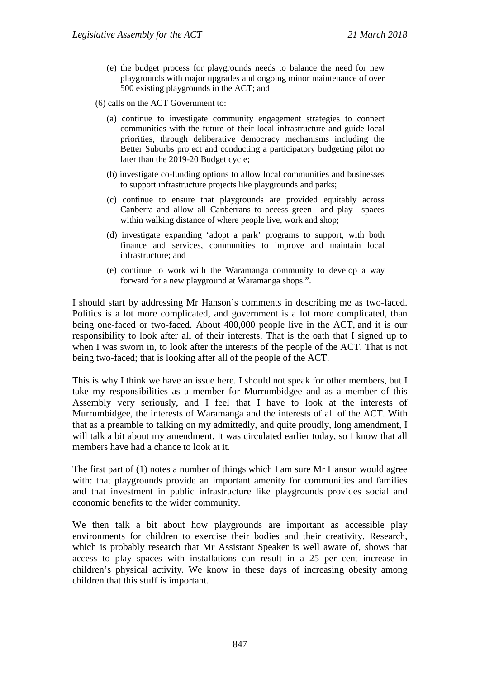(e) the budget process for playgrounds needs to balance the need for new playgrounds with major upgrades and ongoing minor maintenance of over 500 existing playgrounds in the ACT; and

(6) calls on the ACT Government to:

- (a) continue to investigate community engagement strategies to connect communities with the future of their local infrastructure and guide local priorities, through deliberative democracy mechanisms including the Better Suburbs project and conducting a participatory budgeting pilot no later than the 2019-20 Budget cycle;
- (b) investigate co-funding options to allow local communities and businesses to support infrastructure projects like playgrounds and parks;
- (c) continue to ensure that playgrounds are provided equitably across Canberra and allow all Canberrans to access green—and play—spaces within walking distance of where people live, work and shop;
- (d) investigate expanding 'adopt a park' programs to support, with both finance and services, communities to improve and maintain local infrastructure; and
- (e) continue to work with the Waramanga community to develop a way forward for a new playground at Waramanga shops.".

I should start by addressing Mr Hanson's comments in describing me as two-faced. Politics is a lot more complicated, and government is a lot more complicated, than being one-faced or two-faced. About 400,000 people live in the ACT, and it is our responsibility to look after all of their interests. That is the oath that I signed up to when I was sworn in, to look after the interests of the people of the ACT. That is not being two-faced; that is looking after all of the people of the ACT.

This is why I think we have an issue here. I should not speak for other members, but I take my responsibilities as a member for Murrumbidgee and as a member of this Assembly very seriously, and I feel that I have to look at the interests of Murrumbidgee, the interests of Waramanga and the interests of all of the ACT. With that as a preamble to talking on my admittedly, and quite proudly, long amendment, I will talk a bit about my amendment. It was circulated earlier today, so I know that all members have had a chance to look at it.

The first part of (1) notes a number of things which I am sure Mr Hanson would agree with: that playgrounds provide an important amenity for communities and families and that investment in public infrastructure like playgrounds provides social and economic benefits to the wider community.

We then talk a bit about how playgrounds are important as accessible play environments for children to exercise their bodies and their creativity. Research, which is probably research that Mr Assistant Speaker is well aware of, shows that access to play spaces with installations can result in a 25 per cent increase in children's physical activity. We know in these days of increasing obesity among children that this stuff is important.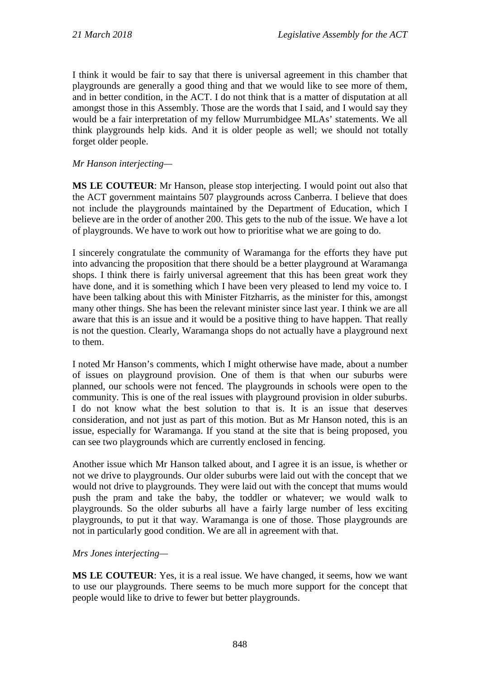I think it would be fair to say that there is universal agreement in this chamber that playgrounds are generally a good thing and that we would like to see more of them, and in better condition, in the ACT. I do not think that is a matter of disputation at all amongst those in this Assembly. Those are the words that I said, and I would say they would be a fair interpretation of my fellow Murrumbidgee MLAs' statements. We all think playgrounds help kids. And it is older people as well; we should not totally forget older people.

*Mr Hanson interjecting—*

**MS LE COUTEUR**: Mr Hanson, please stop interjecting. I would point out also that the ACT government maintains 507 playgrounds across Canberra. I believe that does not include the playgrounds maintained by the Department of Education, which I believe are in the order of another 200. This gets to the nub of the issue. We have a lot of playgrounds. We have to work out how to prioritise what we are going to do.

I sincerely congratulate the community of Waramanga for the efforts they have put into advancing the proposition that there should be a better playground at Waramanga shops. I think there is fairly universal agreement that this has been great work they have done, and it is something which I have been very pleased to lend my voice to. I have been talking about this with Minister Fitzharris, as the minister for this, amongst many other things. She has been the relevant minister since last year. I think we are all aware that this is an issue and it would be a positive thing to have happen. That really is not the question. Clearly, Waramanga shops do not actually have a playground next to them.

I noted Mr Hanson's comments, which I might otherwise have made, about a number of issues on playground provision. One of them is that when our suburbs were planned, our schools were not fenced. The playgrounds in schools were open to the community. This is one of the real issues with playground provision in older suburbs. I do not know what the best solution to that is. It is an issue that deserves consideration, and not just as part of this motion. But as Mr Hanson noted, this is an issue, especially for Waramanga. If you stand at the site that is being proposed, you can see two playgrounds which are currently enclosed in fencing.

Another issue which Mr Hanson talked about, and I agree it is an issue, is whether or not we drive to playgrounds. Our older suburbs were laid out with the concept that we would not drive to playgrounds. They were laid out with the concept that mums would push the pram and take the baby, the toddler or whatever; we would walk to playgrounds. So the older suburbs all have a fairly large number of less exciting playgrounds, to put it that way. Waramanga is one of those. Those playgrounds are not in particularly good condition. We are all in agreement with that.

## *Mrs Jones interjecting—*

**MS LE COUTEUR**: Yes, it is a real issue. We have changed, it seems, how we want to use our playgrounds. There seems to be much more support for the concept that people would like to drive to fewer but better playgrounds.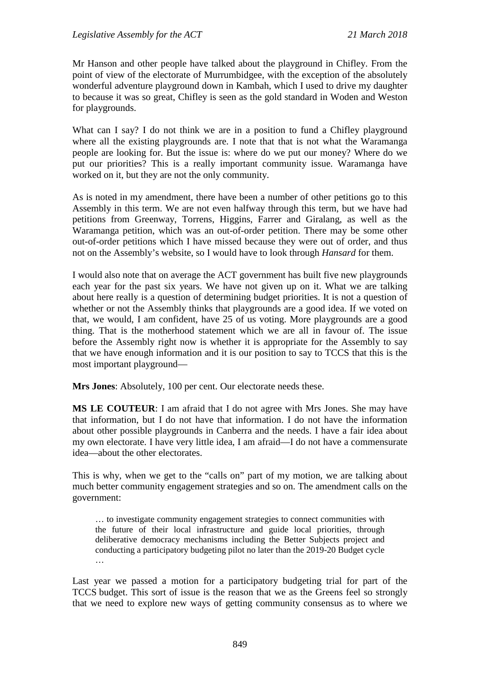Mr Hanson and other people have talked about the playground in Chifley. From the point of view of the electorate of Murrumbidgee, with the exception of the absolutely wonderful adventure playground down in Kambah, which I used to drive my daughter to because it was so great, Chifley is seen as the gold standard in Woden and Weston for playgrounds.

What can I say? I do not think we are in a position to fund a Chifley playground where all the existing playgrounds are. I note that that is not what the Waramanga people are looking for. But the issue is: where do we put our money? Where do we put our priorities? This is a really important community issue. Waramanga have worked on it, but they are not the only community.

As is noted in my amendment, there have been a number of other petitions go to this Assembly in this term. We are not even halfway through this term, but we have had petitions from Greenway, Torrens, Higgins, Farrer and Giralang, as well as the Waramanga petition, which was an out-of-order petition. There may be some other out-of-order petitions which I have missed because they were out of order, and thus not on the Assembly's website, so I would have to look through *Hansard* for them.

I would also note that on average the ACT government has built five new playgrounds each year for the past six years. We have not given up on it. What we are talking about here really is a question of determining budget priorities. It is not a question of whether or not the Assembly thinks that playgrounds are a good idea. If we voted on that, we would, I am confident, have 25 of us voting. More playgrounds are a good thing. That is the motherhood statement which we are all in favour of. The issue before the Assembly right now is whether it is appropriate for the Assembly to say that we have enough information and it is our position to say to TCCS that this is the most important playground—

**Mrs Jones**: Absolutely, 100 per cent. Our electorate needs these.

**MS LE COUTEUR**: I am afraid that I do not agree with Mrs Jones. She may have that information, but I do not have that information. I do not have the information about other possible playgrounds in Canberra and the needs. I have a fair idea about my own electorate. I have very little idea, I am afraid—I do not have a commensurate idea—about the other electorates.

This is why, when we get to the "calls on" part of my motion, we are talking about much better community engagement strategies and so on. The amendment calls on the government:

… to investigate community engagement strategies to connect communities with the future of their local infrastructure and guide local priorities, through deliberative democracy mechanisms including the Better Subjects project and conducting a participatory budgeting pilot no later than the 2019-20 Budget cycle …

Last year we passed a motion for a participatory budgeting trial for part of the TCCS budget. This sort of issue is the reason that we as the Greens feel so strongly that we need to explore new ways of getting community consensus as to where we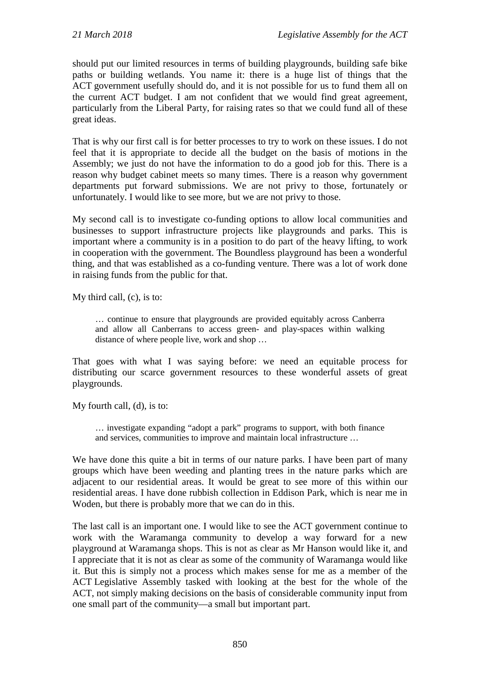should put our limited resources in terms of building playgrounds, building safe bike paths or building wetlands. You name it: there is a huge list of things that the ACT government usefully should do, and it is not possible for us to fund them all on the current ACT budget. I am not confident that we would find great agreement, particularly from the Liberal Party, for raising rates so that we could fund all of these great ideas.

That is why our first call is for better processes to try to work on these issues. I do not feel that it is appropriate to decide all the budget on the basis of motions in the Assembly; we just do not have the information to do a good job for this. There is a reason why budget cabinet meets so many times. There is a reason why government departments put forward submissions. We are not privy to those, fortunately or unfortunately. I would like to see more, but we are not privy to those.

My second call is to investigate co-funding options to allow local communities and businesses to support infrastructure projects like playgrounds and parks. This is important where a community is in a position to do part of the heavy lifting, to work in cooperation with the government. The Boundless playground has been a wonderful thing, and that was established as a co-funding venture. There was a lot of work done in raising funds from the public for that.

My third call, (c), is to:

… continue to ensure that playgrounds are provided equitably across Canberra and allow all Canberrans to access green- and play-spaces within walking distance of where people live, work and shop …

That goes with what I was saying before: we need an equitable process for distributing our scarce government resources to these wonderful assets of great playgrounds.

My fourth call, (d), is to:

… investigate expanding "adopt a park" programs to support, with both finance and services, communities to improve and maintain local infrastructure …

We have done this quite a bit in terms of our nature parks. I have been part of many groups which have been weeding and planting trees in the nature parks which are adjacent to our residential areas. It would be great to see more of this within our residential areas. I have done rubbish collection in Eddison Park, which is near me in Woden, but there is probably more that we can do in this.

The last call is an important one. I would like to see the ACT government continue to work with the Waramanga community to develop a way forward for a new playground at Waramanga shops. This is not as clear as Mr Hanson would like it, and I appreciate that it is not as clear as some of the community of Waramanga would like it. But this is simply not a process which makes sense for me as a member of the ACT Legislative Assembly tasked with looking at the best for the whole of the ACT, not simply making decisions on the basis of considerable community input from one small part of the community—a small but important part.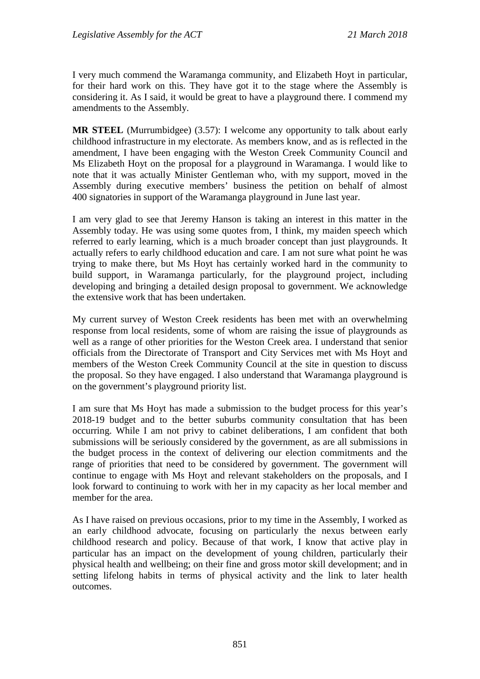I very much commend the Waramanga community, and Elizabeth Hoyt in particular, for their hard work on this. They have got it to the stage where the Assembly is considering it. As I said, it would be great to have a playground there. I commend my amendments to the Assembly.

**MR STEEL** (Murrumbidgee) (3.57): I welcome any opportunity to talk about early childhood infrastructure in my electorate. As members know, and as is reflected in the amendment, I have been engaging with the Weston Creek Community Council and Ms Elizabeth Hoyt on the proposal for a playground in Waramanga. I would like to note that it was actually Minister Gentleman who, with my support, moved in the Assembly during executive members' business the petition on behalf of almost 400 signatories in support of the Waramanga playground in June last year.

I am very glad to see that Jeremy Hanson is taking an interest in this matter in the Assembly today. He was using some quotes from, I think, my maiden speech which referred to early learning, which is a much broader concept than just playgrounds. It actually refers to early childhood education and care. I am not sure what point he was trying to make there, but Ms Hoyt has certainly worked hard in the community to build support, in Waramanga particularly, for the playground project, including developing and bringing a detailed design proposal to government. We acknowledge the extensive work that has been undertaken.

My current survey of Weston Creek residents has been met with an overwhelming response from local residents, some of whom are raising the issue of playgrounds as well as a range of other priorities for the Weston Creek area. I understand that senior officials from the Directorate of Transport and City Services met with Ms Hoyt and members of the Weston Creek Community Council at the site in question to discuss the proposal. So they have engaged. I also understand that Waramanga playground is on the government's playground priority list.

I am sure that Ms Hoyt has made a submission to the budget process for this year's 2018-19 budget and to the better suburbs community consultation that has been occurring. While I am not privy to cabinet deliberations, I am confident that both submissions will be seriously considered by the government, as are all submissions in the budget process in the context of delivering our election commitments and the range of priorities that need to be considered by government. The government will continue to engage with Ms Hoyt and relevant stakeholders on the proposals, and I look forward to continuing to work with her in my capacity as her local member and member for the area.

As I have raised on previous occasions, prior to my time in the Assembly, I worked as an early childhood advocate, focusing on particularly the nexus between early childhood research and policy. Because of that work, I know that active play in particular has an impact on the development of young children, particularly their physical health and wellbeing; on their fine and gross motor skill development; and in setting lifelong habits in terms of physical activity and the link to later health outcomes.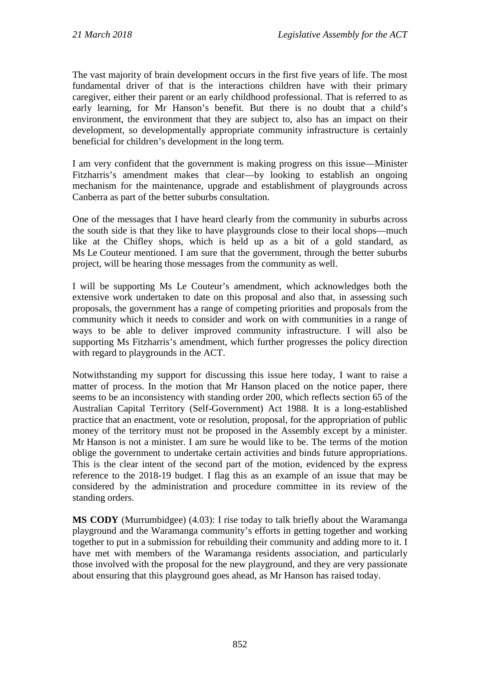The vast majority of brain development occurs in the first five years of life. The most fundamental driver of that is the interactions children have with their primary caregiver, either their parent or an early childhood professional. That is referred to as early learning, for Mr Hanson's benefit. But there is no doubt that a child's environment, the environment that they are subject to, also has an impact on their development, so developmentally appropriate community infrastructure is certainly beneficial for children's development in the long term.

I am very confident that the government is making progress on this issue—Minister Fitzharris's amendment makes that clear—by looking to establish an ongoing mechanism for the maintenance, upgrade and establishment of playgrounds across Canberra as part of the better suburbs consultation.

One of the messages that I have heard clearly from the community in suburbs across the south side is that they like to have playgrounds close to their local shops—much like at the Chifley shops, which is held up as a bit of a gold standard, as Ms Le Couteur mentioned. I am sure that the government, through the better suburbs project, will be hearing those messages from the community as well.

I will be supporting Ms Le Couteur's amendment, which acknowledges both the extensive work undertaken to date on this proposal and also that, in assessing such proposals, the government has a range of competing priorities and proposals from the community which it needs to consider and work on with communities in a range of ways to be able to deliver improved community infrastructure. I will also be supporting Ms Fitzharris's amendment, which further progresses the policy direction with regard to playgrounds in the ACT.

Notwithstanding my support for discussing this issue here today, I want to raise a matter of process. In the motion that Mr Hanson placed on the notice paper, there seems to be an inconsistency with standing order 200, which reflects section 65 of the Australian Capital Territory (Self-Government) Act 1988. It is a long-established practice that an enactment, vote or resolution, proposal, for the appropriation of public money of the territory must not be proposed in the Assembly except by a minister. Mr Hanson is not a minister. I am sure he would like to be. The terms of the motion oblige the government to undertake certain activities and binds future appropriations. This is the clear intent of the second part of the motion, evidenced by the express reference to the 2018-19 budget. I flag this as an example of an issue that may be considered by the administration and procedure committee in its review of the standing orders.

**MS CODY** (Murrumbidgee) (4.03): I rise today to talk briefly about the Waramanga playground and the Waramanga community's efforts in getting together and working together to put in a submission for rebuilding their community and adding more to it. I have met with members of the Waramanga residents association, and particularly those involved with the proposal for the new playground, and they are very passionate about ensuring that this playground goes ahead, as Mr Hanson has raised today.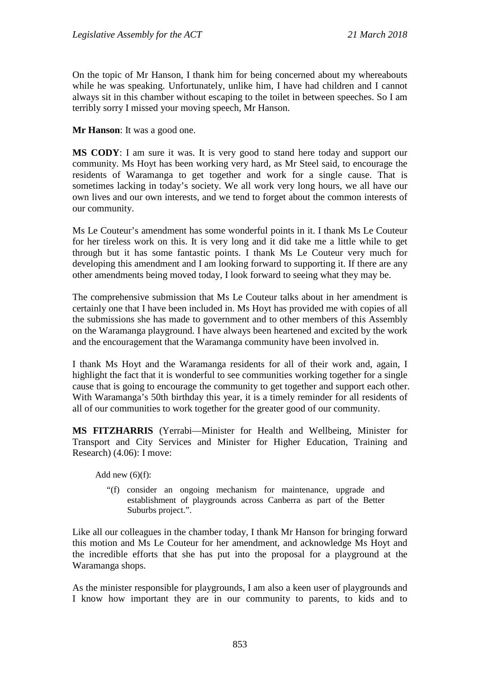On the topic of Mr Hanson, I thank him for being concerned about my whereabouts while he was speaking. Unfortunately, unlike him, I have had children and I cannot always sit in this chamber without escaping to the toilet in between speeches. So I am terribly sorry I missed your moving speech, Mr Hanson.

**Mr Hanson**: It was a good one.

**MS CODY**: I am sure it was. It is very good to stand here today and support our community. Ms Hoyt has been working very hard, as Mr Steel said, to encourage the residents of Waramanga to get together and work for a single cause. That is sometimes lacking in today's society. We all work very long hours, we all have our own lives and our own interests, and we tend to forget about the common interests of our community.

Ms Le Couteur's amendment has some wonderful points in it. I thank Ms Le Couteur for her tireless work on this. It is very long and it did take me a little while to get through but it has some fantastic points. I thank Ms Le Couteur very much for developing this amendment and I am looking forward to supporting it. If there are any other amendments being moved today, I look forward to seeing what they may be.

The comprehensive submission that Ms Le Couteur talks about in her amendment is certainly one that I have been included in. Ms Hoyt has provided me with copies of all the submissions she has made to government and to other members of this Assembly on the Waramanga playground. I have always been heartened and excited by the work and the encouragement that the Waramanga community have been involved in.

I thank Ms Hoyt and the Waramanga residents for all of their work and, again, I highlight the fact that it is wonderful to see communities working together for a single cause that is going to encourage the community to get together and support each other. With Waramanga's 50th birthday this year, it is a timely reminder for all residents of all of our communities to work together for the greater good of our community.

**MS FITZHARRIS** (Yerrabi—Minister for Health and Wellbeing, Minister for Transport and City Services and Minister for Higher Education, Training and Research) (4.06): I move:

Add new  $(6)(f)$ :

"(f) consider an ongoing mechanism for maintenance, upgrade and establishment of playgrounds across Canberra as part of the Better Suburbs project.".

Like all our colleagues in the chamber today, I thank Mr Hanson for bringing forward this motion and Ms Le Couteur for her amendment, and acknowledge Ms Hoyt and the incredible efforts that she has put into the proposal for a playground at the Waramanga shops.

As the minister responsible for playgrounds, I am also a keen user of playgrounds and I know how important they are in our community to parents, to kids and to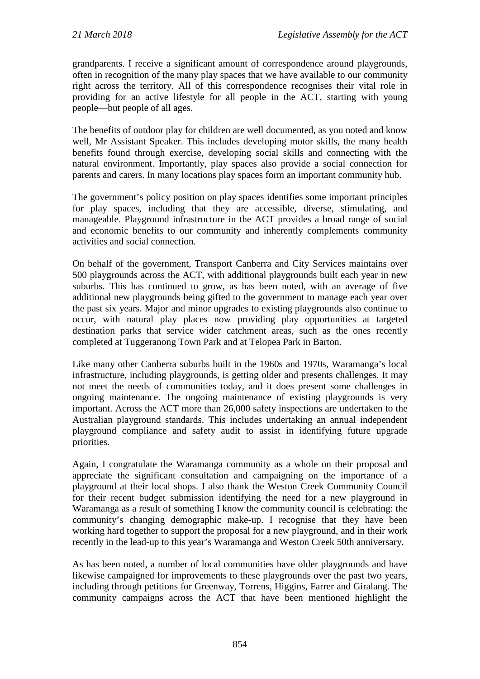grandparents. I receive a significant amount of correspondence around playgrounds, often in recognition of the many play spaces that we have available to our community right across the territory. All of this correspondence recognises their vital role in providing for an active lifestyle for all people in the ACT, starting with young people—but people of all ages.

The benefits of outdoor play for children are well documented, as you noted and know well, Mr Assistant Speaker. This includes developing motor skills, the many health benefits found through exercise, developing social skills and connecting with the natural environment. Importantly, play spaces also provide a social connection for parents and carers. In many locations play spaces form an important community hub.

The government's policy position on play spaces identifies some important principles for play spaces, including that they are accessible, diverse, stimulating, and manageable. Playground infrastructure in the ACT provides a broad range of social and economic benefits to our community and inherently complements community activities and social connection.

On behalf of the government, Transport Canberra and City Services maintains over 500 playgrounds across the ACT, with additional playgrounds built each year in new suburbs. This has continued to grow, as has been noted, with an average of five additional new playgrounds being gifted to the government to manage each year over the past six years. Major and minor upgrades to existing playgrounds also continue to occur, with natural play places now providing play opportunities at targeted destination parks that service wider catchment areas, such as the ones recently completed at Tuggeranong Town Park and at Telopea Park in Barton.

Like many other Canberra suburbs built in the 1960s and 1970s, Waramanga's local infrastructure, including playgrounds, is getting older and presents challenges. It may not meet the needs of communities today, and it does present some challenges in ongoing maintenance. The ongoing maintenance of existing playgrounds is very important. Across the ACT more than 26,000 safety inspections are undertaken to the Australian playground standards. This includes undertaking an annual independent playground compliance and safety audit to assist in identifying future upgrade priorities.

Again, I congratulate the Waramanga community as a whole on their proposal and appreciate the significant consultation and campaigning on the importance of a playground at their local shops. I also thank the Weston Creek Community Council for their recent budget submission identifying the need for a new playground in Waramanga as a result of something I know the community council is celebrating: the community's changing demographic make-up. I recognise that they have been working hard together to support the proposal for a new playground, and in their work recently in the lead-up to this year's Waramanga and Weston Creek 50th anniversary.

As has been noted, a number of local communities have older playgrounds and have likewise campaigned for improvements to these playgrounds over the past two years, including through petitions for Greenway, Torrens, Higgins, Farrer and Giralang. The community campaigns across the ACT that have been mentioned highlight the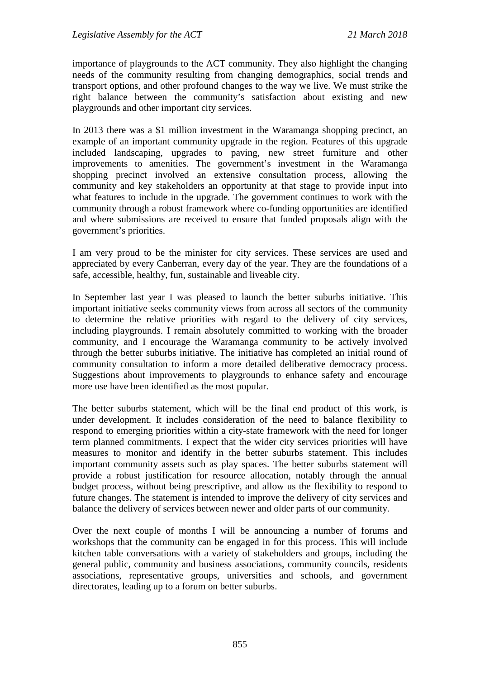importance of playgrounds to the ACT community. They also highlight the changing needs of the community resulting from changing demographics, social trends and transport options, and other profound changes to the way we live. We must strike the right balance between the community's satisfaction about existing and new playgrounds and other important city services.

In 2013 there was a \$1 million investment in the Waramanga shopping precinct, an example of an important community upgrade in the region. Features of this upgrade included landscaping, upgrades to paving, new street furniture and other improvements to amenities. The government's investment in the Waramanga shopping precinct involved an extensive consultation process, allowing the community and key stakeholders an opportunity at that stage to provide input into what features to include in the upgrade. The government continues to work with the community through a robust framework where co-funding opportunities are identified and where submissions are received to ensure that funded proposals align with the government's priorities.

I am very proud to be the minister for city services. These services are used and appreciated by every Canberran, every day of the year. They are the foundations of a safe, accessible, healthy, fun, sustainable and liveable city.

In September last year I was pleased to launch the better suburbs initiative. This important initiative seeks community views from across all sectors of the community to determine the relative priorities with regard to the delivery of city services, including playgrounds. I remain absolutely committed to working with the broader community, and I encourage the Waramanga community to be actively involved through the better suburbs initiative. The initiative has completed an initial round of community consultation to inform a more detailed deliberative democracy process. Suggestions about improvements to playgrounds to enhance safety and encourage more use have been identified as the most popular.

The better suburbs statement, which will be the final end product of this work, is under development. It includes consideration of the need to balance flexibility to respond to emerging priorities within a city-state framework with the need for longer term planned commitments. I expect that the wider city services priorities will have measures to monitor and identify in the better suburbs statement. This includes important community assets such as play spaces. The better suburbs statement will provide a robust justification for resource allocation, notably through the annual budget process, without being prescriptive, and allow us the flexibility to respond to future changes. The statement is intended to improve the delivery of city services and balance the delivery of services between newer and older parts of our community.

Over the next couple of months I will be announcing a number of forums and workshops that the community can be engaged in for this process. This will include kitchen table conversations with a variety of stakeholders and groups, including the general public, community and business associations, community councils, residents associations, representative groups, universities and schools, and government directorates, leading up to a forum on better suburbs.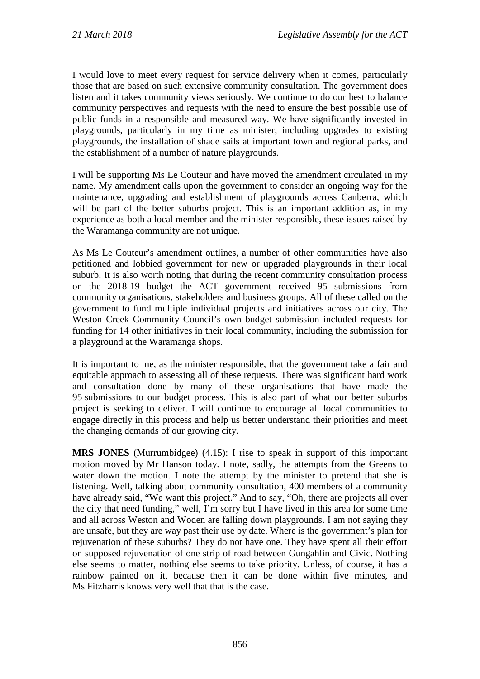I would love to meet every request for service delivery when it comes, particularly those that are based on such extensive community consultation. The government does listen and it takes community views seriously. We continue to do our best to balance community perspectives and requests with the need to ensure the best possible use of public funds in a responsible and measured way. We have significantly invested in playgrounds, particularly in my time as minister, including upgrades to existing playgrounds, the installation of shade sails at important town and regional parks, and the establishment of a number of nature playgrounds.

I will be supporting Ms Le Couteur and have moved the amendment circulated in my name. My amendment calls upon the government to consider an ongoing way for the maintenance, upgrading and establishment of playgrounds across Canberra, which will be part of the better suburbs project. This is an important addition as, in my experience as both a local member and the minister responsible, these issues raised by the Waramanga community are not unique.

As Ms Le Couteur's amendment outlines, a number of other communities have also petitioned and lobbied government for new or upgraded playgrounds in their local suburb. It is also worth noting that during the recent community consultation process on the 2018-19 budget the ACT government received 95 submissions from community organisations, stakeholders and business groups. All of these called on the government to fund multiple individual projects and initiatives across our city. The Weston Creek Community Council's own budget submission included requests for funding for 14 other initiatives in their local community, including the submission for a playground at the Waramanga shops.

It is important to me, as the minister responsible, that the government take a fair and equitable approach to assessing all of these requests. There was significant hard work and consultation done by many of these organisations that have made the 95 submissions to our budget process. This is also part of what our better suburbs project is seeking to deliver. I will continue to encourage all local communities to engage directly in this process and help us better understand their priorities and meet the changing demands of our growing city.

**MRS JONES** (Murrumbidgee) (4.15): I rise to speak in support of this important motion moved by Mr Hanson today. I note, sadly, the attempts from the Greens to water down the motion. I note the attempt by the minister to pretend that she is listening. Well, talking about community consultation, 400 members of a community have already said, "We want this project." And to say, "Oh, there are projects all over the city that need funding," well, I'm sorry but I have lived in this area for some time and all across Weston and Woden are falling down playgrounds. I am not saying they are unsafe, but they are way past their use by date. Where is the government's plan for rejuvenation of these suburbs? They do not have one. They have spent all their effort on supposed rejuvenation of one strip of road between Gungahlin and Civic. Nothing else seems to matter, nothing else seems to take priority. Unless, of course, it has a rainbow painted on it, because then it can be done within five minutes, and Ms Fitzharris knows very well that that is the case.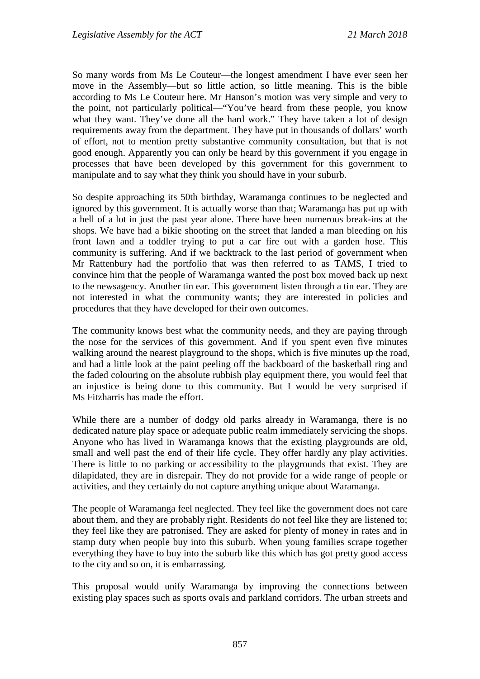So many words from Ms Le Couteur—the longest amendment I have ever seen her move in the Assembly—but so little action, so little meaning. This is the bible according to Ms Le Couteur here. Mr Hanson's motion was very simple and very to the point, not particularly political—"You've heard from these people, you know what they want. They've done all the hard work." They have taken a lot of design requirements away from the department. They have put in thousands of dollars' worth of effort, not to mention pretty substantive community consultation, but that is not good enough. Apparently you can only be heard by this government if you engage in processes that have been developed by this government for this government to manipulate and to say what they think you should have in your suburb.

So despite approaching its 50th birthday, Waramanga continues to be neglected and ignored by this government. It is actually worse than that; Waramanga has put up with a hell of a lot in just the past year alone. There have been numerous break-ins at the shops. We have had a bikie shooting on the street that landed a man bleeding on his front lawn and a toddler trying to put a car fire out with a garden hose. This community is suffering. And if we backtrack to the last period of government when Mr Rattenbury had the portfolio that was then referred to as TAMS, I tried to convince him that the people of Waramanga wanted the post box moved back up next to the newsagency. Another tin ear. This government listen through a tin ear. They are not interested in what the community wants; they are interested in policies and procedures that they have developed for their own outcomes.

The community knows best what the community needs, and they are paying through the nose for the services of this government. And if you spent even five minutes walking around the nearest playground to the shops, which is five minutes up the road, and had a little look at the paint peeling off the backboard of the basketball ring and the faded colouring on the absolute rubbish play equipment there, you would feel that an injustice is being done to this community. But I would be very surprised if Ms Fitzharris has made the effort.

While there are a number of dodgy old parks already in Waramanga, there is no dedicated nature play space or adequate public realm immediately servicing the shops. Anyone who has lived in Waramanga knows that the existing playgrounds are old, small and well past the end of their life cycle. They offer hardly any play activities. There is little to no parking or accessibility to the playgrounds that exist. They are dilapidated, they are in disrepair. They do not provide for a wide range of people or activities, and they certainly do not capture anything unique about Waramanga.

The people of Waramanga feel neglected. They feel like the government does not care about them, and they are probably right. Residents do not feel like they are listened to; they feel like they are patronised. They are asked for plenty of money in rates and in stamp duty when people buy into this suburb. When young families scrape together everything they have to buy into the suburb like this which has got pretty good access to the city and so on, it is embarrassing.

This proposal would unify Waramanga by improving the connections between existing play spaces such as sports ovals and parkland corridors. The urban streets and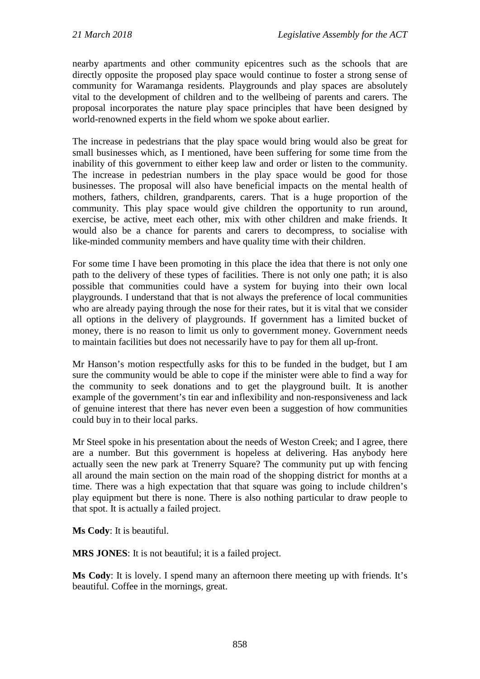nearby apartments and other community epicentres such as the schools that are directly opposite the proposed play space would continue to foster a strong sense of community for Waramanga residents. Playgrounds and play spaces are absolutely vital to the development of children and to the wellbeing of parents and carers. The proposal incorporates the nature play space principles that have been designed by world-renowned experts in the field whom we spoke about earlier.

The increase in pedestrians that the play space would bring would also be great for small businesses which, as I mentioned, have been suffering for some time from the inability of this government to either keep law and order or listen to the community. The increase in pedestrian numbers in the play space would be good for those businesses. The proposal will also have beneficial impacts on the mental health of mothers, fathers, children, grandparents, carers. That is a huge proportion of the community. This play space would give children the opportunity to run around, exercise, be active, meet each other, mix with other children and make friends. It would also be a chance for parents and carers to decompress, to socialise with like-minded community members and have quality time with their children.

For some time I have been promoting in this place the idea that there is not only one path to the delivery of these types of facilities. There is not only one path; it is also possible that communities could have a system for buying into their own local playgrounds. I understand that that is not always the preference of local communities who are already paying through the nose for their rates, but it is vital that we consider all options in the delivery of playgrounds. If government has a limited bucket of money, there is no reason to limit us only to government money. Government needs to maintain facilities but does not necessarily have to pay for them all up-front.

Mr Hanson's motion respectfully asks for this to be funded in the budget, but I am sure the community would be able to cope if the minister were able to find a way for the community to seek donations and to get the playground built. It is another example of the government's tin ear and inflexibility and non-responsiveness and lack of genuine interest that there has never even been a suggestion of how communities could buy in to their local parks.

Mr Steel spoke in his presentation about the needs of Weston Creek; and I agree, there are a number. But this government is hopeless at delivering. Has anybody here actually seen the new park at Trenerry Square? The community put up with fencing all around the main section on the main road of the shopping district for months at a time. There was a high expectation that that square was going to include children's play equipment but there is none. There is also nothing particular to draw people to that spot. It is actually a failed project.

**Ms Cody**: It is beautiful.

**MRS JONES**: It is not beautiful; it is a failed project.

**Ms Cody**: It is lovely. I spend many an afternoon there meeting up with friends. It's beautiful. Coffee in the mornings, great.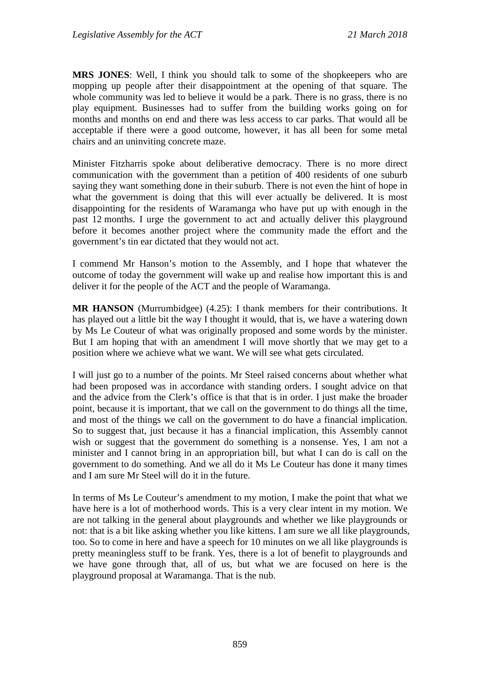**MRS JONES**: Well, I think you should talk to some of the shopkeepers who are mopping up people after their disappointment at the opening of that square. The whole community was led to believe it would be a park. There is no grass, there is no play equipment. Businesses had to suffer from the building works going on for months and months on end and there was less access to car parks. That would all be acceptable if there were a good outcome, however, it has all been for some metal chairs and an uninviting concrete maze.

Minister Fitzharris spoke about deliberative democracy. There is no more direct communication with the government than a petition of 400 residents of one suburb saying they want something done in their suburb. There is not even the hint of hope in what the government is doing that this will ever actually be delivered. It is most disappointing for the residents of Waramanga who have put up with enough in the past 12 months. I urge the government to act and actually deliver this playground before it becomes another project where the community made the effort and the government's tin ear dictated that they would not act.

I commend Mr Hanson's motion to the Assembly, and I hope that whatever the outcome of today the government will wake up and realise how important this is and deliver it for the people of the ACT and the people of Waramanga.

**MR HANSON** (Murrumbidgee) (4.25): I thank members for their contributions. It has played out a little bit the way I thought it would, that is, we have a watering down by Ms Le Couteur of what was originally proposed and some words by the minister. But I am hoping that with an amendment I will move shortly that we may get to a position where we achieve what we want. We will see what gets circulated.

I will just go to a number of the points. Mr Steel raised concerns about whether what had been proposed was in accordance with standing orders. I sought advice on that and the advice from the Clerk's office is that that is in order. I just make the broader point, because it is important, that we call on the government to do things all the time, and most of the things we call on the government to do have a financial implication. So to suggest that, just because it has a financial implication, this Assembly cannot wish or suggest that the government do something is a nonsense. Yes, I am not a minister and I cannot bring in an appropriation bill, but what I can do is call on the government to do something. And we all do it Ms Le Couteur has done it many times and I am sure Mr Steel will do it in the future.

In terms of Ms Le Couteur's amendment to my motion, I make the point that what we have here is a lot of motherhood words. This is a very clear intent in my motion. We are not talking in the general about playgrounds and whether we like playgrounds or not: that is a bit like asking whether you like kittens. I am sure we all like playgrounds, too. So to come in here and have a speech for 10 minutes on we all like playgrounds is pretty meaningless stuff to be frank. Yes, there is a lot of benefit to playgrounds and we have gone through that, all of us, but what we are focused on here is the playground proposal at Waramanga. That is the nub.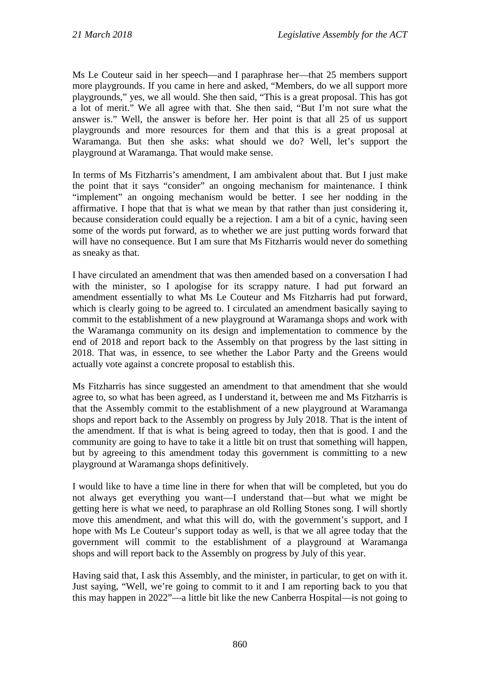Ms Le Couteur said in her speech—and I paraphrase her—that 25 members support more playgrounds. If you came in here and asked, "Members, do we all support more playgrounds," yes, we all would. She then said, "This is a great proposal. This has got a lot of merit." We all agree with that. She then said, "But I'm not sure what the answer is." Well, the answer is before her. Her point is that all 25 of us support playgrounds and more resources for them and that this is a great proposal at Waramanga. But then she asks: what should we do? Well, let's support the playground at Waramanga. That would make sense.

In terms of Ms Fitzharris's amendment, I am ambivalent about that. But I just make the point that it says "consider" an ongoing mechanism for maintenance. I think "implement" an ongoing mechanism would be better. I see her nodding in the affirmative. I hope that that is what we mean by that rather than just considering it, because consideration could equally be a rejection. I am a bit of a cynic, having seen some of the words put forward, as to whether we are just putting words forward that will have no consequence. But I am sure that Ms Fitzharris would never do something as sneaky as that.

I have circulated an amendment that was then amended based on a conversation I had with the minister, so I apologise for its scrappy nature. I had put forward an amendment essentially to what Ms Le Couteur and Ms Fitzharris had put forward, which is clearly going to be agreed to. I circulated an amendment basically saying to commit to the establishment of a new playground at Waramanga shops and work with the Waramanga community on its design and implementation to commence by the end of 2018 and report back to the Assembly on that progress by the last sitting in 2018. That was, in essence, to see whether the Labor Party and the Greens would actually vote against a concrete proposal to establish this.

Ms Fitzharris has since suggested an amendment to that amendment that she would agree to, so what has been agreed, as I understand it, between me and Ms Fitzharris is that the Assembly commit to the establishment of a new playground at Waramanga shops and report back to the Assembly on progress by July 2018. That is the intent of the amendment. If that is what is being agreed to today, then that is good. I and the community are going to have to take it a little bit on trust that something will happen, but by agreeing to this amendment today this government is committing to a new playground at Waramanga shops definitively.

I would like to have a time line in there for when that will be completed, but you do not always get everything you want—I understand that—but what we might be getting here is what we need, to paraphrase an old Rolling Stones song. I will shortly move this amendment, and what this will do, with the government's support, and I hope with Ms Le Couteur's support today as well, is that we all agree today that the government will commit to the establishment of a playground at Waramanga shops and will report back to the Assembly on progress by July of this year.

Having said that, I ask this Assembly, and the minister, in particular, to get on with it. Just saying, "Well, we're going to commit to it and I am reporting back to you that this may happen in 2022"—a little bit like the new Canberra Hospital—is not going to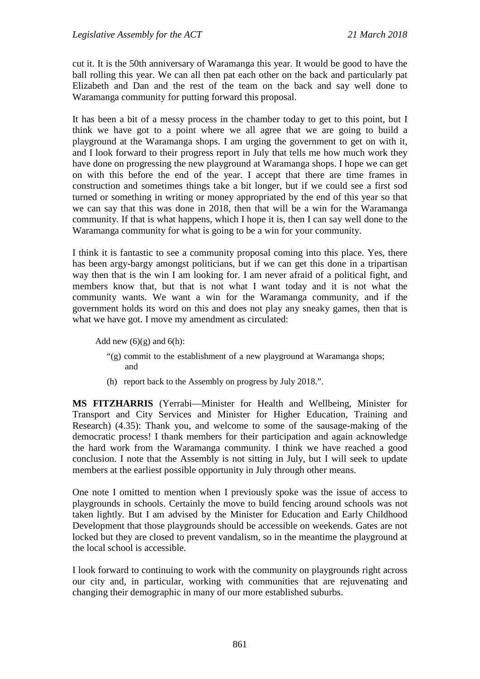cut it. It is the 50th anniversary of Waramanga this year. It would be good to have the ball rolling this year. We can all then pat each other on the back and particularly pat Elizabeth and Dan and the rest of the team on the back and say well done to Waramanga community for putting forward this proposal.

It has been a bit of a messy process in the chamber today to get to this point, but I think we have got to a point where we all agree that we are going to build a playground at the Waramanga shops. I am urging the government to get on with it, and I look forward to their progress report in July that tells me how much work they have done on progressing the new playground at Waramanga shops. I hope we can get on with this before the end of the year. I accept that there are time frames in construction and sometimes things take a bit longer, but if we could see a first sod turned or something in writing or money appropriated by the end of this year so that we can say that this was done in 2018, then that will be a win for the Waramanga community. If that is what happens, which I hope it is, then I can say well done to the Waramanga community for what is going to be a win for your community.

I think it is fantastic to see a community proposal coming into this place. Yes, there has been argy-bargy amongst politicians, but if we can get this done in a tripartisan way then that is the win I am looking for. I am never afraid of a political fight, and members know that, but that is not what I want today and it is not what the community wants. We want a win for the Waramanga community, and if the government holds its word on this and does not play any sneaky games, then that is what we have got. I move my amendment as circulated:

Add new  $(6)(g)$  and  $6(h)$ :

- "(g) commit to the establishment of a new playground at Waramanga shops; and
- (h) report back to the Assembly on progress by July 2018.".

**MS FITZHARRIS** (Yerrabi—Minister for Health and Wellbeing, Minister for Transport and City Services and Minister for Higher Education, Training and Research) (4.35): Thank you, and welcome to some of the sausage-making of the democratic process! I thank members for their participation and again acknowledge the hard work from the Waramanga community. I think we have reached a good conclusion. I note that the Assembly is not sitting in July, but I will seek to update members at the earliest possible opportunity in July through other means.

One note I omitted to mention when I previously spoke was the issue of access to playgrounds in schools. Certainly the move to build fencing around schools was not taken lightly. But I am advised by the Minister for Education and Early Childhood Development that those playgrounds should be accessible on weekends. Gates are not locked but they are closed to prevent vandalism, so in the meantime the playground at the local school is accessible.

I look forward to continuing to work with the community on playgrounds right across our city and, in particular, working with communities that are rejuvenating and changing their demographic in many of our more established suburbs.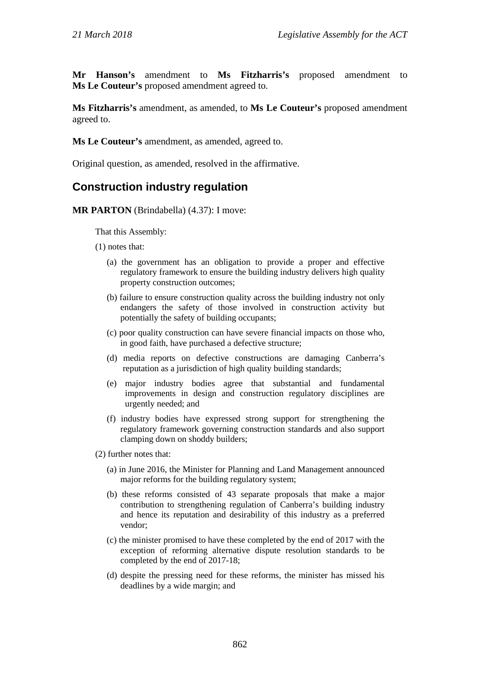**Mr Hanson's** amendment to **Ms Fitzharris's** proposed amendment to **Ms Le Couteur's** proposed amendment agreed to.

**Ms Fitzharris's** amendment, as amended, to **Ms Le Couteur's** proposed amendment agreed to.

**Ms Le Couteur's** amendment, as amended, agreed to.

Original question, as amended, resolved in the affirmative.

## **Construction industry regulation**

**MR PARTON** (Brindabella) (4.37): I move:

That this Assembly:

- (1) notes that:
	- (a) the government has an obligation to provide a proper and effective regulatory framework to ensure the building industry delivers high quality property construction outcomes;
	- (b) failure to ensure construction quality across the building industry not only endangers the safety of those involved in construction activity but potentially the safety of building occupants;
	- (c) poor quality construction can have severe financial impacts on those who, in good faith, have purchased a defective structure;
	- (d) media reports on defective constructions are damaging Canberra's reputation as a jurisdiction of high quality building standards;
	- (e) major industry bodies agree that substantial and fundamental improvements in design and construction regulatory disciplines are urgently needed; and
	- (f) industry bodies have expressed strong support for strengthening the regulatory framework governing construction standards and also support clamping down on shoddy builders;
- (2) further notes that:
	- (a) in June 2016, the Minister for Planning and Land Management announced major reforms for the building regulatory system;
	- (b) these reforms consisted of 43 separate proposals that make a major contribution to strengthening regulation of Canberra's building industry and hence its reputation and desirability of this industry as a preferred vendor;
	- (c) the minister promised to have these completed by the end of 2017 with the exception of reforming alternative dispute resolution standards to be completed by the end of 2017-18;
	- (d) despite the pressing need for these reforms, the minister has missed his deadlines by a wide margin; and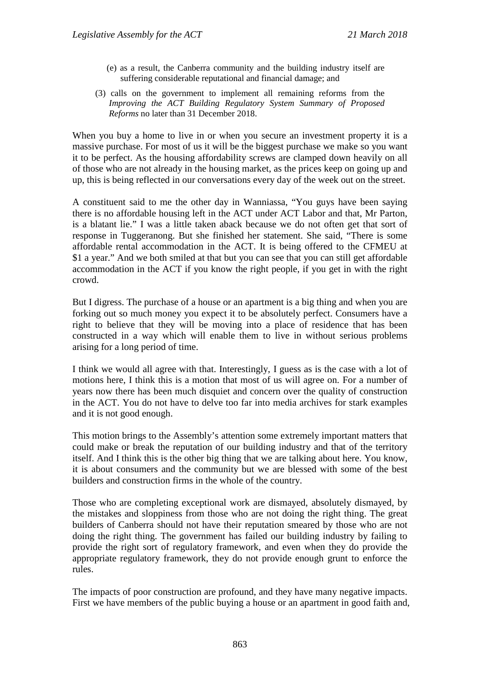- (e) as a result, the Canberra community and the building industry itself are suffering considerable reputational and financial damage; and
- (3) calls on the government to implement all remaining reforms from the *Improving the ACT Building Regulatory System Summary of Proposed Reforms* no later than 31 December 2018.

When you buy a home to live in or when you secure an investment property it is a massive purchase. For most of us it will be the biggest purchase we make so you want it to be perfect. As the housing affordability screws are clamped down heavily on all of those who are not already in the housing market, as the prices keep on going up and up, this is being reflected in our conversations every day of the week out on the street.

A constituent said to me the other day in Wanniassa, "You guys have been saying there is no affordable housing left in the ACT under ACT Labor and that, Mr Parton, is a blatant lie." I was a little taken aback because we do not often get that sort of response in Tuggeranong. But she finished her statement. She said, "There is some affordable rental accommodation in the ACT. It is being offered to the CFMEU at \$1 a year." And we both smiled at that but you can see that you can still get affordable accommodation in the ACT if you know the right people, if you get in with the right crowd.

But I digress. The purchase of a house or an apartment is a big thing and when you are forking out so much money you expect it to be absolutely perfect. Consumers have a right to believe that they will be moving into a place of residence that has been constructed in a way which will enable them to live in without serious problems arising for a long period of time.

I think we would all agree with that. Interestingly, I guess as is the case with a lot of motions here, I think this is a motion that most of us will agree on. For a number of years now there has been much disquiet and concern over the quality of construction in the ACT. You do not have to delve too far into media archives for stark examples and it is not good enough.

This motion brings to the Assembly's attention some extremely important matters that could make or break the reputation of our building industry and that of the territory itself. And I think this is the other big thing that we are talking about here. You know, it is about consumers and the community but we are blessed with some of the best builders and construction firms in the whole of the country.

Those who are completing exceptional work are dismayed, absolutely dismayed, by the mistakes and sloppiness from those who are not doing the right thing. The great builders of Canberra should not have their reputation smeared by those who are not doing the right thing. The government has failed our building industry by failing to provide the right sort of regulatory framework, and even when they do provide the appropriate regulatory framework, they do not provide enough grunt to enforce the rules.

The impacts of poor construction are profound, and they have many negative impacts. First we have members of the public buying a house or an apartment in good faith and,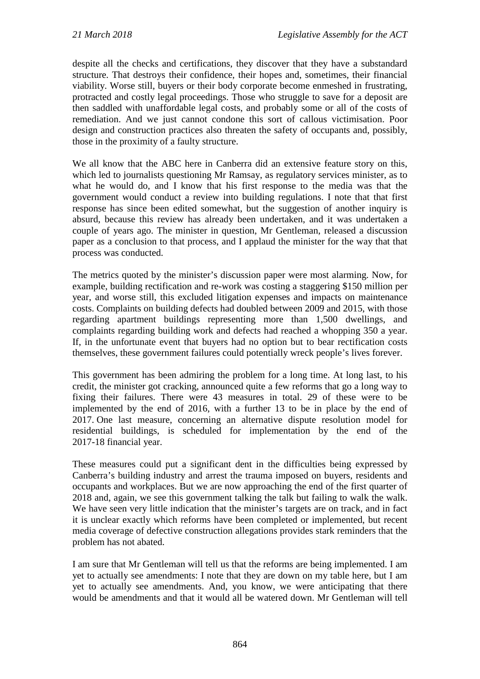despite all the checks and certifications, they discover that they have a substandard structure. That destroys their confidence, their hopes and, sometimes, their financial viability. Worse still, buyers or their body corporate become enmeshed in frustrating, protracted and costly legal proceedings. Those who struggle to save for a deposit are then saddled with unaffordable legal costs, and probably some or all of the costs of remediation. And we just cannot condone this sort of callous victimisation. Poor design and construction practices also threaten the safety of occupants and, possibly, those in the proximity of a faulty structure.

We all know that the ABC here in Canberra did an extensive feature story on this, which led to journalists questioning Mr Ramsay, as regulatory services minister, as to what he would do, and I know that his first response to the media was that the government would conduct a review into building regulations. I note that that first response has since been edited somewhat, but the suggestion of another inquiry is absurd, because this review has already been undertaken, and it was undertaken a couple of years ago. The minister in question, Mr Gentleman, released a discussion paper as a conclusion to that process, and I applaud the minister for the way that that process was conducted.

The metrics quoted by the minister's discussion paper were most alarming. Now, for example, building rectification and re-work was costing a staggering \$150 million per year, and worse still, this excluded litigation expenses and impacts on maintenance costs. Complaints on building defects had doubled between 2009 and 2015, with those regarding apartment buildings representing more than 1,500 dwellings, and complaints regarding building work and defects had reached a whopping 350 a year. If, in the unfortunate event that buyers had no option but to bear rectification costs themselves, these government failures could potentially wreck people's lives forever.

This government has been admiring the problem for a long time. At long last, to his credit, the minister got cracking, announced quite a few reforms that go a long way to fixing their failures. There were 43 measures in total. 29 of these were to be implemented by the end of 2016, with a further 13 to be in place by the end of 2017. One last measure, concerning an alternative dispute resolution model for residential buildings, is scheduled for implementation by the end of the 2017-18 financial year.

These measures could put a significant dent in the difficulties being expressed by Canberra's building industry and arrest the trauma imposed on buyers, residents and occupants and workplaces. But we are now approaching the end of the first quarter of 2018 and, again, we see this government talking the talk but failing to walk the walk. We have seen very little indication that the minister's targets are on track, and in fact it is unclear exactly which reforms have been completed or implemented, but recent media coverage of defective construction allegations provides stark reminders that the problem has not abated.

I am sure that Mr Gentleman will tell us that the reforms are being implemented. I am yet to actually see amendments: I note that they are down on my table here, but I am yet to actually see amendments. And, you know, we were anticipating that there would be amendments and that it would all be watered down. Mr Gentleman will tell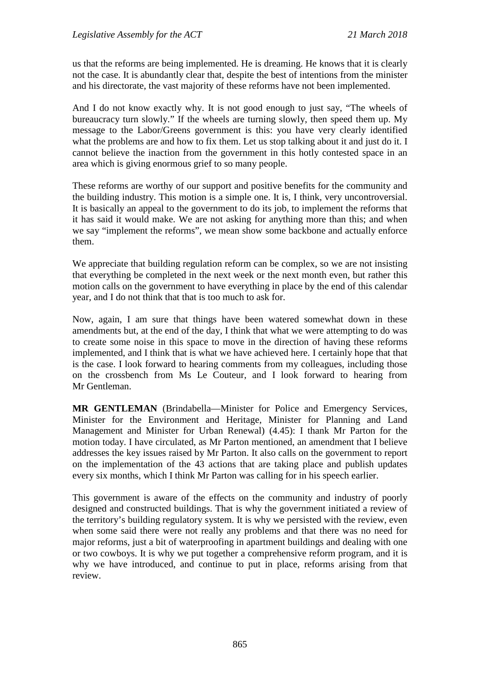us that the reforms are being implemented. He is dreaming. He knows that it is clearly not the case. It is abundantly clear that, despite the best of intentions from the minister and his directorate, the vast majority of these reforms have not been implemented.

And I do not know exactly why. It is not good enough to just say, "The wheels of bureaucracy turn slowly." If the wheels are turning slowly, then speed them up. My message to the Labor/Greens government is this: you have very clearly identified what the problems are and how to fix them. Let us stop talking about it and just do it. I cannot believe the inaction from the government in this hotly contested space in an area which is giving enormous grief to so many people.

These reforms are worthy of our support and positive benefits for the community and the building industry. This motion is a simple one. It is, I think, very uncontroversial. It is basically an appeal to the government to do its job, to implement the reforms that it has said it would make. We are not asking for anything more than this; and when we say "implement the reforms", we mean show some backbone and actually enforce them.

We appreciate that building regulation reform can be complex, so we are not insisting that everything be completed in the next week or the next month even, but rather this motion calls on the government to have everything in place by the end of this calendar year, and I do not think that that is too much to ask for.

Now, again, I am sure that things have been watered somewhat down in these amendments but, at the end of the day, I think that what we were attempting to do was to create some noise in this space to move in the direction of having these reforms implemented, and I think that is what we have achieved here. I certainly hope that that is the case. I look forward to hearing comments from my colleagues, including those on the crossbench from Ms Le Couteur, and I look forward to hearing from Mr Gentleman.

**MR GENTLEMAN** (Brindabella—Minister for Police and Emergency Services, Minister for the Environment and Heritage, Minister for Planning and Land Management and Minister for Urban Renewal) (4.45): I thank Mr Parton for the motion today. I have circulated, as Mr Parton mentioned, an amendment that I believe addresses the key issues raised by Mr Parton. It also calls on the government to report on the implementation of the 43 actions that are taking place and publish updates every six months, which I think Mr Parton was calling for in his speech earlier.

This government is aware of the effects on the community and industry of poorly designed and constructed buildings. That is why the government initiated a review of the territory's building regulatory system. It is why we persisted with the review, even when some said there were not really any problems and that there was no need for major reforms, just a bit of waterproofing in apartment buildings and dealing with one or two cowboys. It is why we put together a comprehensive reform program, and it is why we have introduced, and continue to put in place, reforms arising from that review.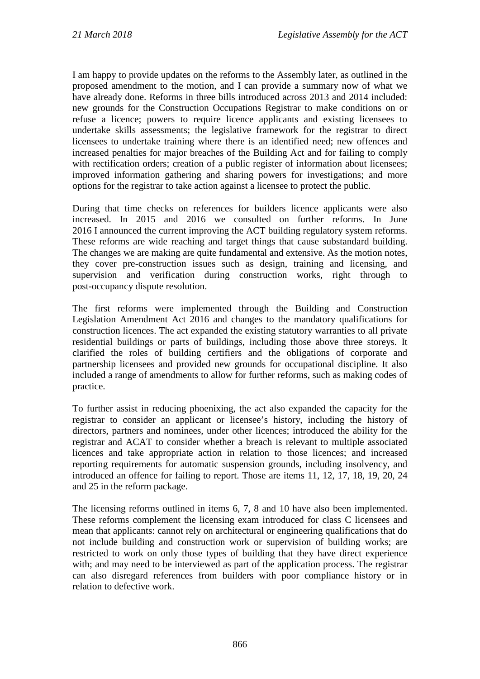I am happy to provide updates on the reforms to the Assembly later, as outlined in the proposed amendment to the motion, and I can provide a summary now of what we have already done. Reforms in three bills introduced across 2013 and 2014 included: new grounds for the Construction Occupations Registrar to make conditions on or refuse a licence; powers to require licence applicants and existing licensees to undertake skills assessments; the legislative framework for the registrar to direct licensees to undertake training where there is an identified need; new offences and increased penalties for major breaches of the Building Act and for failing to comply with rectification orders; creation of a public register of information about licensees; improved information gathering and sharing powers for investigations; and more options for the registrar to take action against a licensee to protect the public.

During that time checks on references for builders licence applicants were also increased. In 2015 and 2016 we consulted on further reforms. In June 2016 I announced the current improving the ACT building regulatory system reforms. These reforms are wide reaching and target things that cause substandard building. The changes we are making are quite fundamental and extensive. As the motion notes, they cover pre-construction issues such as design, training and licensing, and supervision and verification during construction works, right through to post-occupancy dispute resolution.

The first reforms were implemented through the Building and Construction Legislation Amendment Act 2016 and changes to the mandatory qualifications for construction licences. The act expanded the existing statutory warranties to all private residential buildings or parts of buildings, including those above three storeys. It clarified the roles of building certifiers and the obligations of corporate and partnership licensees and provided new grounds for occupational discipline. It also included a range of amendments to allow for further reforms, such as making codes of practice.

To further assist in reducing phoenixing, the act also expanded the capacity for the registrar to consider an applicant or licensee's history, including the history of directors, partners and nominees, under other licences; introduced the ability for the registrar and ACAT to consider whether a breach is relevant to multiple associated licences and take appropriate action in relation to those licences; and increased reporting requirements for automatic suspension grounds, including insolvency, and introduced an offence for failing to report. Those are items 11, 12, 17, 18, 19, 20, 24 and 25 in the reform package.

The licensing reforms outlined in items 6, 7, 8 and 10 have also been implemented. These reforms complement the licensing exam introduced for class C licensees and mean that applicants: cannot rely on architectural or engineering qualifications that do not include building and construction work or supervision of building works; are restricted to work on only those types of building that they have direct experience with; and may need to be interviewed as part of the application process. The registrar can also disregard references from builders with poor compliance history or in relation to defective work.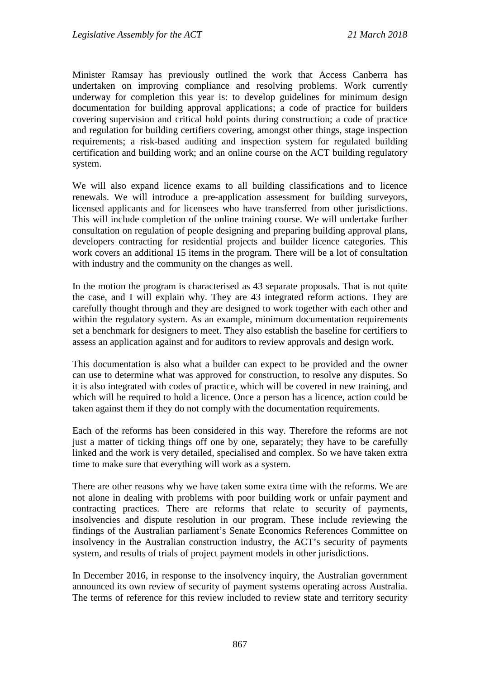Minister Ramsay has previously outlined the work that Access Canberra has undertaken on improving compliance and resolving problems. Work currently underway for completion this year is: to develop guidelines for minimum design documentation for building approval applications; a code of practice for builders covering supervision and critical hold points during construction; a code of practice and regulation for building certifiers covering, amongst other things, stage inspection requirements; a risk-based auditing and inspection system for regulated building certification and building work; and an online course on the ACT building regulatory system.

We will also expand licence exams to all building classifications and to licence renewals. We will introduce a pre-application assessment for building surveyors, licensed applicants and for licensees who have transferred from other jurisdictions. This will include completion of the online training course. We will undertake further consultation on regulation of people designing and preparing building approval plans, developers contracting for residential projects and builder licence categories. This work covers an additional 15 items in the program. There will be a lot of consultation with industry and the community on the changes as well.

In the motion the program is characterised as 43 separate proposals. That is not quite the case, and I will explain why. They are 43 integrated reform actions. They are carefully thought through and they are designed to work together with each other and within the regulatory system. As an example, minimum documentation requirements set a benchmark for designers to meet. They also establish the baseline for certifiers to assess an application against and for auditors to review approvals and design work.

This documentation is also what a builder can expect to be provided and the owner can use to determine what was approved for construction, to resolve any disputes. So it is also integrated with codes of practice, which will be covered in new training, and which will be required to hold a licence. Once a person has a licence, action could be taken against them if they do not comply with the documentation requirements.

Each of the reforms has been considered in this way. Therefore the reforms are not just a matter of ticking things off one by one, separately; they have to be carefully linked and the work is very detailed, specialised and complex. So we have taken extra time to make sure that everything will work as a system.

There are other reasons why we have taken some extra time with the reforms. We are not alone in dealing with problems with poor building work or unfair payment and contracting practices. There are reforms that relate to security of payments, insolvencies and dispute resolution in our program. These include reviewing the findings of the Australian parliament's Senate Economics References Committee on insolvency in the Australian construction industry, the ACT's security of payments system, and results of trials of project payment models in other jurisdictions.

In December 2016, in response to the insolvency inquiry, the Australian government announced its own review of security of payment systems operating across Australia. The terms of reference for this review included to review state and territory security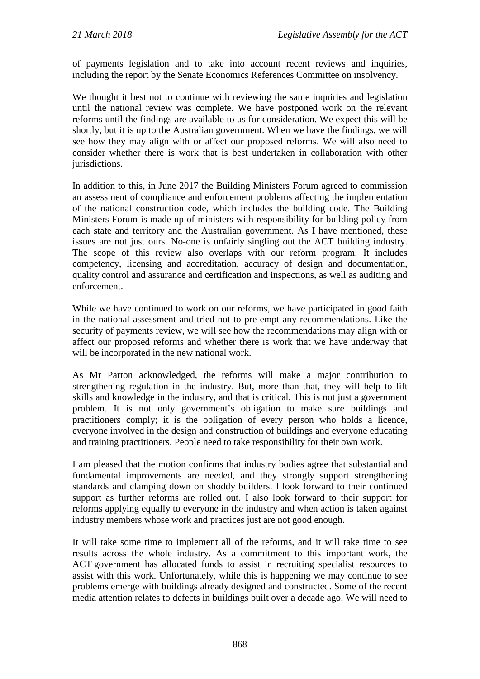of payments legislation and to take into account recent reviews and inquiries, including the report by the Senate Economics References Committee on insolvency.

We thought it best not to continue with reviewing the same inquiries and legislation until the national review was complete. We have postponed work on the relevant reforms until the findings are available to us for consideration. We expect this will be shortly, but it is up to the Australian government. When we have the findings, we will see how they may align with or affect our proposed reforms. We will also need to consider whether there is work that is best undertaken in collaboration with other jurisdictions.

In addition to this, in June 2017 the Building Ministers Forum agreed to commission an assessment of compliance and enforcement problems affecting the implementation of the national construction code, which includes the building code. The Building Ministers Forum is made up of ministers with responsibility for building policy from each state and territory and the Australian government. As I have mentioned, these issues are not just ours. No-one is unfairly singling out the ACT building industry. The scope of this review also overlaps with our reform program. It includes competency, licensing and accreditation, accuracy of design and documentation, quality control and assurance and certification and inspections, as well as auditing and enforcement.

While we have continued to work on our reforms, we have participated in good faith in the national assessment and tried not to pre-empt any recommendations. Like the security of payments review, we will see how the recommendations may align with or affect our proposed reforms and whether there is work that we have underway that will be incorporated in the new national work.

As Mr Parton acknowledged, the reforms will make a major contribution to strengthening regulation in the industry. But, more than that, they will help to lift skills and knowledge in the industry, and that is critical. This is not just a government problem. It is not only government's obligation to make sure buildings and practitioners comply; it is the obligation of every person who holds a licence, everyone involved in the design and construction of buildings and everyone educating and training practitioners. People need to take responsibility for their own work.

I am pleased that the motion confirms that industry bodies agree that substantial and fundamental improvements are needed, and they strongly support strengthening standards and clamping down on shoddy builders. I look forward to their continued support as further reforms are rolled out. I also look forward to their support for reforms applying equally to everyone in the industry and when action is taken against industry members whose work and practices just are not good enough.

It will take some time to implement all of the reforms, and it will take time to see results across the whole industry. As a commitment to this important work, the ACT government has allocated funds to assist in recruiting specialist resources to assist with this work. Unfortunately, while this is happening we may continue to see problems emerge with buildings already designed and constructed. Some of the recent media attention relates to defects in buildings built over a decade ago. We will need to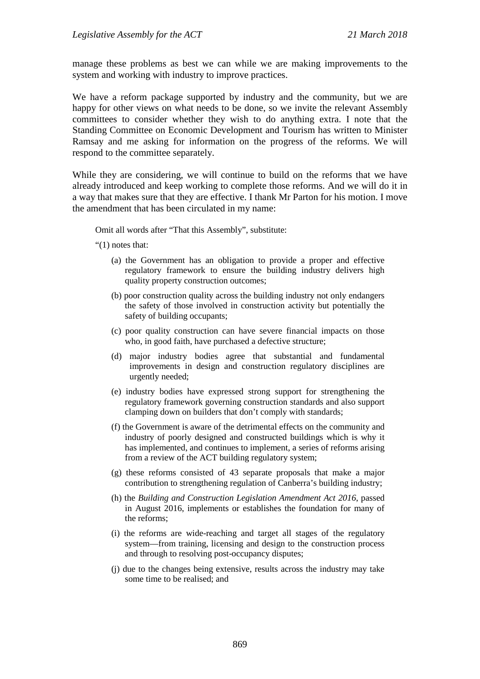manage these problems as best we can while we are making improvements to the system and working with industry to improve practices.

We have a reform package supported by industry and the community, but we are happy for other views on what needs to be done, so we invite the relevant Assembly committees to consider whether they wish to do anything extra. I note that the Standing Committee on Economic Development and Tourism has written to Minister Ramsay and me asking for information on the progress of the reforms. We will respond to the committee separately.

While they are considering, we will continue to build on the reforms that we have already introduced and keep working to complete those reforms. And we will do it in a way that makes sure that they are effective. I thank Mr Parton for his motion. I move the amendment that has been circulated in my name:

Omit all words after "That this Assembly", substitute:

"(1) notes that:

- (a) the Government has an obligation to provide a proper and effective regulatory framework to ensure the building industry delivers high quality property construction outcomes;
- (b) poor construction quality across the building industry not only endangers the safety of those involved in construction activity but potentially the safety of building occupants;
- (c) poor quality construction can have severe financial impacts on those who, in good faith, have purchased a defective structure;
- (d) major industry bodies agree that substantial and fundamental improvements in design and construction regulatory disciplines are urgently needed;
- (e) industry bodies have expressed strong support for strengthening the regulatory framework governing construction standards and also support clamping down on builders that don't comply with standards;
- (f) the Government is aware of the detrimental effects on the community and industry of poorly designed and constructed buildings which is why it has implemented, and continues to implement, a series of reforms arising from a review of the ACT building regulatory system;
- (g) these reforms consisted of 43 separate proposals that make a major contribution to strengthening regulation of Canberra's building industry;
- (h) the *Building and Construction Legislation Amendment Act 2016*, passed in August 2016, implements or establishes the foundation for many of the reforms;
- (i) the reforms are wide-reaching and target all stages of the regulatory system—from training, licensing and design to the construction process and through to resolving post-occupancy disputes;
- (j) due to the changes being extensive, results across the industry may take some time to be realised; and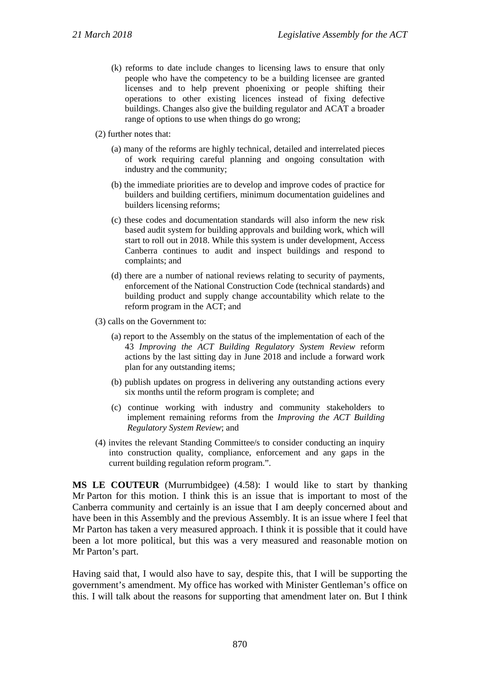- (k) reforms to date include changes to licensing laws to ensure that only people who have the competency to be a building licensee are granted licenses and to help prevent phoenixing or people shifting their operations to other existing licences instead of fixing defective buildings. Changes also give the building regulator and ACAT a broader range of options to use when things do go wrong;
- (2) further notes that:
	- (a) many of the reforms are highly technical, detailed and interrelated pieces of work requiring careful planning and ongoing consultation with industry and the community;
	- (b) the immediate priorities are to develop and improve codes of practice for builders and building certifiers, minimum documentation guidelines and builders licensing reforms;
	- (c) these codes and documentation standards will also inform the new risk based audit system for building approvals and building work, which will start to roll out in 2018. While this system is under development, Access Canberra continues to audit and inspect buildings and respond to complaints; and
	- (d) there are a number of national reviews relating to security of payments, enforcement of the National Construction Code (technical standards) and building product and supply change accountability which relate to the reform program in the ACT; and
- (3) calls on the Government to:
	- (a) report to the Assembly on the status of the implementation of each of the 43 *Improving the ACT Building Regulatory System Review* reform actions by the last sitting day in June 2018 and include a forward work plan for any outstanding items;
	- (b) publish updates on progress in delivering any outstanding actions every six months until the reform program is complete; and
	- (c) continue working with industry and community stakeholders to implement remaining reforms from the *Improving the ACT Building Regulatory System Review*; and
- (4) invites the relevant Standing Committee/s to consider conducting an inquiry into construction quality, compliance, enforcement and any gaps in the current building regulation reform program.".

**MS LE COUTEUR** (Murrumbidgee) (4.58): I would like to start by thanking Mr Parton for this motion. I think this is an issue that is important to most of the Canberra community and certainly is an issue that I am deeply concerned about and have been in this Assembly and the previous Assembly. It is an issue where I feel that Mr Parton has taken a very measured approach. I think it is possible that it could have been a lot more political, but this was a very measured and reasonable motion on Mr Parton's part.

Having said that, I would also have to say, despite this, that I will be supporting the government's amendment. My office has worked with Minister Gentleman's office on this. I will talk about the reasons for supporting that amendment later on. But I think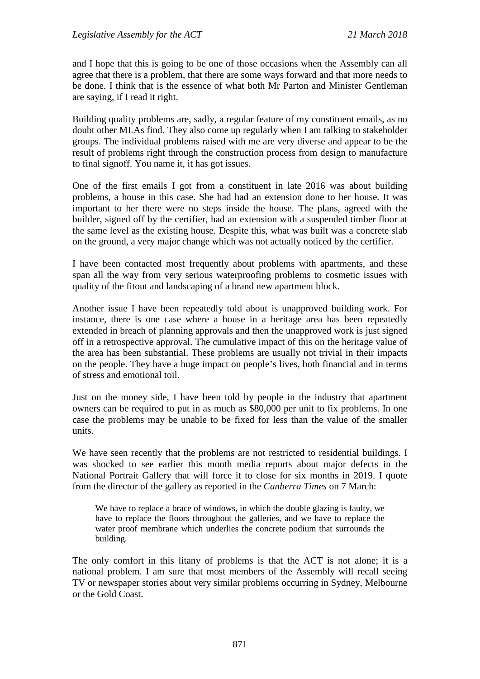and I hope that this is going to be one of those occasions when the Assembly can all agree that there is a problem, that there are some ways forward and that more needs to be done. I think that is the essence of what both Mr Parton and Minister Gentleman are saying, if I read it right.

Building quality problems are, sadly, a regular feature of my constituent emails, as no doubt other MLAs find. They also come up regularly when I am talking to stakeholder groups. The individual problems raised with me are very diverse and appear to be the result of problems right through the construction process from design to manufacture to final signoff. You name it, it has got issues.

One of the first emails I got from a constituent in late 2016 was about building problems, a house in this case. She had had an extension done to her house. It was important to her there were no steps inside the house. The plans, agreed with the builder, signed off by the certifier, had an extension with a suspended timber floor at the same level as the existing house. Despite this, what was built was a concrete slab on the ground, a very major change which was not actually noticed by the certifier.

I have been contacted most frequently about problems with apartments, and these span all the way from very serious waterproofing problems to cosmetic issues with quality of the fitout and landscaping of a brand new apartment block.

Another issue I have been repeatedly told about is unapproved building work. For instance, there is one case where a house in a heritage area has been repeatedly extended in breach of planning approvals and then the unapproved work is just signed off in a retrospective approval. The cumulative impact of this on the heritage value of the area has been substantial. These problems are usually not trivial in their impacts on the people. They have a huge impact on people's lives, both financial and in terms of stress and emotional toil.

Just on the money side, I have been told by people in the industry that apartment owners can be required to put in as much as \$80,000 per unit to fix problems. In one case the problems may be unable to be fixed for less than the value of the smaller units.

We have seen recently that the problems are not restricted to residential buildings. I was shocked to see earlier this month media reports about major defects in the National Portrait Gallery that will force it to close for six months in 2019. I quote from the director of the gallery as reported in the *Canberra Times* on 7 March:

We have to replace a brace of windows, in which the double glazing is faulty, we have to replace the floors throughout the galleries, and we have to replace the water proof membrane which underlies the concrete podium that surrounds the building.

The only comfort in this litany of problems is that the ACT is not alone; it is a national problem. I am sure that most members of the Assembly will recall seeing TV or newspaper stories about very similar problems occurring in Sydney, Melbourne or the Gold Coast.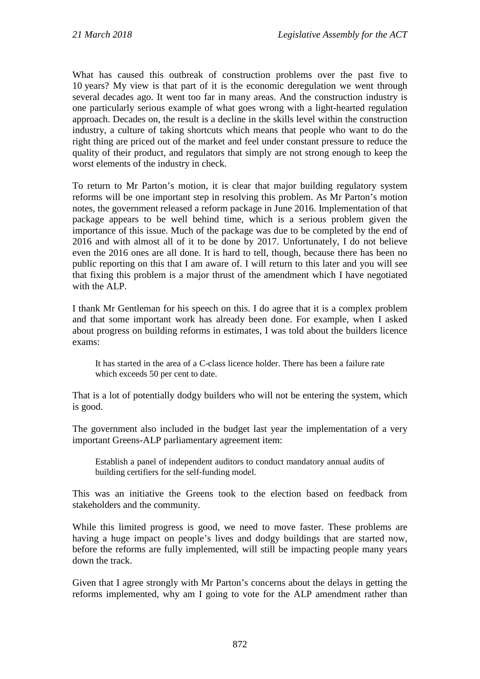What has caused this outbreak of construction problems over the past five to 10 years? My view is that part of it is the economic deregulation we went through several decades ago. It went too far in many areas. And the construction industry is one particularly serious example of what goes wrong with a light-hearted regulation approach. Decades on, the result is a decline in the skills level within the construction industry, a culture of taking shortcuts which means that people who want to do the right thing are priced out of the market and feel under constant pressure to reduce the quality of their product, and regulators that simply are not strong enough to keep the worst elements of the industry in check.

To return to Mr Parton's motion, it is clear that major building regulatory system reforms will be one important step in resolving this problem. As Mr Parton's motion notes, the government released a reform package in June 2016. Implementation of that package appears to be well behind time, which is a serious problem given the importance of this issue. Much of the package was due to be completed by the end of 2016 and with almost all of it to be done by 2017. Unfortunately, I do not believe even the 2016 ones are all done. It is hard to tell, though, because there has been no public reporting on this that I am aware of. I will return to this later and you will see that fixing this problem is a major thrust of the amendment which I have negotiated with the ALP.

I thank Mr Gentleman for his speech on this. I do agree that it is a complex problem and that some important work has already been done. For example, when I asked about progress on building reforms in estimates, I was told about the builders licence exams:

It has started in the area of a C-class licence holder. There has been a failure rate which exceeds 50 per cent to date.

That is a lot of potentially dodgy builders who will not be entering the system, which is good.

The government also included in the budget last year the implementation of a very important Greens-ALP parliamentary agreement item:

Establish a panel of independent auditors to conduct mandatory annual audits of building certifiers for the self-funding model.

This was an initiative the Greens took to the election based on feedback from stakeholders and the community.

While this limited progress is good, we need to move faster. These problems are having a huge impact on people's lives and dodgy buildings that are started now, before the reforms are fully implemented, will still be impacting people many years down the track.

Given that I agree strongly with Mr Parton's concerns about the delays in getting the reforms implemented, why am I going to vote for the ALP amendment rather than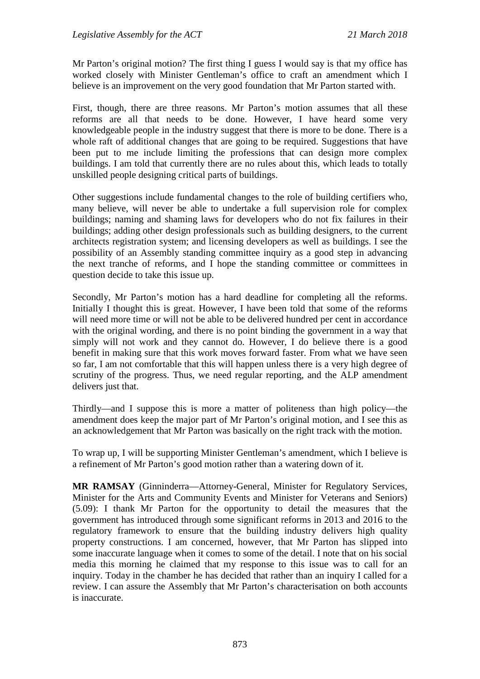Mr Parton's original motion? The first thing I guess I would say is that my office has worked closely with Minister Gentleman's office to craft an amendment which I believe is an improvement on the very good foundation that Mr Parton started with.

First, though, there are three reasons. Mr Parton's motion assumes that all these reforms are all that needs to be done. However, I have heard some very knowledgeable people in the industry suggest that there is more to be done. There is a whole raft of additional changes that are going to be required. Suggestions that have been put to me include limiting the professions that can design more complex buildings. I am told that currently there are no rules about this, which leads to totally unskilled people designing critical parts of buildings.

Other suggestions include fundamental changes to the role of building certifiers who, many believe, will never be able to undertake a full supervision role for complex buildings; naming and shaming laws for developers who do not fix failures in their buildings; adding other design professionals such as building designers, to the current architects registration system; and licensing developers as well as buildings. I see the possibility of an Assembly standing committee inquiry as a good step in advancing the next tranche of reforms, and I hope the standing committee or committees in question decide to take this issue up.

Secondly, Mr Parton's motion has a hard deadline for completing all the reforms. Initially I thought this is great. However, I have been told that some of the reforms will need more time or will not be able to be delivered hundred per cent in accordance with the original wording, and there is no point binding the government in a way that simply will not work and they cannot do. However, I do believe there is a good benefit in making sure that this work moves forward faster. From what we have seen so far, I am not comfortable that this will happen unless there is a very high degree of scrutiny of the progress. Thus, we need regular reporting, and the ALP amendment delivers just that.

Thirdly—and I suppose this is more a matter of politeness than high policy—the amendment does keep the major part of Mr Parton's original motion, and I see this as an acknowledgement that Mr Parton was basically on the right track with the motion.

To wrap up, I will be supporting Minister Gentleman's amendment, which I believe is a refinement of Mr Parton's good motion rather than a watering down of it.

**MR RAMSAY** (Ginninderra—Attorney-General, Minister for Regulatory Services, Minister for the Arts and Community Events and Minister for Veterans and Seniors) (5.09): I thank Mr Parton for the opportunity to detail the measures that the government has introduced through some significant reforms in 2013 and 2016 to the regulatory framework to ensure that the building industry delivers high quality property constructions. I am concerned, however, that Mr Parton has slipped into some inaccurate language when it comes to some of the detail. I note that on his social media this morning he claimed that my response to this issue was to call for an inquiry. Today in the chamber he has decided that rather than an inquiry I called for a review. I can assure the Assembly that Mr Parton's characterisation on both accounts is inaccurate.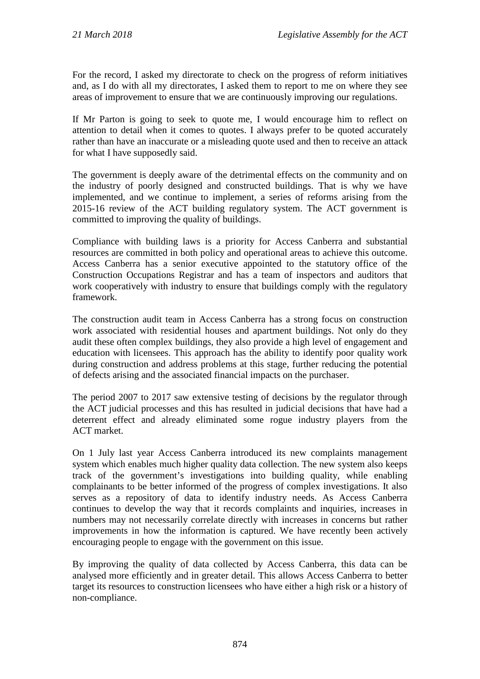For the record, I asked my directorate to check on the progress of reform initiatives and, as I do with all my directorates, I asked them to report to me on where they see areas of improvement to ensure that we are continuously improving our regulations.

If Mr Parton is going to seek to quote me, I would encourage him to reflect on attention to detail when it comes to quotes. I always prefer to be quoted accurately rather than have an inaccurate or a misleading quote used and then to receive an attack for what I have supposedly said.

The government is deeply aware of the detrimental effects on the community and on the industry of poorly designed and constructed buildings. That is why we have implemented, and we continue to implement, a series of reforms arising from the 2015-16 review of the ACT building regulatory system. The ACT government is committed to improving the quality of buildings.

Compliance with building laws is a priority for Access Canberra and substantial resources are committed in both policy and operational areas to achieve this outcome. Access Canberra has a senior executive appointed to the statutory office of the Construction Occupations Registrar and has a team of inspectors and auditors that work cooperatively with industry to ensure that buildings comply with the regulatory framework.

The construction audit team in Access Canberra has a strong focus on construction work associated with residential houses and apartment buildings. Not only do they audit these often complex buildings, they also provide a high level of engagement and education with licensees. This approach has the ability to identify poor quality work during construction and address problems at this stage, further reducing the potential of defects arising and the associated financial impacts on the purchaser.

The period 2007 to 2017 saw extensive testing of decisions by the regulator through the ACT judicial processes and this has resulted in judicial decisions that have had a deterrent effect and already eliminated some rogue industry players from the ACT market.

On 1 July last year Access Canberra introduced its new complaints management system which enables much higher quality data collection. The new system also keeps track of the government's investigations into building quality, while enabling complainants to be better informed of the progress of complex investigations. It also serves as a repository of data to identify industry needs. As Access Canberra continues to develop the way that it records complaints and inquiries, increases in numbers may not necessarily correlate directly with increases in concerns but rather improvements in how the information is captured. We have recently been actively encouraging people to engage with the government on this issue.

By improving the quality of data collected by Access Canberra, this data can be analysed more efficiently and in greater detail. This allows Access Canberra to better target its resources to construction licensees who have either a high risk or a history of non-compliance.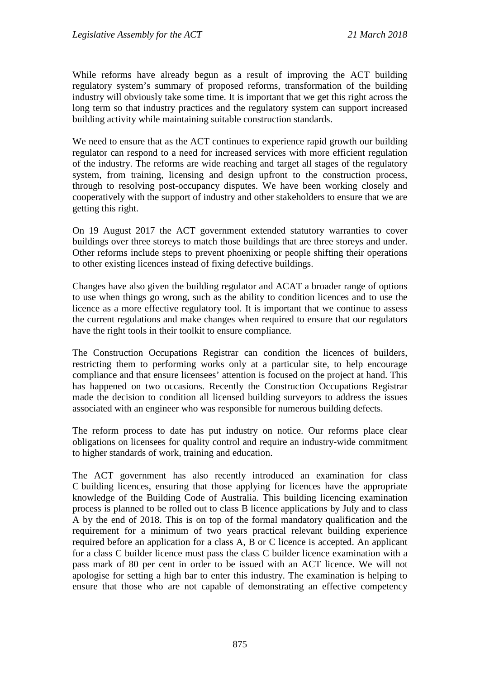While reforms have already begun as a result of improving the ACT building regulatory system's summary of proposed reforms, transformation of the building industry will obviously take some time. It is important that we get this right across the long term so that industry practices and the regulatory system can support increased building activity while maintaining suitable construction standards.

We need to ensure that as the ACT continues to experience rapid growth our building regulator can respond to a need for increased services with more efficient regulation of the industry. The reforms are wide reaching and target all stages of the regulatory system, from training, licensing and design upfront to the construction process, through to resolving post-occupancy disputes. We have been working closely and cooperatively with the support of industry and other stakeholders to ensure that we are getting this right.

On 19 August 2017 the ACT government extended statutory warranties to cover buildings over three storeys to match those buildings that are three storeys and under. Other reforms include steps to prevent phoenixing or people shifting their operations to other existing licences instead of fixing defective buildings.

Changes have also given the building regulator and ACAT a broader range of options to use when things go wrong, such as the ability to condition licences and to use the licence as a more effective regulatory tool. It is important that we continue to assess the current regulations and make changes when required to ensure that our regulators have the right tools in their toolkit to ensure compliance.

The Construction Occupations Registrar can condition the licences of builders, restricting them to performing works only at a particular site, to help encourage compliance and that ensure licensees' attention is focused on the project at hand. This has happened on two occasions. Recently the Construction Occupations Registrar made the decision to condition all licensed building surveyors to address the issues associated with an engineer who was responsible for numerous building defects.

The reform process to date has put industry on notice. Our reforms place clear obligations on licensees for quality control and require an industry-wide commitment to higher standards of work, training and education.

The ACT government has also recently introduced an examination for class C building licences, ensuring that those applying for licences have the appropriate knowledge of the Building Code of Australia. This building licencing examination process is planned to be rolled out to class B licence applications by July and to class A by the end of 2018. This is on top of the formal mandatory qualification and the requirement for a minimum of two years practical relevant building experience required before an application for a class A, B or C licence is accepted. An applicant for a class C builder licence must pass the class C builder licence examination with a pass mark of 80 per cent in order to be issued with an ACT licence. We will not apologise for setting a high bar to enter this industry. The examination is helping to ensure that those who are not capable of demonstrating an effective competency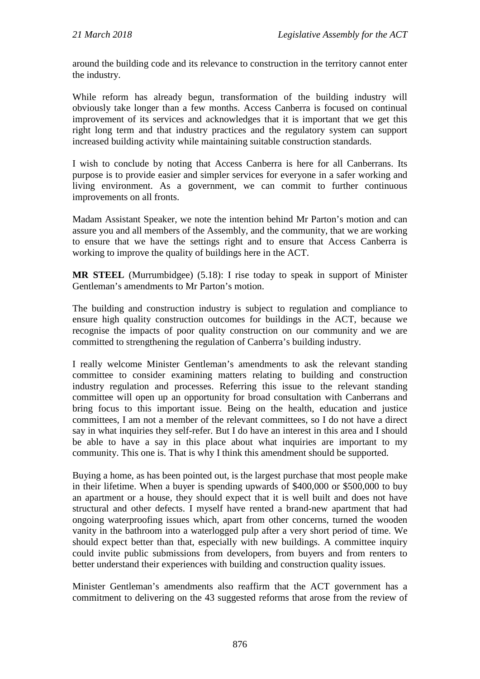around the building code and its relevance to construction in the territory cannot enter the industry.

While reform has already begun, transformation of the building industry will obviously take longer than a few months. Access Canberra is focused on continual improvement of its services and acknowledges that it is important that we get this right long term and that industry practices and the regulatory system can support increased building activity while maintaining suitable construction standards.

I wish to conclude by noting that Access Canberra is here for all Canberrans. Its purpose is to provide easier and simpler services for everyone in a safer working and living environment. As a government, we can commit to further continuous improvements on all fronts.

Madam Assistant Speaker, we note the intention behind Mr Parton's motion and can assure you and all members of the Assembly, and the community, that we are working to ensure that we have the settings right and to ensure that Access Canberra is working to improve the quality of buildings here in the ACT.

**MR STEEL** (Murrumbidgee) (5.18): I rise today to speak in support of Minister Gentleman's amendments to Mr Parton's motion.

The building and construction industry is subject to regulation and compliance to ensure high quality construction outcomes for buildings in the ACT, because we recognise the impacts of poor quality construction on our community and we are committed to strengthening the regulation of Canberra's building industry.

I really welcome Minister Gentleman's amendments to ask the relevant standing committee to consider examining matters relating to building and construction industry regulation and processes. Referring this issue to the relevant standing committee will open up an opportunity for broad consultation with Canberrans and bring focus to this important issue. Being on the health, education and justice committees, I am not a member of the relevant committees, so I do not have a direct say in what inquiries they self-refer. But I do have an interest in this area and I should be able to have a say in this place about what inquiries are important to my community. This one is. That is why I think this amendment should be supported.

Buying a home, as has been pointed out, is the largest purchase that most people make in their lifetime. When a buyer is spending upwards of \$400,000 or \$500,000 to buy an apartment or a house, they should expect that it is well built and does not have structural and other defects. I myself have rented a brand-new apartment that had ongoing waterproofing issues which, apart from other concerns, turned the wooden vanity in the bathroom into a waterlogged pulp after a very short period of time. We should expect better than that, especially with new buildings. A committee inquiry could invite public submissions from developers, from buyers and from renters to better understand their experiences with building and construction quality issues.

Minister Gentleman's amendments also reaffirm that the ACT government has a commitment to delivering on the 43 suggested reforms that arose from the review of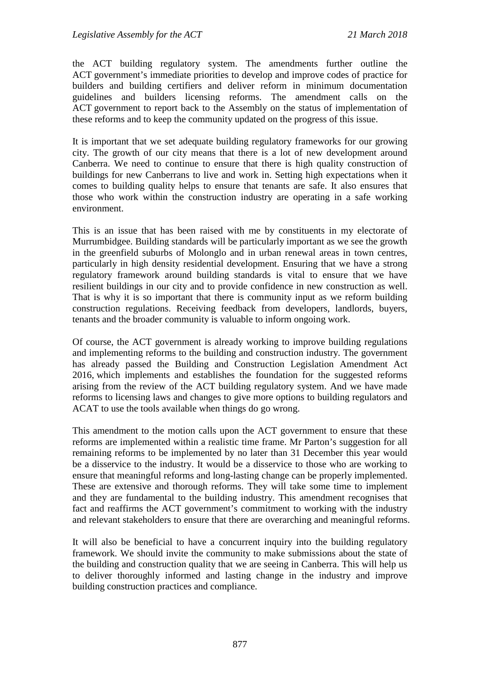the ACT building regulatory system. The amendments further outline the ACT government's immediate priorities to develop and improve codes of practice for builders and building certifiers and deliver reform in minimum documentation guidelines and builders licensing reforms. The amendment calls on the ACT government to report back to the Assembly on the status of implementation of these reforms and to keep the community updated on the progress of this issue.

It is important that we set adequate building regulatory frameworks for our growing city. The growth of our city means that there is a lot of new development around Canberra. We need to continue to ensure that there is high quality construction of buildings for new Canberrans to live and work in. Setting high expectations when it comes to building quality helps to ensure that tenants are safe. It also ensures that those who work within the construction industry are operating in a safe working environment.

This is an issue that has been raised with me by constituents in my electorate of Murrumbidgee. Building standards will be particularly important as we see the growth in the greenfield suburbs of Molonglo and in urban renewal areas in town centres, particularly in high density residential development. Ensuring that we have a strong regulatory framework around building standards is vital to ensure that we have resilient buildings in our city and to provide confidence in new construction as well. That is why it is so important that there is community input as we reform building construction regulations. Receiving feedback from developers, landlords, buyers, tenants and the broader community is valuable to inform ongoing work.

Of course, the ACT government is already working to improve building regulations and implementing reforms to the building and construction industry. The government has already passed the Building and Construction Legislation Amendment Act 2016, which implements and establishes the foundation for the suggested reforms arising from the review of the ACT building regulatory system. And we have made reforms to licensing laws and changes to give more options to building regulators and ACAT to use the tools available when things do go wrong.

This amendment to the motion calls upon the ACT government to ensure that these reforms are implemented within a realistic time frame. Mr Parton's suggestion for all remaining reforms to be implemented by no later than 31 December this year would be a disservice to the industry. It would be a disservice to those who are working to ensure that meaningful reforms and long-lasting change can be properly implemented. These are extensive and thorough reforms. They will take some time to implement and they are fundamental to the building industry. This amendment recognises that fact and reaffirms the ACT government's commitment to working with the industry and relevant stakeholders to ensure that there are overarching and meaningful reforms.

It will also be beneficial to have a concurrent inquiry into the building regulatory framework. We should invite the community to make submissions about the state of the building and construction quality that we are seeing in Canberra. This will help us to deliver thoroughly informed and lasting change in the industry and improve building construction practices and compliance.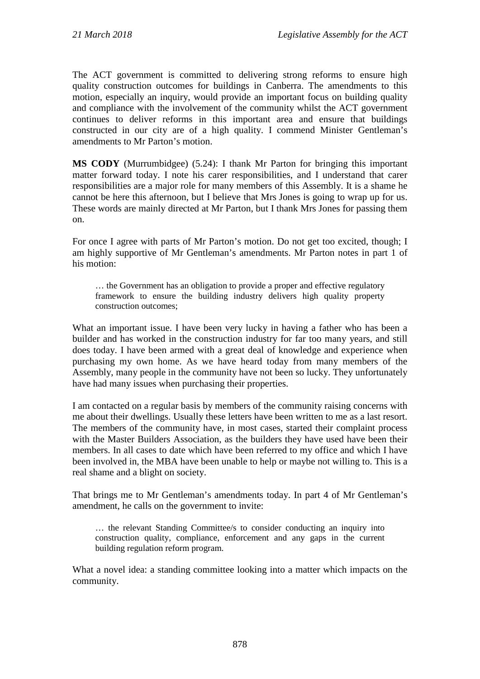The ACT government is committed to delivering strong reforms to ensure high quality construction outcomes for buildings in Canberra. The amendments to this motion, especially an inquiry, would provide an important focus on building quality and compliance with the involvement of the community whilst the ACT government continues to deliver reforms in this important area and ensure that buildings constructed in our city are of a high quality. I commend Minister Gentleman's amendments to Mr Parton's motion.

**MS CODY** (Murrumbidgee) (5.24): I thank Mr Parton for bringing this important matter forward today. I note his carer responsibilities, and I understand that carer responsibilities are a major role for many members of this Assembly. It is a shame he cannot be here this afternoon, but I believe that Mrs Jones is going to wrap up for us. These words are mainly directed at Mr Parton, but I thank Mrs Jones for passing them on.

For once I agree with parts of Mr Parton's motion. Do not get too excited, though; I am highly supportive of Mr Gentleman's amendments. Mr Parton notes in part 1 of his motion:

… the Government has an obligation to provide a proper and effective regulatory framework to ensure the building industry delivers high quality property construction outcomes;

What an important issue. I have been very lucky in having a father who has been a builder and has worked in the construction industry for far too many years, and still does today. I have been armed with a great deal of knowledge and experience when purchasing my own home. As we have heard today from many members of the Assembly, many people in the community have not been so lucky. They unfortunately have had many issues when purchasing their properties.

I am contacted on a regular basis by members of the community raising concerns with me about their dwellings. Usually these letters have been written to me as a last resort. The members of the community have, in most cases, started their complaint process with the Master Builders Association, as the builders they have used have been their members. In all cases to date which have been referred to my office and which I have been involved in, the MBA have been unable to help or maybe not willing to. This is a real shame and a blight on society.

That brings me to Mr Gentleman's amendments today. In part 4 of Mr Gentleman's amendment, he calls on the government to invite:

… the relevant Standing Committee/s to consider conducting an inquiry into construction quality, compliance, enforcement and any gaps in the current building regulation reform program.

What a novel idea: a standing committee looking into a matter which impacts on the community.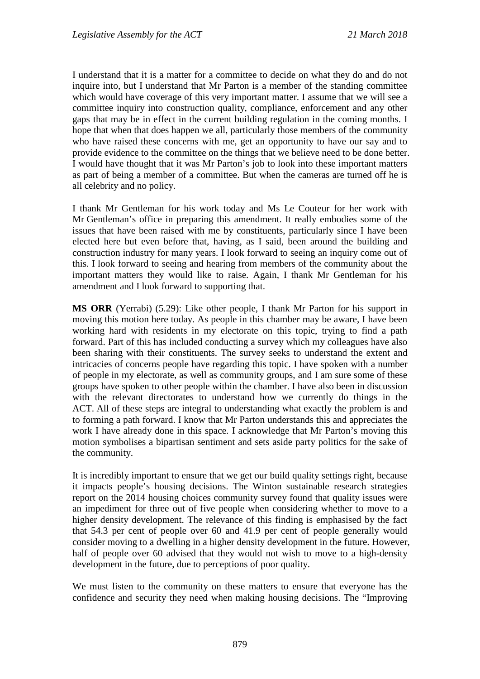I understand that it is a matter for a committee to decide on what they do and do not inquire into, but I understand that Mr Parton is a member of the standing committee which would have coverage of this very important matter. I assume that we will see a committee inquiry into construction quality, compliance, enforcement and any other gaps that may be in effect in the current building regulation in the coming months. I hope that when that does happen we all, particularly those members of the community who have raised these concerns with me, get an opportunity to have our say and to provide evidence to the committee on the things that we believe need to be done better. I would have thought that it was Mr Parton's job to look into these important matters as part of being a member of a committee. But when the cameras are turned off he is all celebrity and no policy.

I thank Mr Gentleman for his work today and Ms Le Couteur for her work with Mr Gentleman's office in preparing this amendment. It really embodies some of the issues that have been raised with me by constituents, particularly since I have been elected here but even before that, having, as I said, been around the building and construction industry for many years. I look forward to seeing an inquiry come out of this. I look forward to seeing and hearing from members of the community about the important matters they would like to raise. Again, I thank Mr Gentleman for his amendment and I look forward to supporting that.

**MS ORR** (Yerrabi) (5.29): Like other people, I thank Mr Parton for his support in moving this motion here today. As people in this chamber may be aware, I have been working hard with residents in my electorate on this topic, trying to find a path forward. Part of this has included conducting a survey which my colleagues have also been sharing with their constituents. The survey seeks to understand the extent and intricacies of concerns people have regarding this topic. I have spoken with a number of people in my electorate, as well as community groups, and I am sure some of these groups have spoken to other people within the chamber. I have also been in discussion with the relevant directorates to understand how we currently do things in the ACT. All of these steps are integral to understanding what exactly the problem is and to forming a path forward. I know that Mr Parton understands this and appreciates the work I have already done in this space. I acknowledge that Mr Parton's moving this motion symbolises a bipartisan sentiment and sets aside party politics for the sake of the community.

It is incredibly important to ensure that we get our build quality settings right, because it impacts people's housing decisions. The Winton sustainable research strategies report on the 2014 housing choices community survey found that quality issues were an impediment for three out of five people when considering whether to move to a higher density development. The relevance of this finding is emphasised by the fact that 54.3 per cent of people over 60 and 41.9 per cent of people generally would consider moving to a dwelling in a higher density development in the future. However, half of people over 60 advised that they would not wish to move to a high-density development in the future, due to perceptions of poor quality.

We must listen to the community on these matters to ensure that everyone has the confidence and security they need when making housing decisions. The "Improving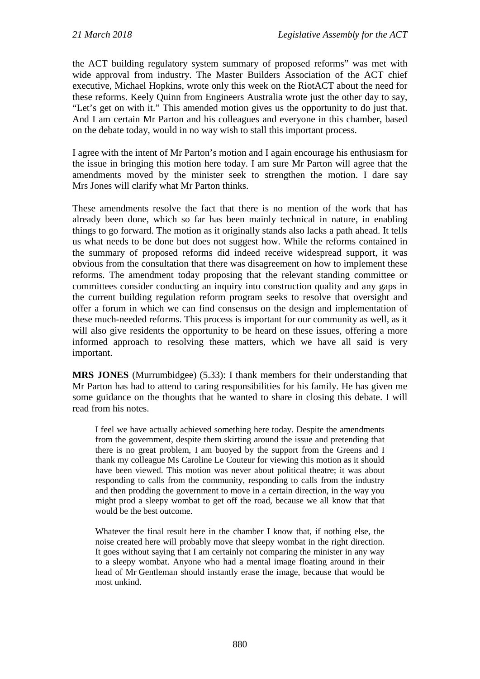the ACT building regulatory system summary of proposed reforms" was met with wide approval from industry. The Master Builders Association of the ACT chief executive, Michael Hopkins, wrote only this week on the RiotACT about the need for these reforms. Keely Quinn from Engineers Australia wrote just the other day to say, "Let's get on with it." This amended motion gives us the opportunity to do just that. And I am certain Mr Parton and his colleagues and everyone in this chamber, based on the debate today, would in no way wish to stall this important process.

I agree with the intent of Mr Parton's motion and I again encourage his enthusiasm for the issue in bringing this motion here today. I am sure Mr Parton will agree that the amendments moved by the minister seek to strengthen the motion. I dare say Mrs Jones will clarify what Mr Parton thinks.

These amendments resolve the fact that there is no mention of the work that has already been done, which so far has been mainly technical in nature, in enabling things to go forward. The motion as it originally stands also lacks a path ahead. It tells us what needs to be done but does not suggest how. While the reforms contained in the summary of proposed reforms did indeed receive widespread support, it was obvious from the consultation that there was disagreement on how to implement these reforms. The amendment today proposing that the relevant standing committee or committees consider conducting an inquiry into construction quality and any gaps in the current building regulation reform program seeks to resolve that oversight and offer a forum in which we can find consensus on the design and implementation of these much-needed reforms. This process is important for our community as well, as it will also give residents the opportunity to be heard on these issues, offering a more informed approach to resolving these matters, which we have all said is very important.

**MRS JONES** (Murrumbidgee) (5.33): I thank members for their understanding that Mr Parton has had to attend to caring responsibilities for his family. He has given me some guidance on the thoughts that he wanted to share in closing this debate. I will read from his notes.

I feel we have actually achieved something here today. Despite the amendments from the government, despite them skirting around the issue and pretending that there is no great problem, I am buoyed by the support from the Greens and I thank my colleague Ms Caroline Le Couteur for viewing this motion as it should have been viewed. This motion was never about political theatre; it was about responding to calls from the community, responding to calls from the industry and then prodding the government to move in a certain direction, in the way you might prod a sleepy wombat to get off the road, because we all know that that would be the best outcome.

Whatever the final result here in the chamber I know that, if nothing else, the noise created here will probably move that sleepy wombat in the right direction. It goes without saying that I am certainly not comparing the minister in any way to a sleepy wombat. Anyone who had a mental image floating around in their head of Mr Gentleman should instantly erase the image, because that would be most unkind.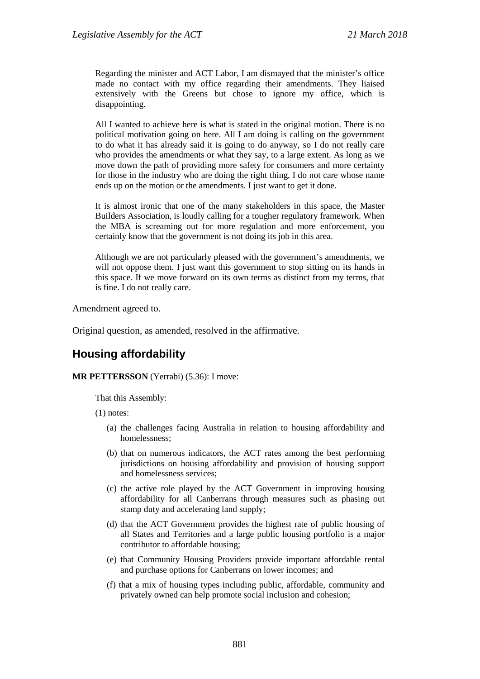Regarding the minister and ACT Labor, I am dismayed that the minister's office made no contact with my office regarding their amendments. They liaised extensively with the Greens but chose to ignore my office, which is disappointing.

All I wanted to achieve here is what is stated in the original motion. There is no political motivation going on here. All I am doing is calling on the government to do what it has already said it is going to do anyway, so I do not really care who provides the amendments or what they say, to a large extent. As long as we move down the path of providing more safety for consumers and more certainty for those in the industry who are doing the right thing, I do not care whose name ends up on the motion or the amendments. I just want to get it done.

It is almost ironic that one of the many stakeholders in this space, the Master Builders Association, is loudly calling for a tougher regulatory framework. When the MBA is screaming out for more regulation and more enforcement, you certainly know that the government is not doing its job in this area.

Although we are not particularly pleased with the government's amendments, we will not oppose them. I just want this government to stop sitting on its hands in this space. If we move forward on its own terms as distinct from my terms, that is fine. I do not really care.

Amendment agreed to.

Original question, as amended, resolved in the affirmative.

## **Housing affordability**

## **MR PETTERSSON** (Yerrabi) (5.36): I move:

That this Assembly:

(1) notes:

- (a) the challenges facing Australia in relation to housing affordability and homelessness;
- (b) that on numerous indicators, the ACT rates among the best performing jurisdictions on housing affordability and provision of housing support and homelessness services;
- (c) the active role played by the ACT Government in improving housing affordability for all Canberrans through measures such as phasing out stamp duty and accelerating land supply;
- (d) that the ACT Government provides the highest rate of public housing of all States and Territories and a large public housing portfolio is a major contributor to affordable housing;
- (e) that Community Housing Providers provide important affordable rental and purchase options for Canberrans on lower incomes; and
- (f) that a mix of housing types including public, affordable, community and privately owned can help promote social inclusion and cohesion;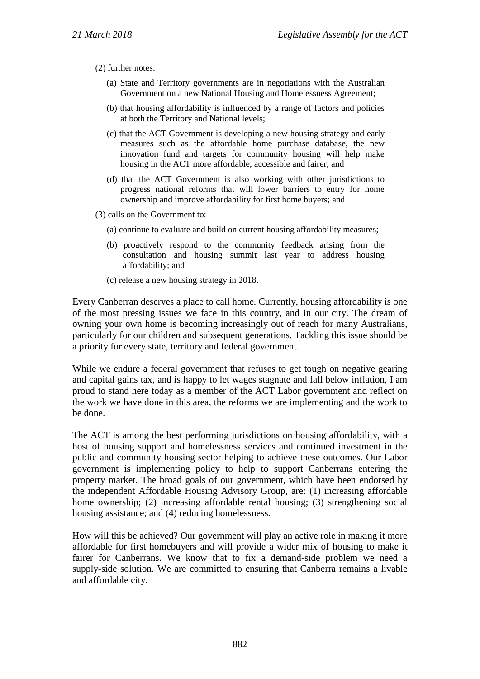- (2) further notes:
	- (a) State and Territory governments are in negotiations with the Australian Government on a new National Housing and Homelessness Agreement;
	- (b) that housing affordability is influenced by a range of factors and policies at both the Territory and National levels;
	- (c) that the ACT Government is developing a new housing strategy and early measures such as the affordable home purchase database, the new innovation fund and targets for community housing will help make housing in the ACT more affordable, accessible and fairer; and
	- (d) that the ACT Government is also working with other jurisdictions to progress national reforms that will lower barriers to entry for home ownership and improve affordability for first home buyers; and
- (3) calls on the Government to:
	- (a) continue to evaluate and build on current housing affordability measures;
	- (b) proactively respond to the community feedback arising from the consultation and housing summit last year to address housing affordability; and
	- (c) release a new housing strategy in 2018.

Every Canberran deserves a place to call home. Currently, housing affordability is one of the most pressing issues we face in this country, and in our city. The dream of owning your own home is becoming increasingly out of reach for many Australians, particularly for our children and subsequent generations. Tackling this issue should be a priority for every state, territory and federal government.

While we endure a federal government that refuses to get tough on negative gearing and capital gains tax, and is happy to let wages stagnate and fall below inflation, I am proud to stand here today as a member of the ACT Labor government and reflect on the work we have done in this area, the reforms we are implementing and the work to be done.

The ACT is among the best performing jurisdictions on housing affordability, with a host of housing support and homelessness services and continued investment in the public and community housing sector helping to achieve these outcomes. Our Labor government is implementing policy to help to support Canberrans entering the property market. The broad goals of our government, which have been endorsed by the independent Affordable Housing Advisory Group, are: (1) increasing affordable home ownership; (2) increasing affordable rental housing; (3) strengthening social housing assistance; and (4) reducing homelessness.

How will this be achieved? Our government will play an active role in making it more affordable for first homebuyers and will provide a wider mix of housing to make it fairer for Canberrans. We know that to fix a demand-side problem we need a supply-side solution. We are committed to ensuring that Canberra remains a livable and affordable city.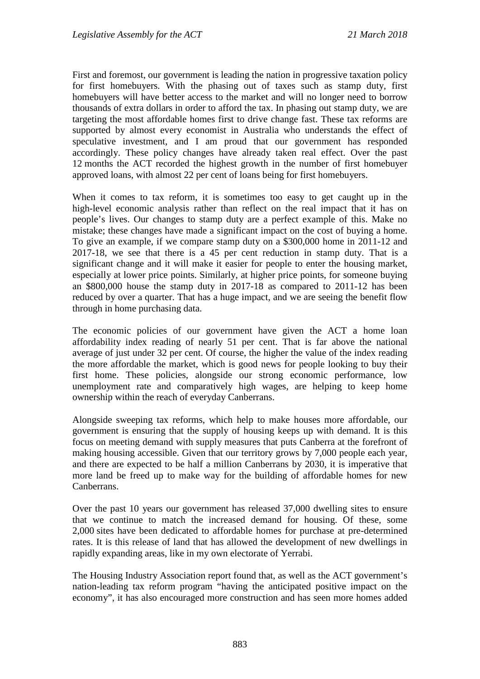First and foremost, our government is leading the nation in progressive taxation policy for first homebuyers. With the phasing out of taxes such as stamp duty, first homebuyers will have better access to the market and will no longer need to borrow thousands of extra dollars in order to afford the tax. In phasing out stamp duty, we are targeting the most affordable homes first to drive change fast. These tax reforms are supported by almost every economist in Australia who understands the effect of speculative investment, and I am proud that our government has responded accordingly. These policy changes have already taken real effect. Over the past 12 months the ACT recorded the highest growth in the number of first homebuyer approved loans, with almost 22 per cent of loans being for first homebuyers.

When it comes to tax reform, it is sometimes too easy to get caught up in the high-level economic analysis rather than reflect on the real impact that it has on people's lives. Our changes to stamp duty are a perfect example of this. Make no mistake; these changes have made a significant impact on the cost of buying a home. To give an example, if we compare stamp duty on a \$300,000 home in 2011-12 and 2017-18, we see that there is a 45 per cent reduction in stamp duty. That is a significant change and it will make it easier for people to enter the housing market, especially at lower price points. Similarly, at higher price points, for someone buying an \$800,000 house the stamp duty in 2017-18 as compared to 2011-12 has been reduced by over a quarter. That has a huge impact, and we are seeing the benefit flow through in home purchasing data.

The economic policies of our government have given the ACT a home loan affordability index reading of nearly 51 per cent. That is far above the national average of just under 32 per cent. Of course, the higher the value of the index reading the more affordable the market, which is good news for people looking to buy their first home. These policies, alongside our strong economic performance, low unemployment rate and comparatively high wages, are helping to keep home ownership within the reach of everyday Canberrans.

Alongside sweeping tax reforms, which help to make houses more affordable, our government is ensuring that the supply of housing keeps up with demand. It is this focus on meeting demand with supply measures that puts Canberra at the forefront of making housing accessible. Given that our territory grows by 7,000 people each year, and there are expected to be half a million Canberrans by 2030, it is imperative that more land be freed up to make way for the building of affordable homes for new Canberrans.

Over the past 10 years our government has released 37,000 dwelling sites to ensure that we continue to match the increased demand for housing. Of these, some 2,000 sites have been dedicated to affordable homes for purchase at pre-determined rates. It is this release of land that has allowed the development of new dwellings in rapidly expanding areas, like in my own electorate of Yerrabi.

The Housing Industry Association report found that, as well as the ACT government's nation-leading tax reform program "having the anticipated positive impact on the economy", it has also encouraged more construction and has seen more homes added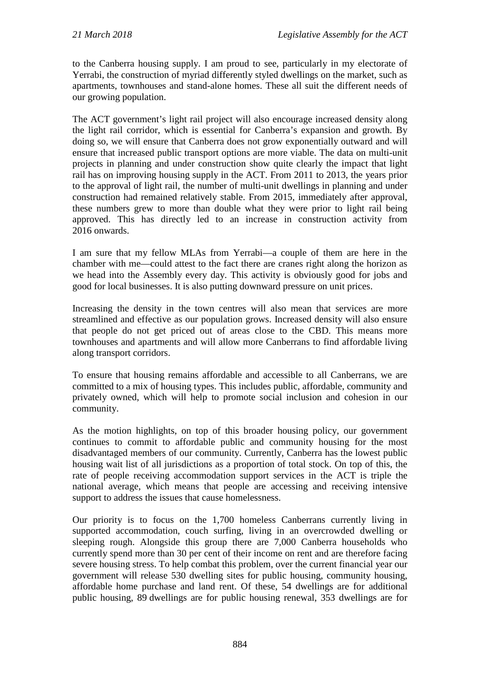to the Canberra housing supply. I am proud to see, particularly in my electorate of Yerrabi, the construction of myriad differently styled dwellings on the market, such as apartments, townhouses and stand-alone homes. These all suit the different needs of our growing population.

The ACT government's light rail project will also encourage increased density along the light rail corridor, which is essential for Canberra's expansion and growth. By doing so, we will ensure that Canberra does not grow exponentially outward and will ensure that increased public transport options are more viable. The data on multi-unit projects in planning and under construction show quite clearly the impact that light rail has on improving housing supply in the ACT. From 2011 to 2013, the years prior to the approval of light rail, the number of multi-unit dwellings in planning and under construction had remained relatively stable. From 2015, immediately after approval, these numbers grew to more than double what they were prior to light rail being approved. This has directly led to an increase in construction activity from 2016 onwards.

I am sure that my fellow MLAs from Yerrabi—a couple of them are here in the chamber with me—could attest to the fact there are cranes right along the horizon as we head into the Assembly every day. This activity is obviously good for jobs and good for local businesses. It is also putting downward pressure on unit prices.

Increasing the density in the town centres will also mean that services are more streamlined and effective as our population grows. Increased density will also ensure that people do not get priced out of areas close to the CBD. This means more townhouses and apartments and will allow more Canberrans to find affordable living along transport corridors.

To ensure that housing remains affordable and accessible to all Canberrans, we are committed to a mix of housing types. This includes public, affordable, community and privately owned, which will help to promote social inclusion and cohesion in our community.

As the motion highlights, on top of this broader housing policy, our government continues to commit to affordable public and community housing for the most disadvantaged members of our community. Currently, Canberra has the lowest public housing wait list of all jurisdictions as a proportion of total stock. On top of this, the rate of people receiving accommodation support services in the ACT is triple the national average, which means that people are accessing and receiving intensive support to address the issues that cause homelessness.

Our priority is to focus on the 1,700 homeless Canberrans currently living in supported accommodation, couch surfing, living in an overcrowded dwelling or sleeping rough. Alongside this group there are 7,000 Canberra households who currently spend more than 30 per cent of their income on rent and are therefore facing severe housing stress. To help combat this problem, over the current financial year our government will release 530 dwelling sites for public housing, community housing, affordable home purchase and land rent. Of these, 54 dwellings are for additional public housing, 89 dwellings are for public housing renewal, 353 dwellings are for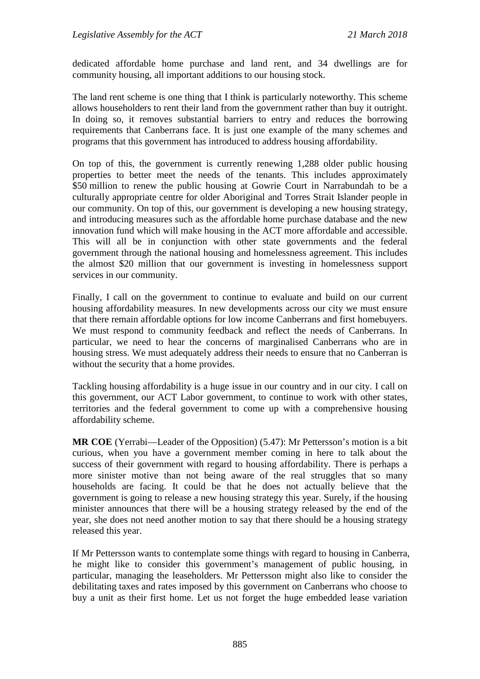dedicated affordable home purchase and land rent, and 34 dwellings are for community housing, all important additions to our housing stock.

The land rent scheme is one thing that I think is particularly noteworthy. This scheme allows householders to rent their land from the government rather than buy it outright. In doing so, it removes substantial barriers to entry and reduces the borrowing requirements that Canberrans face. It is just one example of the many schemes and programs that this government has introduced to address housing affordability.

On top of this, the government is currently renewing 1,288 older public housing properties to better meet the needs of the tenants. This includes approximately \$50 million to renew the public housing at Gowrie Court in Narrabundah to be a culturally appropriate centre for older Aboriginal and Torres Strait Islander people in our community. On top of this, our government is developing a new housing strategy, and introducing measures such as the affordable home purchase database and the new innovation fund which will make housing in the ACT more affordable and accessible. This will all be in conjunction with other state governments and the federal government through the national housing and homelessness agreement. This includes the almost \$20 million that our government is investing in homelessness support services in our community.

Finally, I call on the government to continue to evaluate and build on our current housing affordability measures. In new developments across our city we must ensure that there remain affordable options for low income Canberrans and first homebuyers. We must respond to community feedback and reflect the needs of Canberrans. In particular, we need to hear the concerns of marginalised Canberrans who are in housing stress. We must adequately address their needs to ensure that no Canberran is without the security that a home provides.

Tackling housing affordability is a huge issue in our country and in our city. I call on this government, our ACT Labor government, to continue to work with other states, territories and the federal government to come up with a comprehensive housing affordability scheme.

**MR COE** (Yerrabi—Leader of the Opposition) (5.47): Mr Pettersson's motion is a bit curious, when you have a government member coming in here to talk about the success of their government with regard to housing affordability. There is perhaps a more sinister motive than not being aware of the real struggles that so many households are facing. It could be that he does not actually believe that the government is going to release a new housing strategy this year. Surely, if the housing minister announces that there will be a housing strategy released by the end of the year, she does not need another motion to say that there should be a housing strategy released this year.

If Mr Pettersson wants to contemplate some things with regard to housing in Canberra, he might like to consider this government's management of public housing, in particular, managing the leaseholders. Mr Pettersson might also like to consider the debilitating taxes and rates imposed by this government on Canberrans who choose to buy a unit as their first home. Let us not forget the huge embedded lease variation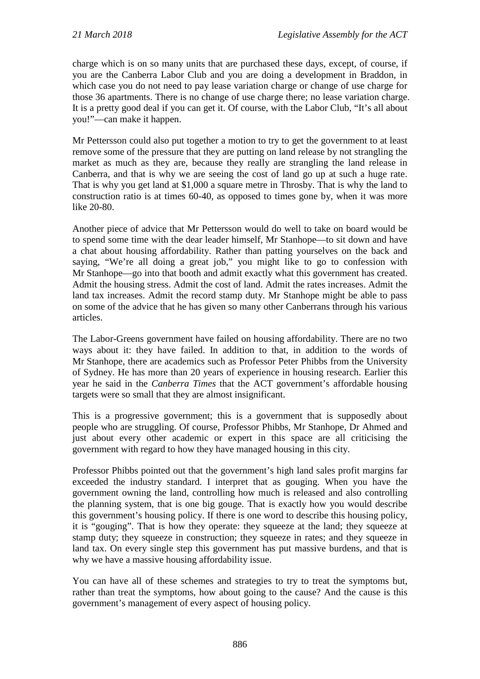charge which is on so many units that are purchased these days, except, of course, if you are the Canberra Labor Club and you are doing a development in Braddon, in which case you do not need to pay lease variation charge or change of use charge for those 36 apartments. There is no change of use charge there; no lease variation charge. It is a pretty good deal if you can get it. Of course, with the Labor Club, "It's all about you!"—can make it happen.

Mr Pettersson could also put together a motion to try to get the government to at least remove some of the pressure that they are putting on land release by not strangling the market as much as they are, because they really are strangling the land release in Canberra, and that is why we are seeing the cost of land go up at such a huge rate. That is why you get land at \$1,000 a square metre in Throsby. That is why the land to construction ratio is at times 60-40, as opposed to times gone by, when it was more like 20-80.

Another piece of advice that Mr Pettersson would do well to take on board would be to spend some time with the dear leader himself, Mr Stanhope—to sit down and have a chat about housing affordability. Rather than patting yourselves on the back and saying, "We're all doing a great job," you might like to go to confession with Mr Stanhope—go into that booth and admit exactly what this government has created. Admit the housing stress. Admit the cost of land. Admit the rates increases. Admit the land tax increases. Admit the record stamp duty. Mr Stanhope might be able to pass on some of the advice that he has given so many other Canberrans through his various articles.

The Labor-Greens government have failed on housing affordability. There are no two ways about it: they have failed. In addition to that, in addition to the words of Mr Stanhope, there are academics such as Professor Peter Phibbs from the University of Sydney. He has more than 20 years of experience in housing research. Earlier this year he said in the *Canberra Times* that the ACT government's affordable housing targets were so small that they are almost insignificant.

This is a progressive government; this is a government that is supposedly about people who are struggling. Of course, Professor Phibbs, Mr Stanhope, Dr Ahmed and just about every other academic or expert in this space are all criticising the government with regard to how they have managed housing in this city.

Professor Phibbs pointed out that the government's high land sales profit margins far exceeded the industry standard. I interpret that as gouging. When you have the government owning the land, controlling how much is released and also controlling the planning system, that is one big gouge. That is exactly how you would describe this government's housing policy. If there is one word to describe this housing policy, it is "gouging". That is how they operate: they squeeze at the land; they squeeze at stamp duty; they squeeze in construction; they squeeze in rates; and they squeeze in land tax. On every single step this government has put massive burdens, and that is why we have a massive housing affordability issue.

You can have all of these schemes and strategies to try to treat the symptoms but, rather than treat the symptoms, how about going to the cause? And the cause is this government's management of every aspect of housing policy.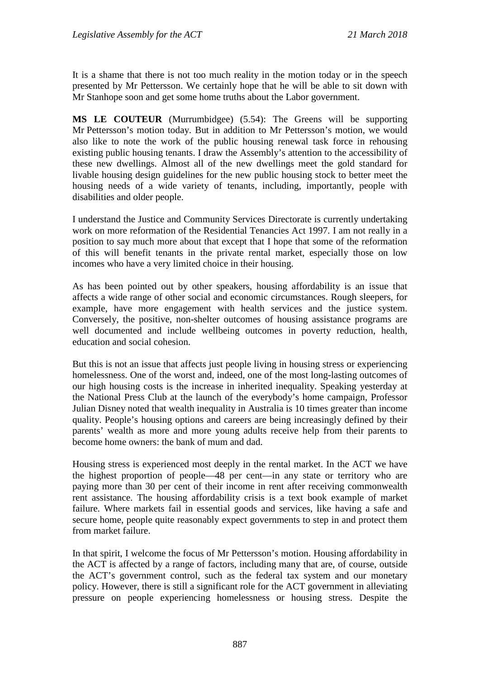It is a shame that there is not too much reality in the motion today or in the speech presented by Mr Pettersson. We certainly hope that he will be able to sit down with Mr Stanhope soon and get some home truths about the Labor government.

**MS LE COUTEUR** (Murrumbidgee) (5.54): The Greens will be supporting Mr Pettersson's motion today. But in addition to Mr Pettersson's motion, we would also like to note the work of the public housing renewal task force in rehousing existing public housing tenants. I draw the Assembly's attention to the accessibility of these new dwellings. Almost all of the new dwellings meet the gold standard for livable housing design guidelines for the new public housing stock to better meet the housing needs of a wide variety of tenants, including, importantly, people with disabilities and older people.

I understand the Justice and Community Services Directorate is currently undertaking work on more reformation of the Residential Tenancies Act 1997. I am not really in a position to say much more about that except that I hope that some of the reformation of this will benefit tenants in the private rental market, especially those on low incomes who have a very limited choice in their housing.

As has been pointed out by other speakers, housing affordability is an issue that affects a wide range of other social and economic circumstances. Rough sleepers, for example, have more engagement with health services and the justice system. Conversely, the positive, non-shelter outcomes of housing assistance programs are well documented and include wellbeing outcomes in poverty reduction, health, education and social cohesion.

But this is not an issue that affects just people living in housing stress or experiencing homelessness. One of the worst and, indeed, one of the most long-lasting outcomes of our high housing costs is the increase in inherited inequality. Speaking yesterday at the National Press Club at the launch of the everybody's home campaign, Professor Julian Disney noted that wealth inequality in Australia is 10 times greater than income quality. People's housing options and careers are being increasingly defined by their parents' wealth as more and more young adults receive help from their parents to become home owners: the bank of mum and dad.

Housing stress is experienced most deeply in the rental market. In the ACT we have the highest proportion of people—48 per cent—in any state or territory who are paying more than 30 per cent of their income in rent after receiving commonwealth rent assistance. The housing affordability crisis is a text book example of market failure. Where markets fail in essential goods and services, like having a safe and secure home, people quite reasonably expect governments to step in and protect them from market failure.

In that spirit, I welcome the focus of Mr Pettersson's motion. Housing affordability in the ACT is affected by a range of factors, including many that are, of course, outside the ACT's government control, such as the federal tax system and our monetary policy. However, there is still a significant role for the ACT government in alleviating pressure on people experiencing homelessness or housing stress. Despite the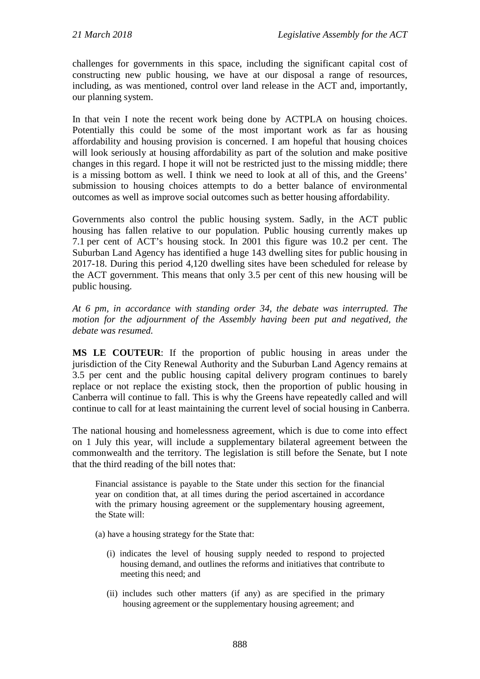challenges for governments in this space, including the significant capital cost of constructing new public housing, we have at our disposal a range of resources, including, as was mentioned, control over land release in the ACT and, importantly, our planning system.

In that vein I note the recent work being done by ACTPLA on housing choices. Potentially this could be some of the most important work as far as housing affordability and housing provision is concerned. I am hopeful that housing choices will look seriously at housing affordability as part of the solution and make positive changes in this regard. I hope it will not be restricted just to the missing middle; there is a missing bottom as well. I think we need to look at all of this, and the Greens' submission to housing choices attempts to do a better balance of environmental outcomes as well as improve social outcomes such as better housing affordability.

Governments also control the public housing system. Sadly, in the ACT public housing has fallen relative to our population. Public housing currently makes up 7.1 per cent of ACT's housing stock. In 2001 this figure was 10.2 per cent. The Suburban Land Agency has identified a huge 143 dwelling sites for public housing in 2017-18. During this period 4,120 dwelling sites have been scheduled for release by the ACT government. This means that only 3.5 per cent of this new housing will be public housing.

*At 6 pm, in accordance with standing order 34, the debate was interrupted. The motion for the adjournment of the Assembly having been put and negatived, the debate was resumed.*

**MS LE COUTEUR**: If the proportion of public housing in areas under the jurisdiction of the City Renewal Authority and the Suburban Land Agency remains at 3.5 per cent and the public housing capital delivery program continues to barely replace or not replace the existing stock, then the proportion of public housing in Canberra will continue to fall. This is why the Greens have repeatedly called and will continue to call for at least maintaining the current level of social housing in Canberra.

The national housing and homelessness agreement, which is due to come into effect on 1 July this year, will include a supplementary bilateral agreement between the commonwealth and the territory. The legislation is still before the Senate, but I note that the third reading of the bill notes that:

Financial assistance is payable to the State under this section for the financial year on condition that, at all times during the period ascertained in accordance with the primary housing agreement or the supplementary housing agreement, the State will:

- (a) have a housing strategy for the State that:
	- (i) indicates the level of housing supply needed to respond to projected housing demand, and outlines the reforms and initiatives that contribute to meeting this need; and
	- (ii) includes such other matters (if any) as are specified in the primary housing agreement or the supplementary housing agreement; and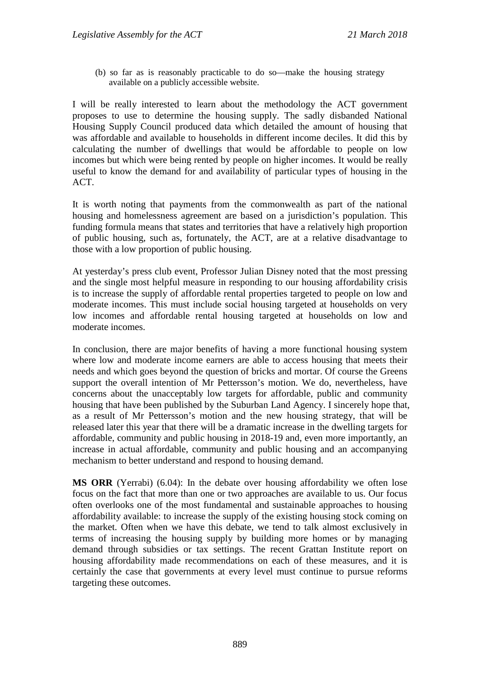(b) so far as is reasonably practicable to do so—make the housing strategy available on a publicly accessible website.

I will be really interested to learn about the methodology the ACT government proposes to use to determine the housing supply. The sadly disbanded National Housing Supply Council produced data which detailed the amount of housing that was affordable and available to households in different income deciles. It did this by calculating the number of dwellings that would be affordable to people on low incomes but which were being rented by people on higher incomes. It would be really useful to know the demand for and availability of particular types of housing in the ACT.

It is worth noting that payments from the commonwealth as part of the national housing and homelessness agreement are based on a jurisdiction's population. This funding formula means that states and territories that have a relatively high proportion of public housing, such as, fortunately, the ACT, are at a relative disadvantage to those with a low proportion of public housing.

At yesterday's press club event, Professor Julian Disney noted that the most pressing and the single most helpful measure in responding to our housing affordability crisis is to increase the supply of affordable rental properties targeted to people on low and moderate incomes. This must include social housing targeted at households on very low incomes and affordable rental housing targeted at households on low and moderate incomes.

In conclusion, there are major benefits of having a more functional housing system where low and moderate income earners are able to access housing that meets their needs and which goes beyond the question of bricks and mortar. Of course the Greens support the overall intention of Mr Pettersson's motion. We do, nevertheless, have concerns about the unacceptably low targets for affordable, public and community housing that have been published by the Suburban Land Agency. I sincerely hope that, as a result of Mr Pettersson's motion and the new housing strategy, that will be released later this year that there will be a dramatic increase in the dwelling targets for affordable, community and public housing in 2018-19 and, even more importantly, an increase in actual affordable, community and public housing and an accompanying mechanism to better understand and respond to housing demand.

**MS ORR** (Yerrabi) (6.04): In the debate over housing affordability we often lose focus on the fact that more than one or two approaches are available to us. Our focus often overlooks one of the most fundamental and sustainable approaches to housing affordability available: to increase the supply of the existing housing stock coming on the market. Often when we have this debate, we tend to talk almost exclusively in terms of increasing the housing supply by building more homes or by managing demand through subsidies or tax settings. The recent Grattan Institute report on housing affordability made recommendations on each of these measures, and it is certainly the case that governments at every level must continue to pursue reforms targeting these outcomes.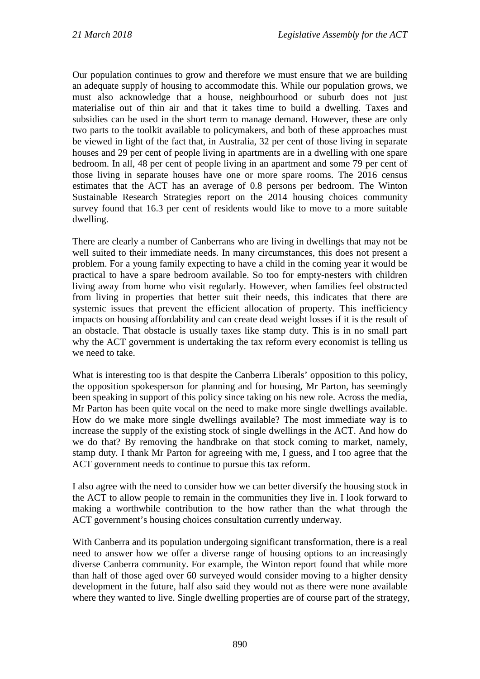Our population continues to grow and therefore we must ensure that we are building an adequate supply of housing to accommodate this. While our population grows, we must also acknowledge that a house, neighbourhood or suburb does not just materialise out of thin air and that it takes time to build a dwelling. Taxes and subsidies can be used in the short term to manage demand. However, these are only two parts to the toolkit available to policymakers, and both of these approaches must be viewed in light of the fact that, in Australia, 32 per cent of those living in separate houses and 29 per cent of people living in apartments are in a dwelling with one spare bedroom. In all, 48 per cent of people living in an apartment and some 79 per cent of those living in separate houses have one or more spare rooms. The 2016 census estimates that the ACT has an average of 0.8 persons per bedroom. The Winton Sustainable Research Strategies report on the 2014 housing choices community survey found that 16.3 per cent of residents would like to move to a more suitable dwelling.

There are clearly a number of Canberrans who are living in dwellings that may not be well suited to their immediate needs. In many circumstances, this does not present a problem. For a young family expecting to have a child in the coming year it would be practical to have a spare bedroom available. So too for empty-nesters with children living away from home who visit regularly. However, when families feel obstructed from living in properties that better suit their needs, this indicates that there are systemic issues that prevent the efficient allocation of property. This inefficiency impacts on housing affordability and can create dead weight losses if it is the result of an obstacle. That obstacle is usually taxes like stamp duty. This is in no small part why the ACT government is undertaking the tax reform every economist is telling us we need to take.

What is interesting too is that despite the Canberra Liberals' opposition to this policy, the opposition spokesperson for planning and for housing, Mr Parton, has seemingly been speaking in support of this policy since taking on his new role. Across the media, Mr Parton has been quite vocal on the need to make more single dwellings available. How do we make more single dwellings available? The most immediate way is to increase the supply of the existing stock of single dwellings in the ACT. And how do we do that? By removing the handbrake on that stock coming to market, namely, stamp duty. I thank Mr Parton for agreeing with me, I guess, and I too agree that the ACT government needs to continue to pursue this tax reform.

I also agree with the need to consider how we can better diversify the housing stock in the ACT to allow people to remain in the communities they live in. I look forward to making a worthwhile contribution to the how rather than the what through the ACT government's housing choices consultation currently underway.

With Canberra and its population undergoing significant transformation, there is a real need to answer how we offer a diverse range of housing options to an increasingly diverse Canberra community. For example, the Winton report found that while more than half of those aged over 60 surveyed would consider moving to a higher density development in the future, half also said they would not as there were none available where they wanted to live. Single dwelling properties are of course part of the strategy,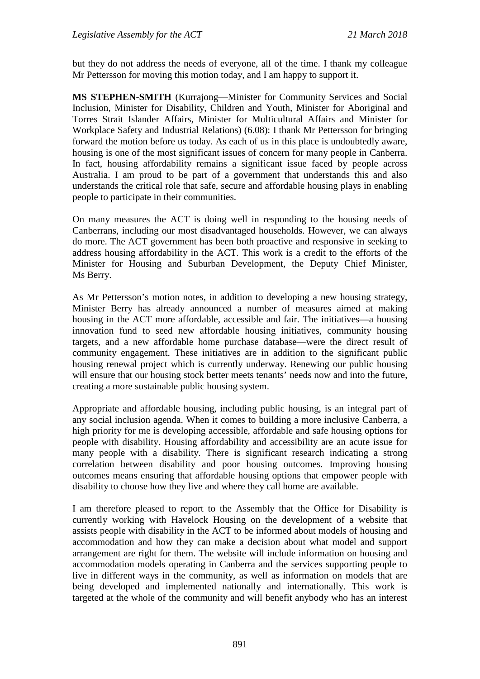but they do not address the needs of everyone, all of the time. I thank my colleague Mr Pettersson for moving this motion today, and I am happy to support it.

**MS STEPHEN-SMITH** (Kurrajong—Minister for Community Services and Social Inclusion, Minister for Disability, Children and Youth, Minister for Aboriginal and Torres Strait Islander Affairs, Minister for Multicultural Affairs and Minister for Workplace Safety and Industrial Relations) (6.08): I thank Mr Pettersson for bringing forward the motion before us today. As each of us in this place is undoubtedly aware, housing is one of the most significant issues of concern for many people in Canberra. In fact, housing affordability remains a significant issue faced by people across Australia. I am proud to be part of a government that understands this and also understands the critical role that safe, secure and affordable housing plays in enabling people to participate in their communities.

On many measures the ACT is doing well in responding to the housing needs of Canberrans, including our most disadvantaged households. However, we can always do more. The ACT government has been both proactive and responsive in seeking to address housing affordability in the ACT. This work is a credit to the efforts of the Minister for Housing and Suburban Development, the Deputy Chief Minister, Ms Berry.

As Mr Pettersson's motion notes, in addition to developing a new housing strategy, Minister Berry has already announced a number of measures aimed at making housing in the ACT more affordable, accessible and fair. The initiatives—a housing innovation fund to seed new affordable housing initiatives, community housing targets, and a new affordable home purchase database—were the direct result of community engagement. These initiatives are in addition to the significant public housing renewal project which is currently underway. Renewing our public housing will ensure that our housing stock better meets tenants' needs now and into the future, creating a more sustainable public housing system.

Appropriate and affordable housing, including public housing, is an integral part of any social inclusion agenda. When it comes to building a more inclusive Canberra, a high priority for me is developing accessible, affordable and safe housing options for people with disability. Housing affordability and accessibility are an acute issue for many people with a disability. There is significant research indicating a strong correlation between disability and poor housing outcomes. Improving housing outcomes means ensuring that affordable housing options that empower people with disability to choose how they live and where they call home are available.

I am therefore pleased to report to the Assembly that the Office for Disability is currently working with Havelock Housing on the development of a website that assists people with disability in the ACT to be informed about models of housing and accommodation and how they can make a decision about what model and support arrangement are right for them. The website will include information on housing and accommodation models operating in Canberra and the services supporting people to live in different ways in the community, as well as information on models that are being developed and implemented nationally and internationally. This work is targeted at the whole of the community and will benefit anybody who has an interest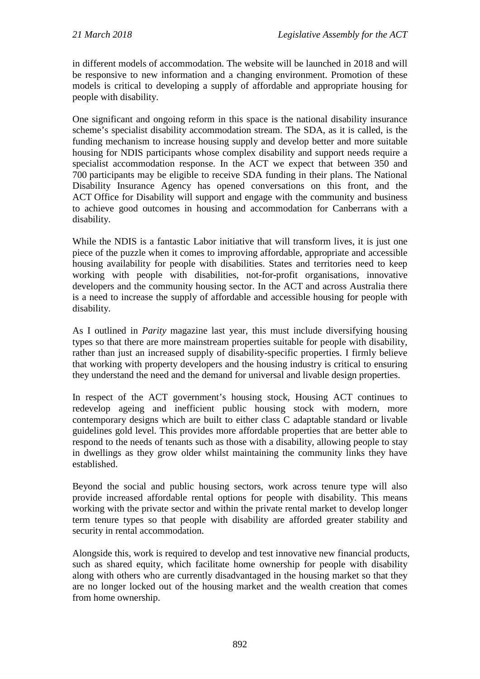in different models of accommodation. The website will be launched in 2018 and will be responsive to new information and a changing environment. Promotion of these models is critical to developing a supply of affordable and appropriate housing for people with disability.

One significant and ongoing reform in this space is the national disability insurance scheme's specialist disability accommodation stream. The SDA, as it is called, is the funding mechanism to increase housing supply and develop better and more suitable housing for NDIS participants whose complex disability and support needs require a specialist accommodation response. In the ACT we expect that between 350 and 700 participants may be eligible to receive SDA funding in their plans. The National Disability Insurance Agency has opened conversations on this front, and the ACT Office for Disability will support and engage with the community and business to achieve good outcomes in housing and accommodation for Canberrans with a disability.

While the NDIS is a fantastic Labor initiative that will transform lives, it is just one piece of the puzzle when it comes to improving affordable, appropriate and accessible housing availability for people with disabilities. States and territories need to keep working with people with disabilities, not-for-profit organisations, innovative developers and the community housing sector. In the ACT and across Australia there is a need to increase the supply of affordable and accessible housing for people with disability.

As I outlined in *Parity* magazine last year, this must include diversifying housing types so that there are more mainstream properties suitable for people with disability, rather than just an increased supply of disability-specific properties. I firmly believe that working with property developers and the housing industry is critical to ensuring they understand the need and the demand for universal and livable design properties.

In respect of the ACT government's housing stock, Housing ACT continues to redevelop ageing and inefficient public housing stock with modern, more contemporary designs which are built to either class C adaptable standard or livable guidelines gold level. This provides more affordable properties that are better able to respond to the needs of tenants such as those with a disability, allowing people to stay in dwellings as they grow older whilst maintaining the community links they have established.

Beyond the social and public housing sectors, work across tenure type will also provide increased affordable rental options for people with disability. This means working with the private sector and within the private rental market to develop longer term tenure types so that people with disability are afforded greater stability and security in rental accommodation.

Alongside this, work is required to develop and test innovative new financial products, such as shared equity, which facilitate home ownership for people with disability along with others who are currently disadvantaged in the housing market so that they are no longer locked out of the housing market and the wealth creation that comes from home ownership.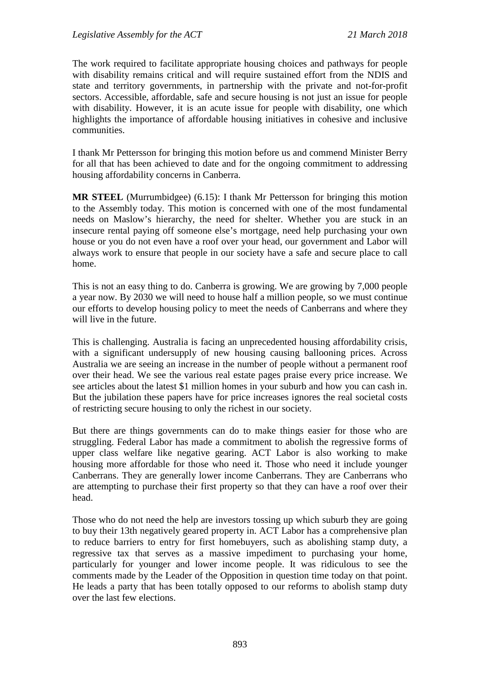The work required to facilitate appropriate housing choices and pathways for people with disability remains critical and will require sustained effort from the NDIS and state and territory governments, in partnership with the private and not-for-profit sectors. Accessible, affordable, safe and secure housing is not just an issue for people with disability. However, it is an acute issue for people with disability, one which highlights the importance of affordable housing initiatives in cohesive and inclusive communities.

I thank Mr Pettersson for bringing this motion before us and commend Minister Berry for all that has been achieved to date and for the ongoing commitment to addressing housing affordability concerns in Canberra.

**MR STEEL** (Murrumbidgee) (6.15): I thank Mr Pettersson for bringing this motion to the Assembly today. This motion is concerned with one of the most fundamental needs on Maslow's hierarchy, the need for shelter. Whether you are stuck in an insecure rental paying off someone else's mortgage, need help purchasing your own house or you do not even have a roof over your head, our government and Labor will always work to ensure that people in our society have a safe and secure place to call home.

This is not an easy thing to do. Canberra is growing. We are growing by 7,000 people a year now. By 2030 we will need to house half a million people, so we must continue our efforts to develop housing policy to meet the needs of Canberrans and where they will live in the future.

This is challenging. Australia is facing an unprecedented housing affordability crisis, with a significant undersupply of new housing causing ballooning prices. Across Australia we are seeing an increase in the number of people without a permanent roof over their head. We see the various real estate pages praise every price increase. We see articles about the latest \$1 million homes in your suburb and how you can cash in. But the jubilation these papers have for price increases ignores the real societal costs of restricting secure housing to only the richest in our society.

But there are things governments can do to make things easier for those who are struggling. Federal Labor has made a commitment to abolish the regressive forms of upper class welfare like negative gearing. ACT Labor is also working to make housing more affordable for those who need it. Those who need it include younger Canberrans. They are generally lower income Canberrans. They are Canberrans who are attempting to purchase their first property so that they can have a roof over their head.

Those who do not need the help are investors tossing up which suburb they are going to buy their 13th negatively geared property in. ACT Labor has a comprehensive plan to reduce barriers to entry for first homebuyers, such as abolishing stamp duty, a regressive tax that serves as a massive impediment to purchasing your home, particularly for younger and lower income people. It was ridiculous to see the comments made by the Leader of the Opposition in question time today on that point. He leads a party that has been totally opposed to our reforms to abolish stamp duty over the last few elections.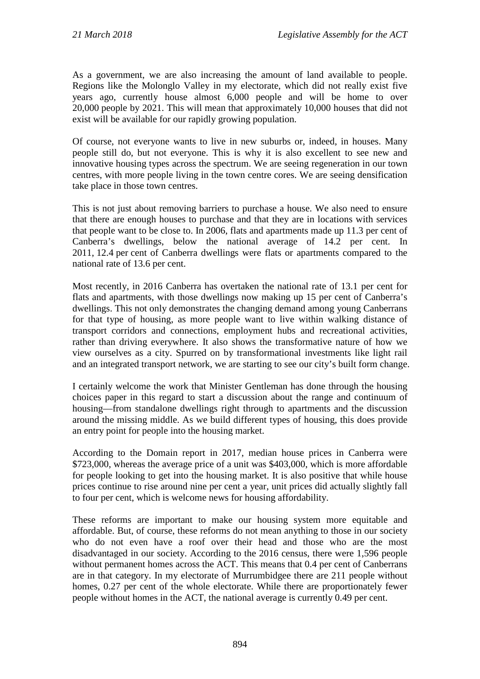As a government, we are also increasing the amount of land available to people. Regions like the Molonglo Valley in my electorate, which did not really exist five years ago, currently house almost 6,000 people and will be home to over 20,000 people by 2021. This will mean that approximately 10,000 houses that did not exist will be available for our rapidly growing population.

Of course, not everyone wants to live in new suburbs or, indeed, in houses. Many people still do, but not everyone. This is why it is also excellent to see new and innovative housing types across the spectrum. We are seeing regeneration in our town centres, with more people living in the town centre cores. We are seeing densification take place in those town centres.

This is not just about removing barriers to purchase a house. We also need to ensure that there are enough houses to purchase and that they are in locations with services that people want to be close to. In 2006, flats and apartments made up 11.3 per cent of Canberra's dwellings, below the national average of 14.2 per cent. In 2011, 12.4 per cent of Canberra dwellings were flats or apartments compared to the national rate of 13.6 per cent.

Most recently, in 2016 Canberra has overtaken the national rate of 13.1 per cent for flats and apartments, with those dwellings now making up 15 per cent of Canberra's dwellings. This not only demonstrates the changing demand among young Canberrans for that type of housing, as more people want to live within walking distance of transport corridors and connections, employment hubs and recreational activities, rather than driving everywhere. It also shows the transformative nature of how we view ourselves as a city. Spurred on by transformational investments like light rail and an integrated transport network, we are starting to see our city's built form change.

I certainly welcome the work that Minister Gentleman has done through the housing choices paper in this regard to start a discussion about the range and continuum of housing—from standalone dwellings right through to apartments and the discussion around the missing middle. As we build different types of housing, this does provide an entry point for people into the housing market.

According to the Domain report in 2017, median house prices in Canberra were \$723,000, whereas the average price of a unit was \$403,000, which is more affordable for people looking to get into the housing market. It is also positive that while house prices continue to rise around nine per cent a year, unit prices did actually slightly fall to four per cent, which is welcome news for housing affordability.

These reforms are important to make our housing system more equitable and affordable. But, of course, these reforms do not mean anything to those in our society who do not even have a roof over their head and those who are the most disadvantaged in our society. According to the 2016 census, there were 1,596 people without permanent homes across the ACT. This means that 0.4 per cent of Canberrans are in that category. In my electorate of Murrumbidgee there are 211 people without homes, 0.27 per cent of the whole electorate. While there are proportionately fewer people without homes in the ACT, the national average is currently 0.49 per cent.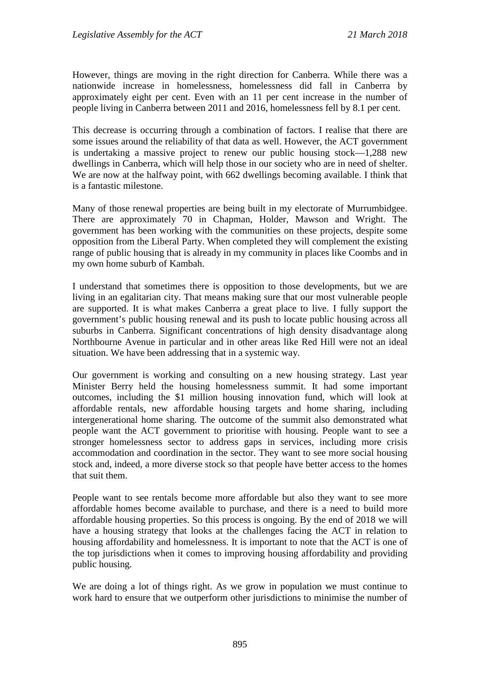However, things are moving in the right direction for Canberra. While there was a nationwide increase in homelessness, homelessness did fall in Canberra by approximately eight per cent. Even with an 11 per cent increase in the number of people living in Canberra between 2011 and 2016, homelessness fell by 8.1 per cent.

This decrease is occurring through a combination of factors. I realise that there are some issues around the reliability of that data as well. However, the ACT government is undertaking a massive project to renew our public housing stock—1,288 new dwellings in Canberra, which will help those in our society who are in need of shelter. We are now at the halfway point, with 662 dwellings becoming available. I think that is a fantastic milestone.

Many of those renewal properties are being built in my electorate of Murrumbidgee. There are approximately 70 in Chapman, Holder, Mawson and Wright. The government has been working with the communities on these projects, despite some opposition from the Liberal Party. When completed they will complement the existing range of public housing that is already in my community in places like Coombs and in my own home suburb of Kambah.

I understand that sometimes there is opposition to those developments, but we are living in an egalitarian city. That means making sure that our most vulnerable people are supported. It is what makes Canberra a great place to live. I fully support the government's public housing renewal and its push to locate public housing across all suburbs in Canberra. Significant concentrations of high density disadvantage along Northbourne Avenue in particular and in other areas like Red Hill were not an ideal situation. We have been addressing that in a systemic way.

Our government is working and consulting on a new housing strategy. Last year Minister Berry held the housing homelessness summit. It had some important outcomes, including the \$1 million housing innovation fund, which will look at affordable rentals, new affordable housing targets and home sharing, including intergenerational home sharing. The outcome of the summit also demonstrated what people want the ACT government to prioritise with housing. People want to see a stronger homelessness sector to address gaps in services, including more crisis accommodation and coordination in the sector. They want to see more social housing stock and, indeed, a more diverse stock so that people have better access to the homes that suit them.

People want to see rentals become more affordable but also they want to see more affordable homes become available to purchase, and there is a need to build more affordable housing properties. So this process is ongoing. By the end of 2018 we will have a housing strategy that looks at the challenges facing the ACT in relation to housing affordability and homelessness. It is important to note that the ACT is one of the top jurisdictions when it comes to improving housing affordability and providing public housing.

We are doing a lot of things right. As we grow in population we must continue to work hard to ensure that we outperform other jurisdictions to minimise the number of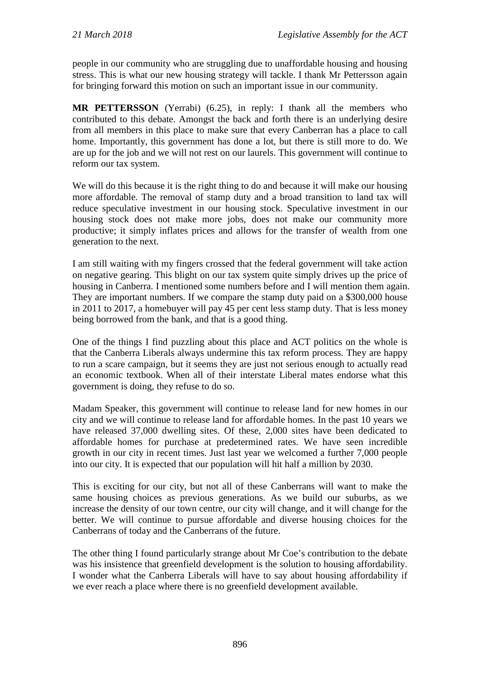people in our community who are struggling due to unaffordable housing and housing stress. This is what our new housing strategy will tackle. I thank Mr Pettersson again for bringing forward this motion on such an important issue in our community.

**MR PETTERSSON** (Yerrabi) (6.25), in reply: I thank all the members who contributed to this debate. Amongst the back and forth there is an underlying desire from all members in this place to make sure that every Canberran has a place to call home. Importantly, this government has done a lot, but there is still more to do. We are up for the job and we will not rest on our laurels. This government will continue to reform our tax system.

We will do this because it is the right thing to do and because it will make our housing more affordable. The removal of stamp duty and a broad transition to land tax will reduce speculative investment in our housing stock. Speculative investment in our housing stock does not make more jobs, does not make our community more productive; it simply inflates prices and allows for the transfer of wealth from one generation to the next.

I am still waiting with my fingers crossed that the federal government will take action on negative gearing. This blight on our tax system quite simply drives up the price of housing in Canberra. I mentioned some numbers before and I will mention them again. They are important numbers. If we compare the stamp duty paid on a \$300,000 house in 2011 to 2017, a homebuyer will pay 45 per cent less stamp duty. That is less money being borrowed from the bank, and that is a good thing.

One of the things I find puzzling about this place and ACT politics on the whole is that the Canberra Liberals always undermine this tax reform process. They are happy to run a scare campaign, but it seems they are just not serious enough to actually read an economic textbook. When all of their interstate Liberal mates endorse what this government is doing, they refuse to do so.

Madam Speaker, this government will continue to release land for new homes in our city and we will continue to release land for affordable homes. In the past 10 years we have released 37,000 dwelling sites. Of these, 2,000 sites have been dedicated to affordable homes for purchase at predetermined rates. We have seen incredible growth in our city in recent times. Just last year we welcomed a further 7,000 people into our city. It is expected that our population will hit half a million by 2030.

This is exciting for our city, but not all of these Canberrans will want to make the same housing choices as previous generations. As we build our suburbs, as we increase the density of our town centre, our city will change, and it will change for the better. We will continue to pursue affordable and diverse housing choices for the Canberrans of today and the Canberrans of the future.

The other thing I found particularly strange about Mr Coe's contribution to the debate was his insistence that greenfield development is the solution to housing affordability. I wonder what the Canberra Liberals will have to say about housing affordability if we ever reach a place where there is no greenfield development available.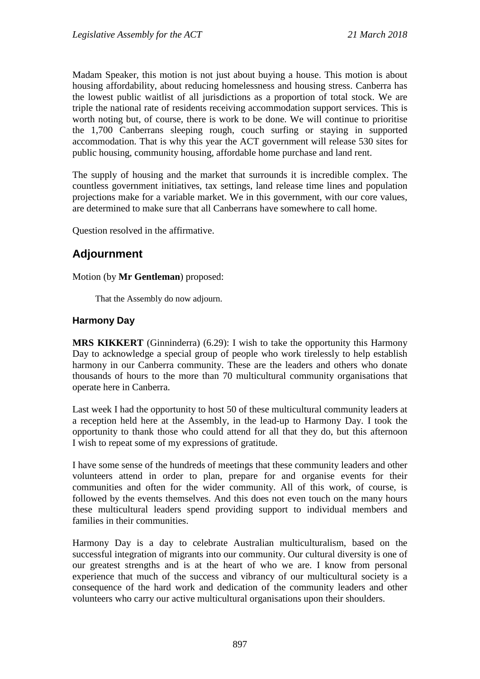Madam Speaker, this motion is not just about buying a house. This motion is about housing affordability, about reducing homelessness and housing stress. Canberra has the lowest public waitlist of all jurisdictions as a proportion of total stock. We are triple the national rate of residents receiving accommodation support services. This is worth noting but, of course, there is work to be done. We will continue to prioritise the 1,700 Canberrans sleeping rough, couch surfing or staying in supported accommodation. That is why this year the ACT government will release 530 sites for public housing, community housing, affordable home purchase and land rent.

The supply of housing and the market that surrounds it is incredible complex. The countless government initiatives, tax settings, land release time lines and population projections make for a variable market. We in this government, with our core values, are determined to make sure that all Canberrans have somewhere to call home.

Question resolved in the affirmative.

# **Adjournment**

### Motion (by **Mr Gentleman**) proposed:

That the Assembly do now adjourn.

# **Harmony Day**

**MRS KIKKERT** (Ginninderra) (6.29): I wish to take the opportunity this Harmony Day to acknowledge a special group of people who work tirelessly to help establish harmony in our Canberra community. These are the leaders and others who donate thousands of hours to the more than 70 multicultural community organisations that operate here in Canberra.

Last week I had the opportunity to host 50 of these multicultural community leaders at a reception held here at the Assembly, in the lead-up to Harmony Day. I took the opportunity to thank those who could attend for all that they do, but this afternoon I wish to repeat some of my expressions of gratitude.

I have some sense of the hundreds of meetings that these community leaders and other volunteers attend in order to plan, prepare for and organise events for their communities and often for the wider community. All of this work, of course, is followed by the events themselves. And this does not even touch on the many hours these multicultural leaders spend providing support to individual members and families in their communities.

Harmony Day is a day to celebrate Australian multiculturalism, based on the successful integration of migrants into our community. Our cultural diversity is one of our greatest strengths and is at the heart of who we are. I know from personal experience that much of the success and vibrancy of our multicultural society is a consequence of the hard work and dedication of the community leaders and other volunteers who carry our active multicultural organisations upon their shoulders.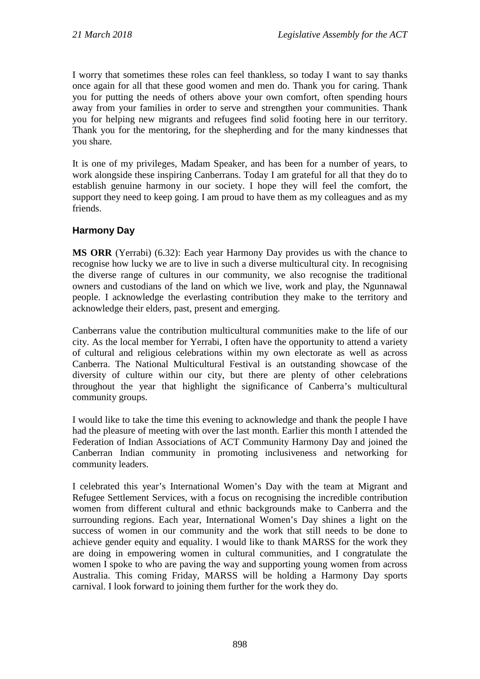I worry that sometimes these roles can feel thankless, so today I want to say thanks once again for all that these good women and men do. Thank you for caring. Thank you for putting the needs of others above your own comfort, often spending hours away from your families in order to serve and strengthen your communities. Thank you for helping new migrants and refugees find solid footing here in our territory. Thank you for the mentoring, for the shepherding and for the many kindnesses that you share.

It is one of my privileges, Madam Speaker, and has been for a number of years, to work alongside these inspiring Canberrans. Today I am grateful for all that they do to establish genuine harmony in our society. I hope they will feel the comfort, the support they need to keep going. I am proud to have them as my colleagues and as my friends.

# **Harmony Day**

**MS ORR** (Yerrabi) (6.32): Each year Harmony Day provides us with the chance to recognise how lucky we are to live in such a diverse multicultural city. In recognising the diverse range of cultures in our community, we also recognise the traditional owners and custodians of the land on which we live, work and play, the Ngunnawal people. I acknowledge the everlasting contribution they make to the territory and acknowledge their elders, past, present and emerging.

Canberrans value the contribution multicultural communities make to the life of our city. As the local member for Yerrabi, I often have the opportunity to attend a variety of cultural and religious celebrations within my own electorate as well as across Canberra. The National Multicultural Festival is an outstanding showcase of the diversity of culture within our city, but there are plenty of other celebrations throughout the year that highlight the significance of Canberra's multicultural community groups.

I would like to take the time this evening to acknowledge and thank the people I have had the pleasure of meeting with over the last month. Earlier this month I attended the Federation of Indian Associations of ACT Community Harmony Day and joined the Canberran Indian community in promoting inclusiveness and networking for community leaders.

I celebrated this year's International Women's Day with the team at Migrant and Refugee Settlement Services, with a focus on recognising the incredible contribution women from different cultural and ethnic backgrounds make to Canberra and the surrounding regions. Each year, International Women's Day shines a light on the success of women in our community and the work that still needs to be done to achieve gender equity and equality. I would like to thank MARSS for the work they are doing in empowering women in cultural communities, and I congratulate the women I spoke to who are paving the way and supporting young women from across Australia. This coming Friday, MARSS will be holding a Harmony Day sports carnival. I look forward to joining them further for the work they do.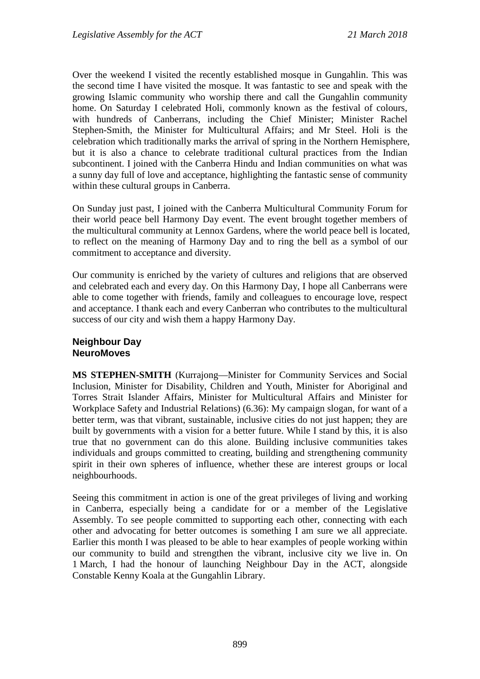Over the weekend I visited the recently established mosque in Gungahlin. This was the second time I have visited the mosque. It was fantastic to see and speak with the growing Islamic community who worship there and call the Gungahlin community home. On Saturday I celebrated Holi, commonly known as the festival of colours, with hundreds of Canberrans, including the Chief Minister; Minister Rachel Stephen-Smith, the Minister for Multicultural Affairs; and Mr Steel. Holi is the celebration which traditionally marks the arrival of spring in the Northern Hemisphere, but it is also a chance to celebrate traditional cultural practices from the Indian subcontinent. I joined with the Canberra Hindu and Indian communities on what was a sunny day full of love and acceptance, highlighting the fantastic sense of community within these cultural groups in Canberra.

On Sunday just past, I joined with the Canberra Multicultural Community Forum for their world peace bell Harmony Day event. The event brought together members of the multicultural community at Lennox Gardens, where the world peace bell is located, to reflect on the meaning of Harmony Day and to ring the bell as a symbol of our commitment to acceptance and diversity.

Our community is enriched by the variety of cultures and religions that are observed and celebrated each and every day. On this Harmony Day, I hope all Canberrans were able to come together with friends, family and colleagues to encourage love, respect and acceptance. I thank each and every Canberran who contributes to the multicultural success of our city and wish them a happy Harmony Day.

#### **Neighbour Day NeuroMoves**

**MS STEPHEN-SMITH** (Kurrajong—Minister for Community Services and Social Inclusion, Minister for Disability, Children and Youth, Minister for Aboriginal and Torres Strait Islander Affairs, Minister for Multicultural Affairs and Minister for Workplace Safety and Industrial Relations) (6.36): My campaign slogan, for want of a better term, was that vibrant, sustainable, inclusive cities do not just happen; they are built by governments with a vision for a better future. While I stand by this, it is also true that no government can do this alone. Building inclusive communities takes individuals and groups committed to creating, building and strengthening community spirit in their own spheres of influence, whether these are interest groups or local neighbourhoods.

Seeing this commitment in action is one of the great privileges of living and working in Canberra, especially being a candidate for or a member of the Legislative Assembly. To see people committed to supporting each other, connecting with each other and advocating for better outcomes is something I am sure we all appreciate. Earlier this month I was pleased to be able to hear examples of people working within our community to build and strengthen the vibrant, inclusive city we live in. On 1 March, I had the honour of launching Neighbour Day in the ACT, alongside Constable Kenny Koala at the Gungahlin Library.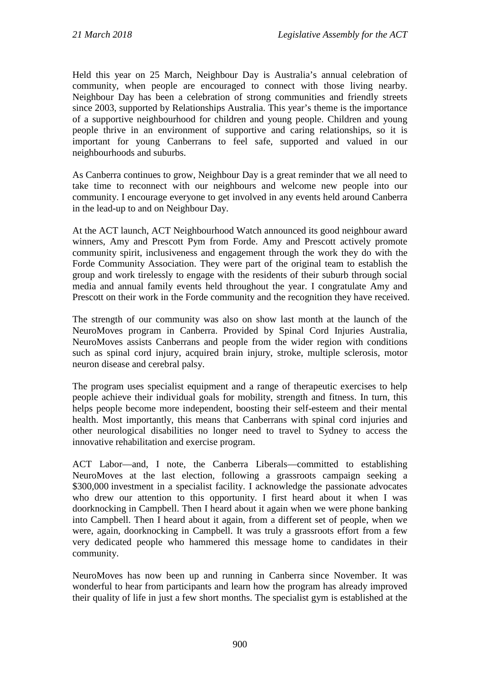Held this year on 25 March, Neighbour Day is Australia's annual celebration of community, when people are encouraged to connect with those living nearby. Neighbour Day has been a celebration of strong communities and friendly streets since 2003, supported by Relationships Australia. This year's theme is the importance of a supportive neighbourhood for children and young people. Children and young people thrive in an environment of supportive and caring relationships, so it is important for young Canberrans to feel safe, supported and valued in our neighbourhoods and suburbs.

As Canberra continues to grow, Neighbour Day is a great reminder that we all need to take time to reconnect with our neighbours and welcome new people into our community. I encourage everyone to get involved in any events held around Canberra in the lead-up to and on Neighbour Day.

At the ACT launch, ACT Neighbourhood Watch announced its good neighbour award winners, Amy and Prescott Pym from Forde. Amy and Prescott actively promote community spirit, inclusiveness and engagement through the work they do with the Forde Community Association. They were part of the original team to establish the group and work tirelessly to engage with the residents of their suburb through social media and annual family events held throughout the year. I congratulate Amy and Prescott on their work in the Forde community and the recognition they have received.

The strength of our community was also on show last month at the launch of the NeuroMoves program in Canberra. Provided by Spinal Cord Injuries Australia, NeuroMoves assists Canberrans and people from the wider region with conditions such as spinal cord injury, acquired brain injury, stroke, multiple sclerosis, motor neuron disease and cerebral palsy.

The program uses specialist equipment and a range of therapeutic exercises to help people achieve their individual goals for mobility, strength and fitness. In turn, this helps people become more independent, boosting their self-esteem and their mental health. Most importantly, this means that Canberrans with spinal cord injuries and other neurological disabilities no longer need to travel to Sydney to access the innovative rehabilitation and exercise program.

ACT Labor—and, I note, the Canberra Liberals—committed to establishing NeuroMoves at the last election, following a grassroots campaign seeking a \$300,000 investment in a specialist facility. I acknowledge the passionate advocates who drew our attention to this opportunity. I first heard about it when I was doorknocking in Campbell. Then I heard about it again when we were phone banking into Campbell. Then I heard about it again, from a different set of people, when we were, again, doorknocking in Campbell. It was truly a grassroots effort from a few very dedicated people who hammered this message home to candidates in their community.

NeuroMoves has now been up and running in Canberra since November. It was wonderful to hear from participants and learn how the program has already improved their quality of life in just a few short months. The specialist gym is established at the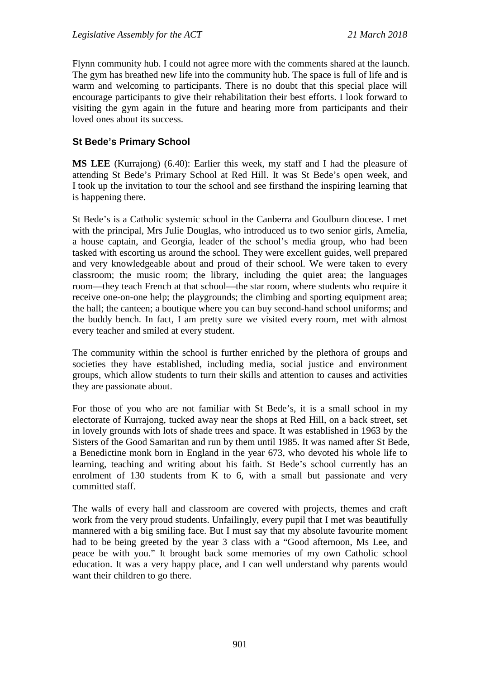Flynn community hub. I could not agree more with the comments shared at the launch. The gym has breathed new life into the community hub. The space is full of life and is warm and welcoming to participants. There is no doubt that this special place will encourage participants to give their rehabilitation their best efforts. I look forward to visiting the gym again in the future and hearing more from participants and their loved ones about its success.

# **St Bede's Primary School**

**MS LEE** (Kurrajong) (6.40): Earlier this week, my staff and I had the pleasure of attending St Bede's Primary School at Red Hill. It was St Bede's open week, and I took up the invitation to tour the school and see firsthand the inspiring learning that is happening there.

St Bede's is a Catholic systemic school in the Canberra and Goulburn diocese. I met with the principal, Mrs Julie Douglas, who introduced us to two senior girls, Amelia, a house captain, and Georgia, leader of the school's media group, who had been tasked with escorting us around the school. They were excellent guides, well prepared and very knowledgeable about and proud of their school. We were taken to every classroom; the music room; the library, including the quiet area; the languages room—they teach French at that school—the star room, where students who require it receive one-on-one help; the playgrounds; the climbing and sporting equipment area; the hall; the canteen; a boutique where you can buy second-hand school uniforms; and the buddy bench. In fact, I am pretty sure we visited every room, met with almost every teacher and smiled at every student.

The community within the school is further enriched by the plethora of groups and societies they have established, including media, social justice and environment groups, which allow students to turn their skills and attention to causes and activities they are passionate about.

For those of you who are not familiar with St Bede's, it is a small school in my electorate of Kurrajong, tucked away near the shops at Red Hill, on a back street, set in lovely grounds with lots of shade trees and space. It was established in 1963 by the Sisters of the Good Samaritan and run by them until 1985. It was named after St Bede, a Benedictine monk born in England in the year 673, who devoted his whole life to learning, teaching and writing about his faith. St Bede's school currently has an enrolment of 130 students from K to 6, with a small but passionate and very committed staff.

The walls of every hall and classroom are covered with projects, themes and craft work from the very proud students. Unfailingly, every pupil that I met was beautifully mannered with a big smiling face. But I must say that my absolute favourite moment had to be being greeted by the year 3 class with a "Good afternoon, Ms Lee, and peace be with you." It brought back some memories of my own Catholic school education. It was a very happy place, and I can well understand why parents would want their children to go there.